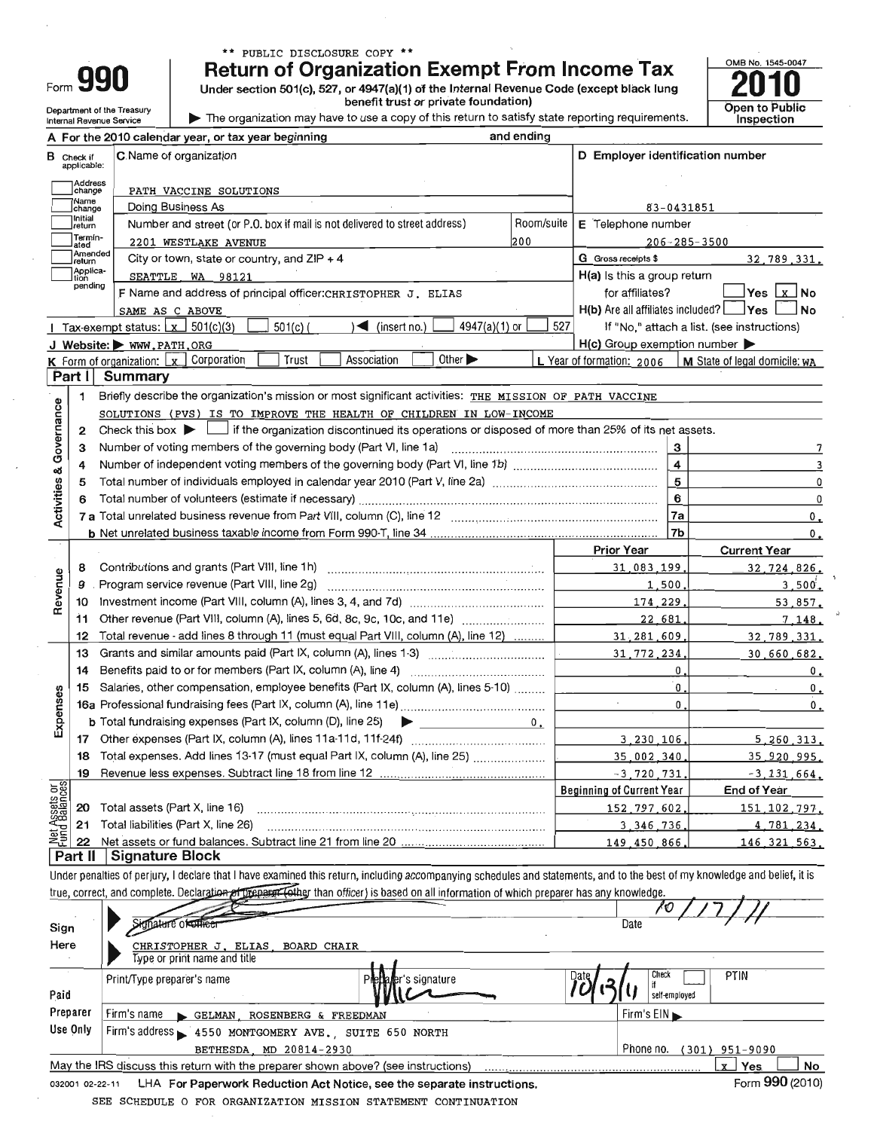|      | í.        |  |
|------|-----------|--|
|      |           |  |
|      | 1 A<br>ll |  |
|      |           |  |
| ∙orm |           |  |

Department of the Treasury

Internal Revenue Service

## \*\* PUBLIC DISCLOSURE COPY \*\*

**Return of Organization Exempt From Income Tax** 

Under section 501(c), 527, or 4947(a)(1) of the Internal Revenue Code (except black lung

benefit trust or private foundation)

The organization may have to use a copy of this return to satisfy state reporting requirements.

<u>and analysis</u>



|                                       |                                  | A For the 2010 calendar year, or tax year beginning                                                                                                                        | and ending    |                                                     |                                            |
|---------------------------------------|----------------------------------|----------------------------------------------------------------------------------------------------------------------------------------------------------------------------|---------------|-----------------------------------------------------|--------------------------------------------|
|                                       | <b>B</b> Check if<br>applicable: | C. Name of organization                                                                                                                                                    |               | D Employer identification number                    |                                            |
|                                       | Address                          |                                                                                                                                                                            |               |                                                     |                                            |
|                                       | change<br>Name                   | PATH VACCINE SOLUTIONS<br>Doing Business As                                                                                                                                |               | 83-0431851                                          |                                            |
|                                       | change<br> Initial               | Number and street (or P.O. box if mail is not delivered to street address)                                                                                                 | Room/suite    | E Telephone number                                  |                                            |
|                                       | return<br>Termin-                |                                                                                                                                                                            | 200           | $206 - 285 - 3500$                                  |                                            |
|                                       | ated<br>Amended                  | 2201 WESTLAKE AVENUE                                                                                                                                                       |               | G Gross receipts \$                                 | 32.789.331.                                |
|                                       | return<br>Applica-               | City or town, state or country, and $ZIP + 4$                                                                                                                              |               | H(a) Is this a group return                         |                                            |
|                                       | tion<br>pending                  | SEATTLE WA 98121                                                                                                                                                           |               | for affiliates?                                     | ∣Yes Lx_l No                               |
|                                       |                                  | F Name and address of principal officer: CHRISTOPHER J. ELIAS                                                                                                              |               | $H(b)$ Are all affiliates included? $\Box$ Yes      | <b>No</b>                                  |
|                                       |                                  | SAME AS C ABOVE                                                                                                                                                            |               |                                                     |                                            |
|                                       |                                  | 4947(a)(1) or<br>$\leq$ (insert no.)<br>$501(c)$ (<br>Tax-exempt status: $\lfloor x \rfloor$ 501(c)(3)                                                                     | 527           |                                                     | If "No," attach a list. (see instructions) |
|                                       |                                  | J Website: WWW.PATH.ORG<br>Other $\blacktriangleright$                                                                                                                     |               | $H(c)$ Group exemption number $\blacktriangleright$ |                                            |
|                                       |                                  | Association<br>Trust<br><b>K</b> Form of organization: $\lfloor x \rfloor$ Corporation                                                                                     |               | L Year of formation: 2006                           | M State of legal domicile; wA              |
|                                       | Part I                           | <b>Summary</b>                                                                                                                                                             |               |                                                     |                                            |
|                                       | 1                                | Briefly describe the organization's mission or most significant activities: THE MISSION OF PATH VACCINE                                                                    |               |                                                     |                                            |
| Governance                            |                                  | SOLUTIONS (PVS) IS TO IMPROVE THE HEALTH OF CHILDREN IN LOW-INCOME                                                                                                         |               |                                                     |                                            |
|                                       | 2                                | Check this box $\blacktriangleright$ $\Box$ if the organization discontinued its operations or disposed of more than 25% of its net assets.                                |               |                                                     |                                            |
|                                       | з                                | Number of voting members of the governing body (Part VI, line 1a)                                                                                                          |               | -3                                                  |                                            |
|                                       | 4                                |                                                                                                                                                                            |               | $\overline{4}$                                      |                                            |
|                                       | 5                                | Total number of individuals employed in calendar year 2010 (Part V, line 2a) manufacture content content of the                                                            |               | $\overline{5}$                                      | $\mathbf 0$                                |
|                                       | 6                                |                                                                                                                                                                            |               | $6\phantom{1}6$                                     | $\mathbf 0$                                |
| <b>Activities &amp;</b>               |                                  |                                                                                                                                                                            |               | 7a                                                  | 0.                                         |
|                                       |                                  |                                                                                                                                                                            |               | 7b                                                  | 0.                                         |
|                                       |                                  |                                                                                                                                                                            |               | <b>Prior Year</b>                                   | <b>Current Year</b>                        |
|                                       | 8                                |                                                                                                                                                                            |               | 31,083,199                                          | 32,724,826.                                |
| Revenue                               | 9                                | Program service revenue (Part VIII, line 2g)                                                                                                                               |               | 1,500                                               | 3,500.                                     |
|                                       | 10                               |                                                                                                                                                                            |               | 174.229<br><b>Contract Contract Contract</b>        | 53,857.                                    |
|                                       | 11                               | Other revenue (Part VIII, column (A), lines 5, 6d, 8c, 9c, 10c, and 11e)                                                                                                   |               | 22.681                                              | 7.148.                                     |
|                                       | 12                               | Total revenue - add lines 8 through 11 (must equal Part VIII, column (A), line 12)                                                                                         |               | 31, 281, 609,                                       | 32,789,331.                                |
|                                       | 13                               | Grants and similar amounts paid (Part IX, column (A), lines 1-3) <i></i>                                                                                                   |               | 31,772,234                                          | 30,660,682.                                |
|                                       | 14                               | Benefits paid to or for members (Part IX, column (A), line 4)                                                                                                              |               | $\mathbf{0}$                                        | 0.                                         |
|                                       | 15                               | Salaries, other compensation, employee benefits (Part IX, column (A), lines 5-10)                                                                                          |               | $\overline{0}$ .                                    | $^{\rm 0}$ .                               |
| Expenses                              |                                  |                                                                                                                                                                            |               | $\mathbf{0}$ .                                      | 0.                                         |
|                                       |                                  | <b>b</b> Total fundraising expenses (Part IX, column (D), line 25) $\rightarrow$                                                                                           | $0_{\bullet}$ |                                                     |                                            |
|                                       | 17                               |                                                                                                                                                                            |               | 3,230,106,                                          | 5, 260, 313,                               |
|                                       | 18                               | Total expenses. Add lines 13-17 (must equal Part IX, column (A), line 25)                                                                                                  |               | 35,002,340.                                         | 35 920 995.                                |
|                                       | 19                               |                                                                                                                                                                            |               | $-3,720,731$                                        | $-3, 131, 664.$                            |
|                                       |                                  |                                                                                                                                                                            |               | <b>Beginning of Current Year</b>                    | <b>End of Year</b>                         |
| <b>Net Assets or</b><br>Fund Balances | 20                               | Total assets (Part X, line 16)                                                                                                                                             |               | 152.797.602                                         | 151, 102, 797,                             |
|                                       | 21                               | Total liabilities (Part X, line 26)                                                                                                                                        |               | 3.346.736                                           | 4.781.234.                                 |
|                                       | 22                               |                                                                                                                                                                            |               | 149.450.866                                         | 146.321.563.                               |
|                                       | Part II                          | <b>Signature Block</b>                                                                                                                                                     |               |                                                     |                                            |
|                                       |                                  | Under penalties of perjury, I declare that I have examined this return, including accompanying schedules and statements, and to the best of my knowledge and belief, it is |               |                                                     |                                            |
|                                       |                                  | true, correct, and complete. Declargtion of Dreparn (other than officer) is based on all information of which preparer has any knowledge.                                  |               |                                                     |                                            |
|                                       |                                  |                                                                                                                                                                            |               |                                                     |                                            |

| Sign            | Signature of the en                                                               | Date                                          |
|-----------------|-----------------------------------------------------------------------------------|-----------------------------------------------|
| Here            | CHRISTOPHER J. ELIAS BOARD CHAIR<br>Type or print name and title                  |                                               |
| Paid            | Print/Type preparer's name<br><sup>3</sup> Metta Mer's sionature                  | PTIN<br>Check<br>Date .<br>◠<br>self-employed |
| Preparer        | Firm's name<br>GELMAN, ROSENBERG & FREEDMAN                                       | Firm's $EIN$                                  |
| Use Only        | Firm's address = 4550 MONTGOMERY AVE., SUITE 650 NORTH                            |                                               |
|                 | BETHESDA MD 20814-2930                                                            | Phone no.<br>(301) 951-9090                   |
|                 | May the IRS discuss this return with the preparer shown above? (see instructions) | No<br>Yes<br>$\mathbf{v}$                     |
| 032001 02-22-11 | LHA For Paperwork Reduction Act Notice, see the separate instructions.            | Form 990 (2010)                               |

032001 02-22-11 LHA For Paperwork Reduction Act Notice, see the separate instructions.

SEE SCHEDULE O FOR ORGANIZATION MISSION STATEMENT CONTINUATION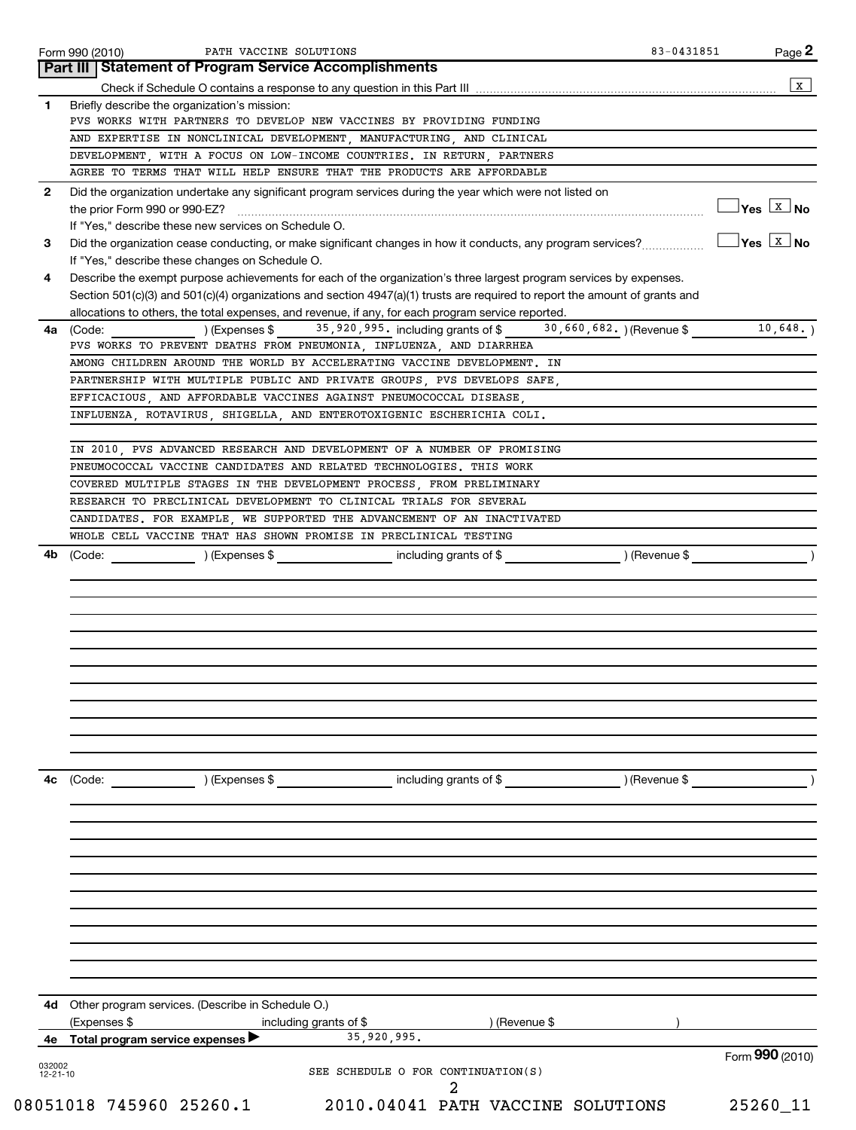|                          | Part III Statement of Program Service Accomplishments                                                                             |                                  |
|--------------------------|-----------------------------------------------------------------------------------------------------------------------------------|----------------------------------|
|                          |                                                                                                                                   | X                                |
| 1                        | Briefly describe the organization's mission:                                                                                      |                                  |
|                          | PVS WORKS WITH PARTNERS TO DEVELOP NEW VACCINES BY PROVIDING FUNDING                                                              |                                  |
|                          | AND EXPERTISE IN NONCLINICAL DEVELOPMENT, MANUFACTURING, AND CLINICAL                                                             |                                  |
|                          | DEVELOPMENT, WITH A FOCUS ON LOW-INCOME COUNTRIES. IN RETURN, PARTNERS                                                            |                                  |
|                          | AGREE TO TERMS THAT WILL HELP ENSURE THAT THE PRODUCTS ARE AFFORDABLE                                                             |                                  |
| $\mathbf{2}$             | Did the organization undertake any significant program services during the year which were not listed on                          |                                  |
|                          |                                                                                                                                   | $\Box$ Yes $\boxed{\text{x}}$ No |
|                          | If "Yes," describe these new services on Schedule O.                                                                              |                                  |
| 3                        | Did the organization cease conducting, or make significant changes in how it conducts, any program services?                      | $\Box$ Yes $\Box$ No             |
|                          | If "Yes," describe these changes on Schedule O.                                                                                   |                                  |
| 4                        | Describe the exempt purpose achievements for each of the organization's three largest program services by expenses.               |                                  |
|                          | Section 501(c)(3) and 501(c)(4) organizations and section 4947(a)(1) trusts are required to report the amount of grants and       |                                  |
|                          | allocations to others, the total expenses, and revenue, if any, for each program service reported.                                |                                  |
|                          | ) (Expenses \$ 35,920,995. including grants of \$ 30,660,682. ) (Revenue \$<br><b>4a</b> (Code:                                   | 10,648.                          |
|                          | PVS WORKS TO PREVENT DEATHS FROM PNEUMONIA, INFLUENZA, AND DIARRHEA                                                               |                                  |
|                          | AMONG CHILDREN AROUND THE WORLD BY ACCELERATING VACCINE DEVELOPMENT. IN                                                           |                                  |
|                          | PARTNERSHIP WITH MULTIPLE PUBLIC AND PRIVATE GROUPS  PVS DEVELOPS SAFE                                                            |                                  |
|                          | EFFICACIOUS, AND AFFORDABLE VACCINES AGAINST PNEUMOCOCCAL DISEASE,                                                                |                                  |
|                          | INFLUENZA, ROTAVIRUS, SHIGELLA, AND ENTEROTOXIGENIC ESCHERICHIA COLI.                                                             |                                  |
|                          |                                                                                                                                   |                                  |
|                          | IN 2010, PVS ADVANCED RESEARCH AND DEVELOPMENT OF A NUMBER OF PROMISING                                                           |                                  |
|                          | PNEUMOCOCCAL VACCINE CANDIDATES AND RELATED TECHNOLOGIES. THIS WORK                                                               |                                  |
|                          | COVERED MULTIPLE STAGES IN THE DEVELOPMENT PROCESS, FROM PRELIMINARY                                                              |                                  |
|                          | RESEARCH TO PRECLINICAL DEVELOPMENT TO CLINICAL TRIALS FOR SEVERAL                                                                |                                  |
|                          | CANDIDATES. FOR EXAMPLE, WE SUPPORTED THE ADVANCEMENT OF AN INACTIVATED                                                           |                                  |
| 4b                       | WHOLE CELL VACCINE THAT HAS SHOWN PROMISE IN PRECLINICAL TESTING<br>) (Revenue \$<br>(Code: ) (Expenses \$ including grants of \$ |                                  |
|                          |                                                                                                                                   |                                  |
|                          |                                                                                                                                   |                                  |
|                          |                                                                                                                                   |                                  |
| 4c                       | including grants of \$ (Revenue \$)<br>) (Expenses \$<br>(Code:                                                                   |                                  |
|                          |                                                                                                                                   |                                  |
|                          |                                                                                                                                   |                                  |
|                          |                                                                                                                                   |                                  |
| 4d                       | Other program services. (Describe in Schedule O.)                                                                                 |                                  |
|                          | (Expenses \$<br>) (Revenue \$<br>including grants of \$                                                                           |                                  |
| 4е                       | 35,920,995.<br>Total program service expenses                                                                                     |                                  |
| 032002<br>$12 - 21 - 10$ | SEE SCHEDULE O FOR CONTINUATION(S)                                                                                                | Form 990 (2010)                  |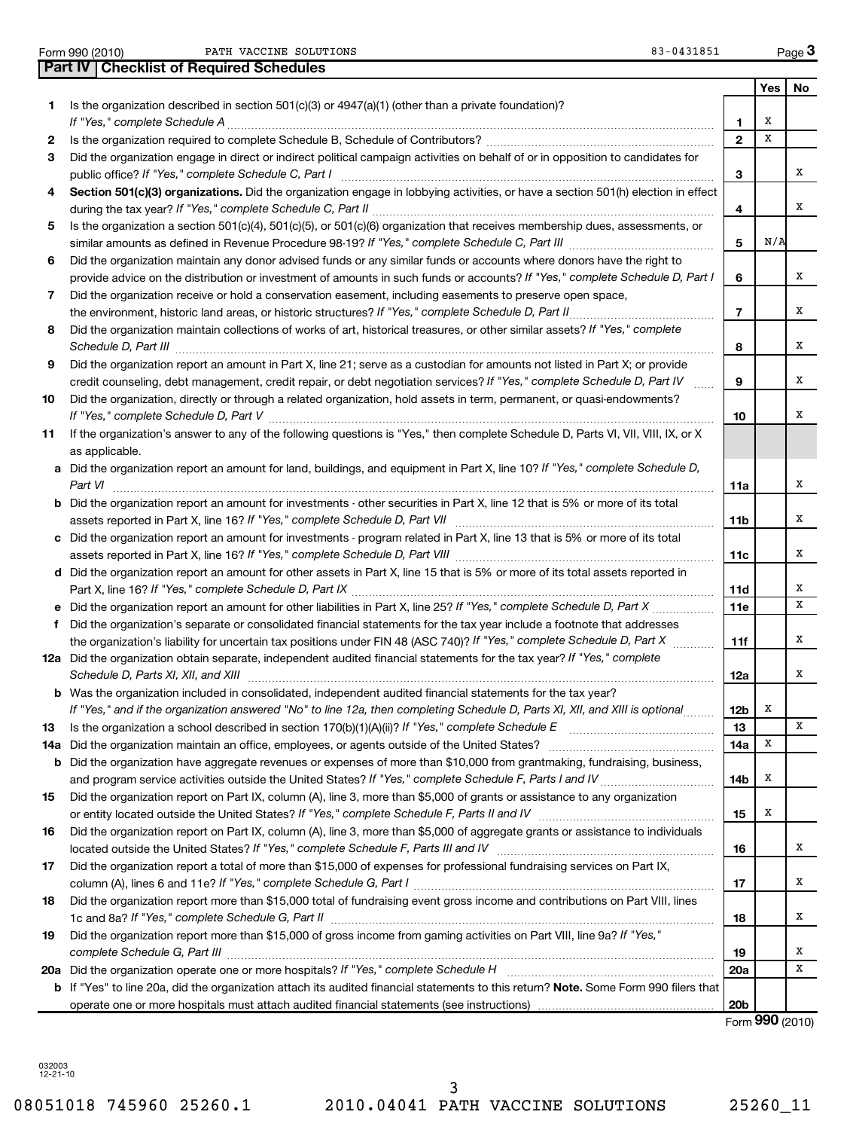Form 990 (2010) Page PATH VACCINE SOLUTIONS 83-0431851

| $83 - 0431851$ |
|----------------|
|----------------|

| Yes<br>No<br>Is the organization described in section $501(c)(3)$ or $4947(a)(1)$ (other than a private foundation)?<br>1<br>х<br>1<br>$\mathbf{2}$<br>х<br>2<br>Did the organization engage in direct or indirect political campaign activities on behalf of or in opposition to candidates for<br>3<br>x<br>3<br>Section 501(c)(3) organizations. Did the organization engage in lobbying activities, or have a section 501(h) election in effect<br>4<br>х<br>4<br>Is the organization a section 501(c)(4), 501(c)(5), or 501(c)(6) organization that receives membership dues, assessments, or<br>5<br>N/A<br>5<br>Did the organization maintain any donor advised funds or any similar funds or accounts where donors have the right to<br>6<br>x<br>provide advice on the distribution or investment of amounts in such funds or accounts? If "Yes," complete Schedule D, Part I<br>6<br>Did the organization receive or hold a conservation easement, including easements to preserve open space,<br>7<br>x<br>$\overline{7}$<br>Did the organization maintain collections of works of art, historical treasures, or other similar assets? If "Yes," complete<br>8<br>х<br>Schedule D, Part III <b>Marting Communities</b> Contract and Technical Communities Contract and Technical Communities<br>8<br>Did the organization report an amount in Part X, line 21; serve as a custodian for amounts not listed in Part X; or provide<br>9<br>х<br>credit counseling, debt management, credit repair, or debt negotiation services? If "Yes," complete Schedule D, Part IV<br>9<br>Did the organization, directly or through a related organization, hold assets in term, permanent, or quasi-endowments?<br>10<br>x<br>10<br>If the organization's answer to any of the following questions is "Yes," then complete Schedule D, Parts VI, VII, VIII, IX, or X<br>11<br>as applicable.<br>a Did the organization report an amount for land, buildings, and equipment in Part X, line 10? If "Yes," complete Schedule D,<br>х<br>Part VI<br>11a<br><b>b</b> Did the organization report an amount for investments - other securities in Part X, line 12 that is 5% or more of its total<br>х<br>11b<br>c Did the organization report an amount for investments - program related in Part X, line 13 that is 5% or more of its total<br>х<br>11c<br>d Did the organization report an amount for other assets in Part X, line 15 that is 5% or more of its total assets reported in<br>х<br>11d<br>X<br>e Did the organization report an amount for other liabilities in Part X, line 25? If "Yes," complete Schedule D, Part X<br>11e<br>Did the organization's separate or consolidated financial statements for the tax year include a footnote that addresses<br>f<br>the organization's liability for uncertain tax positions under FIN 48 (ASC 740)? If "Yes," complete Schedule D, Part X<br>х<br>11f<br>12a Did the organization obtain separate, independent audited financial statements for the tax year? If "Yes," complete<br>х<br>Schedule D, Parts XI, XII, and XIII<br>12a<br><b>b</b> Was the organization included in consolidated, independent audited financial statements for the tax year?<br>If "Yes," and if the organization answered "No" to line 12a, then completing Schedule D, Parts XI, XII, and XIII is optional<br>х<br>12b<br>13<br>х<br>13<br>Х<br>Did the organization maintain an office, employees, or agents outside of the United States? [1111] Did the organization maintain an office, employees, or agents outside of the United States?<br>14a<br>14a<br><b>b</b> Did the organization have aggregate revenues or expenses of more than \$10,000 from grantmaking, fundraising, business,<br>х<br>14 <sub>b</sub><br>Did the organization report on Part IX, column (A), line 3, more than \$5,000 of grants or assistance to any organization<br>15<br>х<br>15<br>Did the organization report on Part IX, column (A), line 3, more than \$5,000 of aggregate grants or assistance to individuals<br>16<br>х<br>16<br>Did the organization report a total of more than \$15,000 of expenses for professional fundraising services on Part IX,<br>17<br>х<br>17<br>Did the organization report more than \$15,000 total of fundraising event gross income and contributions on Part VIII, lines<br>18<br>х<br>18<br>Did the organization report more than \$15,000 of gross income from gaming activities on Part VIII, line 9a? If "Yes,"<br>19<br>х<br>19<br>х<br>20a<br><b>b</b> If "Yes" to line 20a, did the organization attach its audited financial statements to this return? Note. Some Form 990 filers that<br>20 <sub>b</sub><br>Form 990 (2010) | <b>Checklist of Required Schedules</b><br><b>Part IV</b> |  |  |
|-------------------------------------------------------------------------------------------------------------------------------------------------------------------------------------------------------------------------------------------------------------------------------------------------------------------------------------------------------------------------------------------------------------------------------------------------------------------------------------------------------------------------------------------------------------------------------------------------------------------------------------------------------------------------------------------------------------------------------------------------------------------------------------------------------------------------------------------------------------------------------------------------------------------------------------------------------------------------------------------------------------------------------------------------------------------------------------------------------------------------------------------------------------------------------------------------------------------------------------------------------------------------------------------------------------------------------------------------------------------------------------------------------------------------------------------------------------------------------------------------------------------------------------------------------------------------------------------------------------------------------------------------------------------------------------------------------------------------------------------------------------------------------------------------------------------------------------------------------------------------------------------------------------------------------------------------------------------------------------------------------------------------------------------------------------------------------------------------------------------------------------------------------------------------------------------------------------------------------------------------------------------------------------------------------------------------------------------------------------------------------------------------------------------------------------------------------------------------------------------------------------------------------------------------------------------------------------------------------------------------------------------------------------------------------------------------------------------------------------------------------------------------------------------------------------------------------------------------------------------------------------------------------------------------------------------------------------------------------------------------------------------------------------------------------------------------------------------------------------------------------------------------------------------------------------------------------------------------------------------------------------------------------------------------------------------------------------------------------------------------------------------------------------------------------------------------------------------------------------------------------------------------------------------------------------------------------------------------------------------------------------------------------------------------------------------------------------------------------------------------------------------------------------------------------------------------------------------------------------------------------------------------------------------------------------------------------------------------------------------------------------------------------------------------------------------------------------------------------------------------------------------------------------------------------------------------------------------------------------------------------------------------------------------------------------------------------------------------------------------------------------------------------------------------------------------------------------------------------------------------------------------------------------------------------------------------------------------------------------------------------------------------------------------------------------------------------------|----------------------------------------------------------|--|--|
|                                                                                                                                                                                                                                                                                                                                                                                                                                                                                                                                                                                                                                                                                                                                                                                                                                                                                                                                                                                                                                                                                                                                                                                                                                                                                                                                                                                                                                                                                                                                                                                                                                                                                                                                                                                                                                                                                                                                                                                                                                                                                                                                                                                                                                                                                                                                                                                                                                                                                                                                                                                                                                                                                                                                                                                                                                                                                                                                                                                                                                                                                                                                                                                                                                                                                                                                                                                                                                                                                                                                                                                                                                                                                                                                                                                                                                                                                                                                                                                                                                                                                                                                                                                                                                                                                                                                                                                                                                                                                                                                                                                                                                                                                                             |                                                          |  |  |
|                                                                                                                                                                                                                                                                                                                                                                                                                                                                                                                                                                                                                                                                                                                                                                                                                                                                                                                                                                                                                                                                                                                                                                                                                                                                                                                                                                                                                                                                                                                                                                                                                                                                                                                                                                                                                                                                                                                                                                                                                                                                                                                                                                                                                                                                                                                                                                                                                                                                                                                                                                                                                                                                                                                                                                                                                                                                                                                                                                                                                                                                                                                                                                                                                                                                                                                                                                                                                                                                                                                                                                                                                                                                                                                                                                                                                                                                                                                                                                                                                                                                                                                                                                                                                                                                                                                                                                                                                                                                                                                                                                                                                                                                                                             |                                                          |  |  |
|                                                                                                                                                                                                                                                                                                                                                                                                                                                                                                                                                                                                                                                                                                                                                                                                                                                                                                                                                                                                                                                                                                                                                                                                                                                                                                                                                                                                                                                                                                                                                                                                                                                                                                                                                                                                                                                                                                                                                                                                                                                                                                                                                                                                                                                                                                                                                                                                                                                                                                                                                                                                                                                                                                                                                                                                                                                                                                                                                                                                                                                                                                                                                                                                                                                                                                                                                                                                                                                                                                                                                                                                                                                                                                                                                                                                                                                                                                                                                                                                                                                                                                                                                                                                                                                                                                                                                                                                                                                                                                                                                                                                                                                                                                             |                                                          |  |  |
|                                                                                                                                                                                                                                                                                                                                                                                                                                                                                                                                                                                                                                                                                                                                                                                                                                                                                                                                                                                                                                                                                                                                                                                                                                                                                                                                                                                                                                                                                                                                                                                                                                                                                                                                                                                                                                                                                                                                                                                                                                                                                                                                                                                                                                                                                                                                                                                                                                                                                                                                                                                                                                                                                                                                                                                                                                                                                                                                                                                                                                                                                                                                                                                                                                                                                                                                                                                                                                                                                                                                                                                                                                                                                                                                                                                                                                                                                                                                                                                                                                                                                                                                                                                                                                                                                                                                                                                                                                                                                                                                                                                                                                                                                                             |                                                          |  |  |
|                                                                                                                                                                                                                                                                                                                                                                                                                                                                                                                                                                                                                                                                                                                                                                                                                                                                                                                                                                                                                                                                                                                                                                                                                                                                                                                                                                                                                                                                                                                                                                                                                                                                                                                                                                                                                                                                                                                                                                                                                                                                                                                                                                                                                                                                                                                                                                                                                                                                                                                                                                                                                                                                                                                                                                                                                                                                                                                                                                                                                                                                                                                                                                                                                                                                                                                                                                                                                                                                                                                                                                                                                                                                                                                                                                                                                                                                                                                                                                                                                                                                                                                                                                                                                                                                                                                                                                                                                                                                                                                                                                                                                                                                                                             |                                                          |  |  |
|                                                                                                                                                                                                                                                                                                                                                                                                                                                                                                                                                                                                                                                                                                                                                                                                                                                                                                                                                                                                                                                                                                                                                                                                                                                                                                                                                                                                                                                                                                                                                                                                                                                                                                                                                                                                                                                                                                                                                                                                                                                                                                                                                                                                                                                                                                                                                                                                                                                                                                                                                                                                                                                                                                                                                                                                                                                                                                                                                                                                                                                                                                                                                                                                                                                                                                                                                                                                                                                                                                                                                                                                                                                                                                                                                                                                                                                                                                                                                                                                                                                                                                                                                                                                                                                                                                                                                                                                                                                                                                                                                                                                                                                                                                             |                                                          |  |  |
|                                                                                                                                                                                                                                                                                                                                                                                                                                                                                                                                                                                                                                                                                                                                                                                                                                                                                                                                                                                                                                                                                                                                                                                                                                                                                                                                                                                                                                                                                                                                                                                                                                                                                                                                                                                                                                                                                                                                                                                                                                                                                                                                                                                                                                                                                                                                                                                                                                                                                                                                                                                                                                                                                                                                                                                                                                                                                                                                                                                                                                                                                                                                                                                                                                                                                                                                                                                                                                                                                                                                                                                                                                                                                                                                                                                                                                                                                                                                                                                                                                                                                                                                                                                                                                                                                                                                                                                                                                                                                                                                                                                                                                                                                                             |                                                          |  |  |
|                                                                                                                                                                                                                                                                                                                                                                                                                                                                                                                                                                                                                                                                                                                                                                                                                                                                                                                                                                                                                                                                                                                                                                                                                                                                                                                                                                                                                                                                                                                                                                                                                                                                                                                                                                                                                                                                                                                                                                                                                                                                                                                                                                                                                                                                                                                                                                                                                                                                                                                                                                                                                                                                                                                                                                                                                                                                                                                                                                                                                                                                                                                                                                                                                                                                                                                                                                                                                                                                                                                                                                                                                                                                                                                                                                                                                                                                                                                                                                                                                                                                                                                                                                                                                                                                                                                                                                                                                                                                                                                                                                                                                                                                                                             |                                                          |  |  |
|                                                                                                                                                                                                                                                                                                                                                                                                                                                                                                                                                                                                                                                                                                                                                                                                                                                                                                                                                                                                                                                                                                                                                                                                                                                                                                                                                                                                                                                                                                                                                                                                                                                                                                                                                                                                                                                                                                                                                                                                                                                                                                                                                                                                                                                                                                                                                                                                                                                                                                                                                                                                                                                                                                                                                                                                                                                                                                                                                                                                                                                                                                                                                                                                                                                                                                                                                                                                                                                                                                                                                                                                                                                                                                                                                                                                                                                                                                                                                                                                                                                                                                                                                                                                                                                                                                                                                                                                                                                                                                                                                                                                                                                                                                             |                                                          |  |  |
|                                                                                                                                                                                                                                                                                                                                                                                                                                                                                                                                                                                                                                                                                                                                                                                                                                                                                                                                                                                                                                                                                                                                                                                                                                                                                                                                                                                                                                                                                                                                                                                                                                                                                                                                                                                                                                                                                                                                                                                                                                                                                                                                                                                                                                                                                                                                                                                                                                                                                                                                                                                                                                                                                                                                                                                                                                                                                                                                                                                                                                                                                                                                                                                                                                                                                                                                                                                                                                                                                                                                                                                                                                                                                                                                                                                                                                                                                                                                                                                                                                                                                                                                                                                                                                                                                                                                                                                                                                                                                                                                                                                                                                                                                                             |                                                          |  |  |
|                                                                                                                                                                                                                                                                                                                                                                                                                                                                                                                                                                                                                                                                                                                                                                                                                                                                                                                                                                                                                                                                                                                                                                                                                                                                                                                                                                                                                                                                                                                                                                                                                                                                                                                                                                                                                                                                                                                                                                                                                                                                                                                                                                                                                                                                                                                                                                                                                                                                                                                                                                                                                                                                                                                                                                                                                                                                                                                                                                                                                                                                                                                                                                                                                                                                                                                                                                                                                                                                                                                                                                                                                                                                                                                                                                                                                                                                                                                                                                                                                                                                                                                                                                                                                                                                                                                                                                                                                                                                                                                                                                                                                                                                                                             |                                                          |  |  |
|                                                                                                                                                                                                                                                                                                                                                                                                                                                                                                                                                                                                                                                                                                                                                                                                                                                                                                                                                                                                                                                                                                                                                                                                                                                                                                                                                                                                                                                                                                                                                                                                                                                                                                                                                                                                                                                                                                                                                                                                                                                                                                                                                                                                                                                                                                                                                                                                                                                                                                                                                                                                                                                                                                                                                                                                                                                                                                                                                                                                                                                                                                                                                                                                                                                                                                                                                                                                                                                                                                                                                                                                                                                                                                                                                                                                                                                                                                                                                                                                                                                                                                                                                                                                                                                                                                                                                                                                                                                                                                                                                                                                                                                                                                             |                                                          |  |  |
|                                                                                                                                                                                                                                                                                                                                                                                                                                                                                                                                                                                                                                                                                                                                                                                                                                                                                                                                                                                                                                                                                                                                                                                                                                                                                                                                                                                                                                                                                                                                                                                                                                                                                                                                                                                                                                                                                                                                                                                                                                                                                                                                                                                                                                                                                                                                                                                                                                                                                                                                                                                                                                                                                                                                                                                                                                                                                                                                                                                                                                                                                                                                                                                                                                                                                                                                                                                                                                                                                                                                                                                                                                                                                                                                                                                                                                                                                                                                                                                                                                                                                                                                                                                                                                                                                                                                                                                                                                                                                                                                                                                                                                                                                                             |                                                          |  |  |
|                                                                                                                                                                                                                                                                                                                                                                                                                                                                                                                                                                                                                                                                                                                                                                                                                                                                                                                                                                                                                                                                                                                                                                                                                                                                                                                                                                                                                                                                                                                                                                                                                                                                                                                                                                                                                                                                                                                                                                                                                                                                                                                                                                                                                                                                                                                                                                                                                                                                                                                                                                                                                                                                                                                                                                                                                                                                                                                                                                                                                                                                                                                                                                                                                                                                                                                                                                                                                                                                                                                                                                                                                                                                                                                                                                                                                                                                                                                                                                                                                                                                                                                                                                                                                                                                                                                                                                                                                                                                                                                                                                                                                                                                                                             |                                                          |  |  |
|                                                                                                                                                                                                                                                                                                                                                                                                                                                                                                                                                                                                                                                                                                                                                                                                                                                                                                                                                                                                                                                                                                                                                                                                                                                                                                                                                                                                                                                                                                                                                                                                                                                                                                                                                                                                                                                                                                                                                                                                                                                                                                                                                                                                                                                                                                                                                                                                                                                                                                                                                                                                                                                                                                                                                                                                                                                                                                                                                                                                                                                                                                                                                                                                                                                                                                                                                                                                                                                                                                                                                                                                                                                                                                                                                                                                                                                                                                                                                                                                                                                                                                                                                                                                                                                                                                                                                                                                                                                                                                                                                                                                                                                                                                             |                                                          |  |  |
|                                                                                                                                                                                                                                                                                                                                                                                                                                                                                                                                                                                                                                                                                                                                                                                                                                                                                                                                                                                                                                                                                                                                                                                                                                                                                                                                                                                                                                                                                                                                                                                                                                                                                                                                                                                                                                                                                                                                                                                                                                                                                                                                                                                                                                                                                                                                                                                                                                                                                                                                                                                                                                                                                                                                                                                                                                                                                                                                                                                                                                                                                                                                                                                                                                                                                                                                                                                                                                                                                                                                                                                                                                                                                                                                                                                                                                                                                                                                                                                                                                                                                                                                                                                                                                                                                                                                                                                                                                                                                                                                                                                                                                                                                                             |                                                          |  |  |
|                                                                                                                                                                                                                                                                                                                                                                                                                                                                                                                                                                                                                                                                                                                                                                                                                                                                                                                                                                                                                                                                                                                                                                                                                                                                                                                                                                                                                                                                                                                                                                                                                                                                                                                                                                                                                                                                                                                                                                                                                                                                                                                                                                                                                                                                                                                                                                                                                                                                                                                                                                                                                                                                                                                                                                                                                                                                                                                                                                                                                                                                                                                                                                                                                                                                                                                                                                                                                                                                                                                                                                                                                                                                                                                                                                                                                                                                                                                                                                                                                                                                                                                                                                                                                                                                                                                                                                                                                                                                                                                                                                                                                                                                                                             |                                                          |  |  |
|                                                                                                                                                                                                                                                                                                                                                                                                                                                                                                                                                                                                                                                                                                                                                                                                                                                                                                                                                                                                                                                                                                                                                                                                                                                                                                                                                                                                                                                                                                                                                                                                                                                                                                                                                                                                                                                                                                                                                                                                                                                                                                                                                                                                                                                                                                                                                                                                                                                                                                                                                                                                                                                                                                                                                                                                                                                                                                                                                                                                                                                                                                                                                                                                                                                                                                                                                                                                                                                                                                                                                                                                                                                                                                                                                                                                                                                                                                                                                                                                                                                                                                                                                                                                                                                                                                                                                                                                                                                                                                                                                                                                                                                                                                             |                                                          |  |  |
|                                                                                                                                                                                                                                                                                                                                                                                                                                                                                                                                                                                                                                                                                                                                                                                                                                                                                                                                                                                                                                                                                                                                                                                                                                                                                                                                                                                                                                                                                                                                                                                                                                                                                                                                                                                                                                                                                                                                                                                                                                                                                                                                                                                                                                                                                                                                                                                                                                                                                                                                                                                                                                                                                                                                                                                                                                                                                                                                                                                                                                                                                                                                                                                                                                                                                                                                                                                                                                                                                                                                                                                                                                                                                                                                                                                                                                                                                                                                                                                                                                                                                                                                                                                                                                                                                                                                                                                                                                                                                                                                                                                                                                                                                                             |                                                          |  |  |
|                                                                                                                                                                                                                                                                                                                                                                                                                                                                                                                                                                                                                                                                                                                                                                                                                                                                                                                                                                                                                                                                                                                                                                                                                                                                                                                                                                                                                                                                                                                                                                                                                                                                                                                                                                                                                                                                                                                                                                                                                                                                                                                                                                                                                                                                                                                                                                                                                                                                                                                                                                                                                                                                                                                                                                                                                                                                                                                                                                                                                                                                                                                                                                                                                                                                                                                                                                                                                                                                                                                                                                                                                                                                                                                                                                                                                                                                                                                                                                                                                                                                                                                                                                                                                                                                                                                                                                                                                                                                                                                                                                                                                                                                                                             |                                                          |  |  |
|                                                                                                                                                                                                                                                                                                                                                                                                                                                                                                                                                                                                                                                                                                                                                                                                                                                                                                                                                                                                                                                                                                                                                                                                                                                                                                                                                                                                                                                                                                                                                                                                                                                                                                                                                                                                                                                                                                                                                                                                                                                                                                                                                                                                                                                                                                                                                                                                                                                                                                                                                                                                                                                                                                                                                                                                                                                                                                                                                                                                                                                                                                                                                                                                                                                                                                                                                                                                                                                                                                                                                                                                                                                                                                                                                                                                                                                                                                                                                                                                                                                                                                                                                                                                                                                                                                                                                                                                                                                                                                                                                                                                                                                                                                             |                                                          |  |  |
|                                                                                                                                                                                                                                                                                                                                                                                                                                                                                                                                                                                                                                                                                                                                                                                                                                                                                                                                                                                                                                                                                                                                                                                                                                                                                                                                                                                                                                                                                                                                                                                                                                                                                                                                                                                                                                                                                                                                                                                                                                                                                                                                                                                                                                                                                                                                                                                                                                                                                                                                                                                                                                                                                                                                                                                                                                                                                                                                                                                                                                                                                                                                                                                                                                                                                                                                                                                                                                                                                                                                                                                                                                                                                                                                                                                                                                                                                                                                                                                                                                                                                                                                                                                                                                                                                                                                                                                                                                                                                                                                                                                                                                                                                                             |                                                          |  |  |
|                                                                                                                                                                                                                                                                                                                                                                                                                                                                                                                                                                                                                                                                                                                                                                                                                                                                                                                                                                                                                                                                                                                                                                                                                                                                                                                                                                                                                                                                                                                                                                                                                                                                                                                                                                                                                                                                                                                                                                                                                                                                                                                                                                                                                                                                                                                                                                                                                                                                                                                                                                                                                                                                                                                                                                                                                                                                                                                                                                                                                                                                                                                                                                                                                                                                                                                                                                                                                                                                                                                                                                                                                                                                                                                                                                                                                                                                                                                                                                                                                                                                                                                                                                                                                                                                                                                                                                                                                                                                                                                                                                                                                                                                                                             |                                                          |  |  |
|                                                                                                                                                                                                                                                                                                                                                                                                                                                                                                                                                                                                                                                                                                                                                                                                                                                                                                                                                                                                                                                                                                                                                                                                                                                                                                                                                                                                                                                                                                                                                                                                                                                                                                                                                                                                                                                                                                                                                                                                                                                                                                                                                                                                                                                                                                                                                                                                                                                                                                                                                                                                                                                                                                                                                                                                                                                                                                                                                                                                                                                                                                                                                                                                                                                                                                                                                                                                                                                                                                                                                                                                                                                                                                                                                                                                                                                                                                                                                                                                                                                                                                                                                                                                                                                                                                                                                                                                                                                                                                                                                                                                                                                                                                             |                                                          |  |  |
|                                                                                                                                                                                                                                                                                                                                                                                                                                                                                                                                                                                                                                                                                                                                                                                                                                                                                                                                                                                                                                                                                                                                                                                                                                                                                                                                                                                                                                                                                                                                                                                                                                                                                                                                                                                                                                                                                                                                                                                                                                                                                                                                                                                                                                                                                                                                                                                                                                                                                                                                                                                                                                                                                                                                                                                                                                                                                                                                                                                                                                                                                                                                                                                                                                                                                                                                                                                                                                                                                                                                                                                                                                                                                                                                                                                                                                                                                                                                                                                                                                                                                                                                                                                                                                                                                                                                                                                                                                                                                                                                                                                                                                                                                                             |                                                          |  |  |
|                                                                                                                                                                                                                                                                                                                                                                                                                                                                                                                                                                                                                                                                                                                                                                                                                                                                                                                                                                                                                                                                                                                                                                                                                                                                                                                                                                                                                                                                                                                                                                                                                                                                                                                                                                                                                                                                                                                                                                                                                                                                                                                                                                                                                                                                                                                                                                                                                                                                                                                                                                                                                                                                                                                                                                                                                                                                                                                                                                                                                                                                                                                                                                                                                                                                                                                                                                                                                                                                                                                                                                                                                                                                                                                                                                                                                                                                                                                                                                                                                                                                                                                                                                                                                                                                                                                                                                                                                                                                                                                                                                                                                                                                                                             |                                                          |  |  |
|                                                                                                                                                                                                                                                                                                                                                                                                                                                                                                                                                                                                                                                                                                                                                                                                                                                                                                                                                                                                                                                                                                                                                                                                                                                                                                                                                                                                                                                                                                                                                                                                                                                                                                                                                                                                                                                                                                                                                                                                                                                                                                                                                                                                                                                                                                                                                                                                                                                                                                                                                                                                                                                                                                                                                                                                                                                                                                                                                                                                                                                                                                                                                                                                                                                                                                                                                                                                                                                                                                                                                                                                                                                                                                                                                                                                                                                                                                                                                                                                                                                                                                                                                                                                                                                                                                                                                                                                                                                                                                                                                                                                                                                                                                             |                                                          |  |  |
|                                                                                                                                                                                                                                                                                                                                                                                                                                                                                                                                                                                                                                                                                                                                                                                                                                                                                                                                                                                                                                                                                                                                                                                                                                                                                                                                                                                                                                                                                                                                                                                                                                                                                                                                                                                                                                                                                                                                                                                                                                                                                                                                                                                                                                                                                                                                                                                                                                                                                                                                                                                                                                                                                                                                                                                                                                                                                                                                                                                                                                                                                                                                                                                                                                                                                                                                                                                                                                                                                                                                                                                                                                                                                                                                                                                                                                                                                                                                                                                                                                                                                                                                                                                                                                                                                                                                                                                                                                                                                                                                                                                                                                                                                                             |                                                          |  |  |
|                                                                                                                                                                                                                                                                                                                                                                                                                                                                                                                                                                                                                                                                                                                                                                                                                                                                                                                                                                                                                                                                                                                                                                                                                                                                                                                                                                                                                                                                                                                                                                                                                                                                                                                                                                                                                                                                                                                                                                                                                                                                                                                                                                                                                                                                                                                                                                                                                                                                                                                                                                                                                                                                                                                                                                                                                                                                                                                                                                                                                                                                                                                                                                                                                                                                                                                                                                                                                                                                                                                                                                                                                                                                                                                                                                                                                                                                                                                                                                                                                                                                                                                                                                                                                                                                                                                                                                                                                                                                                                                                                                                                                                                                                                             |                                                          |  |  |
|                                                                                                                                                                                                                                                                                                                                                                                                                                                                                                                                                                                                                                                                                                                                                                                                                                                                                                                                                                                                                                                                                                                                                                                                                                                                                                                                                                                                                                                                                                                                                                                                                                                                                                                                                                                                                                                                                                                                                                                                                                                                                                                                                                                                                                                                                                                                                                                                                                                                                                                                                                                                                                                                                                                                                                                                                                                                                                                                                                                                                                                                                                                                                                                                                                                                                                                                                                                                                                                                                                                                                                                                                                                                                                                                                                                                                                                                                                                                                                                                                                                                                                                                                                                                                                                                                                                                                                                                                                                                                                                                                                                                                                                                                                             |                                                          |  |  |
|                                                                                                                                                                                                                                                                                                                                                                                                                                                                                                                                                                                                                                                                                                                                                                                                                                                                                                                                                                                                                                                                                                                                                                                                                                                                                                                                                                                                                                                                                                                                                                                                                                                                                                                                                                                                                                                                                                                                                                                                                                                                                                                                                                                                                                                                                                                                                                                                                                                                                                                                                                                                                                                                                                                                                                                                                                                                                                                                                                                                                                                                                                                                                                                                                                                                                                                                                                                                                                                                                                                                                                                                                                                                                                                                                                                                                                                                                                                                                                                                                                                                                                                                                                                                                                                                                                                                                                                                                                                                                                                                                                                                                                                                                                             |                                                          |  |  |
|                                                                                                                                                                                                                                                                                                                                                                                                                                                                                                                                                                                                                                                                                                                                                                                                                                                                                                                                                                                                                                                                                                                                                                                                                                                                                                                                                                                                                                                                                                                                                                                                                                                                                                                                                                                                                                                                                                                                                                                                                                                                                                                                                                                                                                                                                                                                                                                                                                                                                                                                                                                                                                                                                                                                                                                                                                                                                                                                                                                                                                                                                                                                                                                                                                                                                                                                                                                                                                                                                                                                                                                                                                                                                                                                                                                                                                                                                                                                                                                                                                                                                                                                                                                                                                                                                                                                                                                                                                                                                                                                                                                                                                                                                                             |                                                          |  |  |
|                                                                                                                                                                                                                                                                                                                                                                                                                                                                                                                                                                                                                                                                                                                                                                                                                                                                                                                                                                                                                                                                                                                                                                                                                                                                                                                                                                                                                                                                                                                                                                                                                                                                                                                                                                                                                                                                                                                                                                                                                                                                                                                                                                                                                                                                                                                                                                                                                                                                                                                                                                                                                                                                                                                                                                                                                                                                                                                                                                                                                                                                                                                                                                                                                                                                                                                                                                                                                                                                                                                                                                                                                                                                                                                                                                                                                                                                                                                                                                                                                                                                                                                                                                                                                                                                                                                                                                                                                                                                                                                                                                                                                                                                                                             |                                                          |  |  |
|                                                                                                                                                                                                                                                                                                                                                                                                                                                                                                                                                                                                                                                                                                                                                                                                                                                                                                                                                                                                                                                                                                                                                                                                                                                                                                                                                                                                                                                                                                                                                                                                                                                                                                                                                                                                                                                                                                                                                                                                                                                                                                                                                                                                                                                                                                                                                                                                                                                                                                                                                                                                                                                                                                                                                                                                                                                                                                                                                                                                                                                                                                                                                                                                                                                                                                                                                                                                                                                                                                                                                                                                                                                                                                                                                                                                                                                                                                                                                                                                                                                                                                                                                                                                                                                                                                                                                                                                                                                                                                                                                                                                                                                                                                             |                                                          |  |  |
|                                                                                                                                                                                                                                                                                                                                                                                                                                                                                                                                                                                                                                                                                                                                                                                                                                                                                                                                                                                                                                                                                                                                                                                                                                                                                                                                                                                                                                                                                                                                                                                                                                                                                                                                                                                                                                                                                                                                                                                                                                                                                                                                                                                                                                                                                                                                                                                                                                                                                                                                                                                                                                                                                                                                                                                                                                                                                                                                                                                                                                                                                                                                                                                                                                                                                                                                                                                                                                                                                                                                                                                                                                                                                                                                                                                                                                                                                                                                                                                                                                                                                                                                                                                                                                                                                                                                                                                                                                                                                                                                                                                                                                                                                                             |                                                          |  |  |
|                                                                                                                                                                                                                                                                                                                                                                                                                                                                                                                                                                                                                                                                                                                                                                                                                                                                                                                                                                                                                                                                                                                                                                                                                                                                                                                                                                                                                                                                                                                                                                                                                                                                                                                                                                                                                                                                                                                                                                                                                                                                                                                                                                                                                                                                                                                                                                                                                                                                                                                                                                                                                                                                                                                                                                                                                                                                                                                                                                                                                                                                                                                                                                                                                                                                                                                                                                                                                                                                                                                                                                                                                                                                                                                                                                                                                                                                                                                                                                                                                                                                                                                                                                                                                                                                                                                                                                                                                                                                                                                                                                                                                                                                                                             |                                                          |  |  |
|                                                                                                                                                                                                                                                                                                                                                                                                                                                                                                                                                                                                                                                                                                                                                                                                                                                                                                                                                                                                                                                                                                                                                                                                                                                                                                                                                                                                                                                                                                                                                                                                                                                                                                                                                                                                                                                                                                                                                                                                                                                                                                                                                                                                                                                                                                                                                                                                                                                                                                                                                                                                                                                                                                                                                                                                                                                                                                                                                                                                                                                                                                                                                                                                                                                                                                                                                                                                                                                                                                                                                                                                                                                                                                                                                                                                                                                                                                                                                                                                                                                                                                                                                                                                                                                                                                                                                                                                                                                                                                                                                                                                                                                                                                             |                                                          |  |  |
|                                                                                                                                                                                                                                                                                                                                                                                                                                                                                                                                                                                                                                                                                                                                                                                                                                                                                                                                                                                                                                                                                                                                                                                                                                                                                                                                                                                                                                                                                                                                                                                                                                                                                                                                                                                                                                                                                                                                                                                                                                                                                                                                                                                                                                                                                                                                                                                                                                                                                                                                                                                                                                                                                                                                                                                                                                                                                                                                                                                                                                                                                                                                                                                                                                                                                                                                                                                                                                                                                                                                                                                                                                                                                                                                                                                                                                                                                                                                                                                                                                                                                                                                                                                                                                                                                                                                                                                                                                                                                                                                                                                                                                                                                                             |                                                          |  |  |
|                                                                                                                                                                                                                                                                                                                                                                                                                                                                                                                                                                                                                                                                                                                                                                                                                                                                                                                                                                                                                                                                                                                                                                                                                                                                                                                                                                                                                                                                                                                                                                                                                                                                                                                                                                                                                                                                                                                                                                                                                                                                                                                                                                                                                                                                                                                                                                                                                                                                                                                                                                                                                                                                                                                                                                                                                                                                                                                                                                                                                                                                                                                                                                                                                                                                                                                                                                                                                                                                                                                                                                                                                                                                                                                                                                                                                                                                                                                                                                                                                                                                                                                                                                                                                                                                                                                                                                                                                                                                                                                                                                                                                                                                                                             |                                                          |  |  |
|                                                                                                                                                                                                                                                                                                                                                                                                                                                                                                                                                                                                                                                                                                                                                                                                                                                                                                                                                                                                                                                                                                                                                                                                                                                                                                                                                                                                                                                                                                                                                                                                                                                                                                                                                                                                                                                                                                                                                                                                                                                                                                                                                                                                                                                                                                                                                                                                                                                                                                                                                                                                                                                                                                                                                                                                                                                                                                                                                                                                                                                                                                                                                                                                                                                                                                                                                                                                                                                                                                                                                                                                                                                                                                                                                                                                                                                                                                                                                                                                                                                                                                                                                                                                                                                                                                                                                                                                                                                                                                                                                                                                                                                                                                             |                                                          |  |  |
|                                                                                                                                                                                                                                                                                                                                                                                                                                                                                                                                                                                                                                                                                                                                                                                                                                                                                                                                                                                                                                                                                                                                                                                                                                                                                                                                                                                                                                                                                                                                                                                                                                                                                                                                                                                                                                                                                                                                                                                                                                                                                                                                                                                                                                                                                                                                                                                                                                                                                                                                                                                                                                                                                                                                                                                                                                                                                                                                                                                                                                                                                                                                                                                                                                                                                                                                                                                                                                                                                                                                                                                                                                                                                                                                                                                                                                                                                                                                                                                                                                                                                                                                                                                                                                                                                                                                                                                                                                                                                                                                                                                                                                                                                                             |                                                          |  |  |
|                                                                                                                                                                                                                                                                                                                                                                                                                                                                                                                                                                                                                                                                                                                                                                                                                                                                                                                                                                                                                                                                                                                                                                                                                                                                                                                                                                                                                                                                                                                                                                                                                                                                                                                                                                                                                                                                                                                                                                                                                                                                                                                                                                                                                                                                                                                                                                                                                                                                                                                                                                                                                                                                                                                                                                                                                                                                                                                                                                                                                                                                                                                                                                                                                                                                                                                                                                                                                                                                                                                                                                                                                                                                                                                                                                                                                                                                                                                                                                                                                                                                                                                                                                                                                                                                                                                                                                                                                                                                                                                                                                                                                                                                                                             |                                                          |  |  |
|                                                                                                                                                                                                                                                                                                                                                                                                                                                                                                                                                                                                                                                                                                                                                                                                                                                                                                                                                                                                                                                                                                                                                                                                                                                                                                                                                                                                                                                                                                                                                                                                                                                                                                                                                                                                                                                                                                                                                                                                                                                                                                                                                                                                                                                                                                                                                                                                                                                                                                                                                                                                                                                                                                                                                                                                                                                                                                                                                                                                                                                                                                                                                                                                                                                                                                                                                                                                                                                                                                                                                                                                                                                                                                                                                                                                                                                                                                                                                                                                                                                                                                                                                                                                                                                                                                                                                                                                                                                                                                                                                                                                                                                                                                             |                                                          |  |  |
|                                                                                                                                                                                                                                                                                                                                                                                                                                                                                                                                                                                                                                                                                                                                                                                                                                                                                                                                                                                                                                                                                                                                                                                                                                                                                                                                                                                                                                                                                                                                                                                                                                                                                                                                                                                                                                                                                                                                                                                                                                                                                                                                                                                                                                                                                                                                                                                                                                                                                                                                                                                                                                                                                                                                                                                                                                                                                                                                                                                                                                                                                                                                                                                                                                                                                                                                                                                                                                                                                                                                                                                                                                                                                                                                                                                                                                                                                                                                                                                                                                                                                                                                                                                                                                                                                                                                                                                                                                                                                                                                                                                                                                                                                                             |                                                          |  |  |
|                                                                                                                                                                                                                                                                                                                                                                                                                                                                                                                                                                                                                                                                                                                                                                                                                                                                                                                                                                                                                                                                                                                                                                                                                                                                                                                                                                                                                                                                                                                                                                                                                                                                                                                                                                                                                                                                                                                                                                                                                                                                                                                                                                                                                                                                                                                                                                                                                                                                                                                                                                                                                                                                                                                                                                                                                                                                                                                                                                                                                                                                                                                                                                                                                                                                                                                                                                                                                                                                                                                                                                                                                                                                                                                                                                                                                                                                                                                                                                                                                                                                                                                                                                                                                                                                                                                                                                                                                                                                                                                                                                                                                                                                                                             |                                                          |  |  |
|                                                                                                                                                                                                                                                                                                                                                                                                                                                                                                                                                                                                                                                                                                                                                                                                                                                                                                                                                                                                                                                                                                                                                                                                                                                                                                                                                                                                                                                                                                                                                                                                                                                                                                                                                                                                                                                                                                                                                                                                                                                                                                                                                                                                                                                                                                                                                                                                                                                                                                                                                                                                                                                                                                                                                                                                                                                                                                                                                                                                                                                                                                                                                                                                                                                                                                                                                                                                                                                                                                                                                                                                                                                                                                                                                                                                                                                                                                                                                                                                                                                                                                                                                                                                                                                                                                                                                                                                                                                                                                                                                                                                                                                                                                             |                                                          |  |  |
|                                                                                                                                                                                                                                                                                                                                                                                                                                                                                                                                                                                                                                                                                                                                                                                                                                                                                                                                                                                                                                                                                                                                                                                                                                                                                                                                                                                                                                                                                                                                                                                                                                                                                                                                                                                                                                                                                                                                                                                                                                                                                                                                                                                                                                                                                                                                                                                                                                                                                                                                                                                                                                                                                                                                                                                                                                                                                                                                                                                                                                                                                                                                                                                                                                                                                                                                                                                                                                                                                                                                                                                                                                                                                                                                                                                                                                                                                                                                                                                                                                                                                                                                                                                                                                                                                                                                                                                                                                                                                                                                                                                                                                                                                                             |                                                          |  |  |
|                                                                                                                                                                                                                                                                                                                                                                                                                                                                                                                                                                                                                                                                                                                                                                                                                                                                                                                                                                                                                                                                                                                                                                                                                                                                                                                                                                                                                                                                                                                                                                                                                                                                                                                                                                                                                                                                                                                                                                                                                                                                                                                                                                                                                                                                                                                                                                                                                                                                                                                                                                                                                                                                                                                                                                                                                                                                                                                                                                                                                                                                                                                                                                                                                                                                                                                                                                                                                                                                                                                                                                                                                                                                                                                                                                                                                                                                                                                                                                                                                                                                                                                                                                                                                                                                                                                                                                                                                                                                                                                                                                                                                                                                                                             |                                                          |  |  |
|                                                                                                                                                                                                                                                                                                                                                                                                                                                                                                                                                                                                                                                                                                                                                                                                                                                                                                                                                                                                                                                                                                                                                                                                                                                                                                                                                                                                                                                                                                                                                                                                                                                                                                                                                                                                                                                                                                                                                                                                                                                                                                                                                                                                                                                                                                                                                                                                                                                                                                                                                                                                                                                                                                                                                                                                                                                                                                                                                                                                                                                                                                                                                                                                                                                                                                                                                                                                                                                                                                                                                                                                                                                                                                                                                                                                                                                                                                                                                                                                                                                                                                                                                                                                                                                                                                                                                                                                                                                                                                                                                                                                                                                                                                             |                                                          |  |  |
|                                                                                                                                                                                                                                                                                                                                                                                                                                                                                                                                                                                                                                                                                                                                                                                                                                                                                                                                                                                                                                                                                                                                                                                                                                                                                                                                                                                                                                                                                                                                                                                                                                                                                                                                                                                                                                                                                                                                                                                                                                                                                                                                                                                                                                                                                                                                                                                                                                                                                                                                                                                                                                                                                                                                                                                                                                                                                                                                                                                                                                                                                                                                                                                                                                                                                                                                                                                                                                                                                                                                                                                                                                                                                                                                                                                                                                                                                                                                                                                                                                                                                                                                                                                                                                                                                                                                                                                                                                                                                                                                                                                                                                                                                                             |                                                          |  |  |
|                                                                                                                                                                                                                                                                                                                                                                                                                                                                                                                                                                                                                                                                                                                                                                                                                                                                                                                                                                                                                                                                                                                                                                                                                                                                                                                                                                                                                                                                                                                                                                                                                                                                                                                                                                                                                                                                                                                                                                                                                                                                                                                                                                                                                                                                                                                                                                                                                                                                                                                                                                                                                                                                                                                                                                                                                                                                                                                                                                                                                                                                                                                                                                                                                                                                                                                                                                                                                                                                                                                                                                                                                                                                                                                                                                                                                                                                                                                                                                                                                                                                                                                                                                                                                                                                                                                                                                                                                                                                                                                                                                                                                                                                                                             |                                                          |  |  |
|                                                                                                                                                                                                                                                                                                                                                                                                                                                                                                                                                                                                                                                                                                                                                                                                                                                                                                                                                                                                                                                                                                                                                                                                                                                                                                                                                                                                                                                                                                                                                                                                                                                                                                                                                                                                                                                                                                                                                                                                                                                                                                                                                                                                                                                                                                                                                                                                                                                                                                                                                                                                                                                                                                                                                                                                                                                                                                                                                                                                                                                                                                                                                                                                                                                                                                                                                                                                                                                                                                                                                                                                                                                                                                                                                                                                                                                                                                                                                                                                                                                                                                                                                                                                                                                                                                                                                                                                                                                                                                                                                                                                                                                                                                             |                                                          |  |  |
|                                                                                                                                                                                                                                                                                                                                                                                                                                                                                                                                                                                                                                                                                                                                                                                                                                                                                                                                                                                                                                                                                                                                                                                                                                                                                                                                                                                                                                                                                                                                                                                                                                                                                                                                                                                                                                                                                                                                                                                                                                                                                                                                                                                                                                                                                                                                                                                                                                                                                                                                                                                                                                                                                                                                                                                                                                                                                                                                                                                                                                                                                                                                                                                                                                                                                                                                                                                                                                                                                                                                                                                                                                                                                                                                                                                                                                                                                                                                                                                                                                                                                                                                                                                                                                                                                                                                                                                                                                                                                                                                                                                                                                                                                                             |                                                          |  |  |
|                                                                                                                                                                                                                                                                                                                                                                                                                                                                                                                                                                                                                                                                                                                                                                                                                                                                                                                                                                                                                                                                                                                                                                                                                                                                                                                                                                                                                                                                                                                                                                                                                                                                                                                                                                                                                                                                                                                                                                                                                                                                                                                                                                                                                                                                                                                                                                                                                                                                                                                                                                                                                                                                                                                                                                                                                                                                                                                                                                                                                                                                                                                                                                                                                                                                                                                                                                                                                                                                                                                                                                                                                                                                                                                                                                                                                                                                                                                                                                                                                                                                                                                                                                                                                                                                                                                                                                                                                                                                                                                                                                                                                                                                                                             |                                                          |  |  |
|                                                                                                                                                                                                                                                                                                                                                                                                                                                                                                                                                                                                                                                                                                                                                                                                                                                                                                                                                                                                                                                                                                                                                                                                                                                                                                                                                                                                                                                                                                                                                                                                                                                                                                                                                                                                                                                                                                                                                                                                                                                                                                                                                                                                                                                                                                                                                                                                                                                                                                                                                                                                                                                                                                                                                                                                                                                                                                                                                                                                                                                                                                                                                                                                                                                                                                                                                                                                                                                                                                                                                                                                                                                                                                                                                                                                                                                                                                                                                                                                                                                                                                                                                                                                                                                                                                                                                                                                                                                                                                                                                                                                                                                                                                             |                                                          |  |  |

032003 12-21-10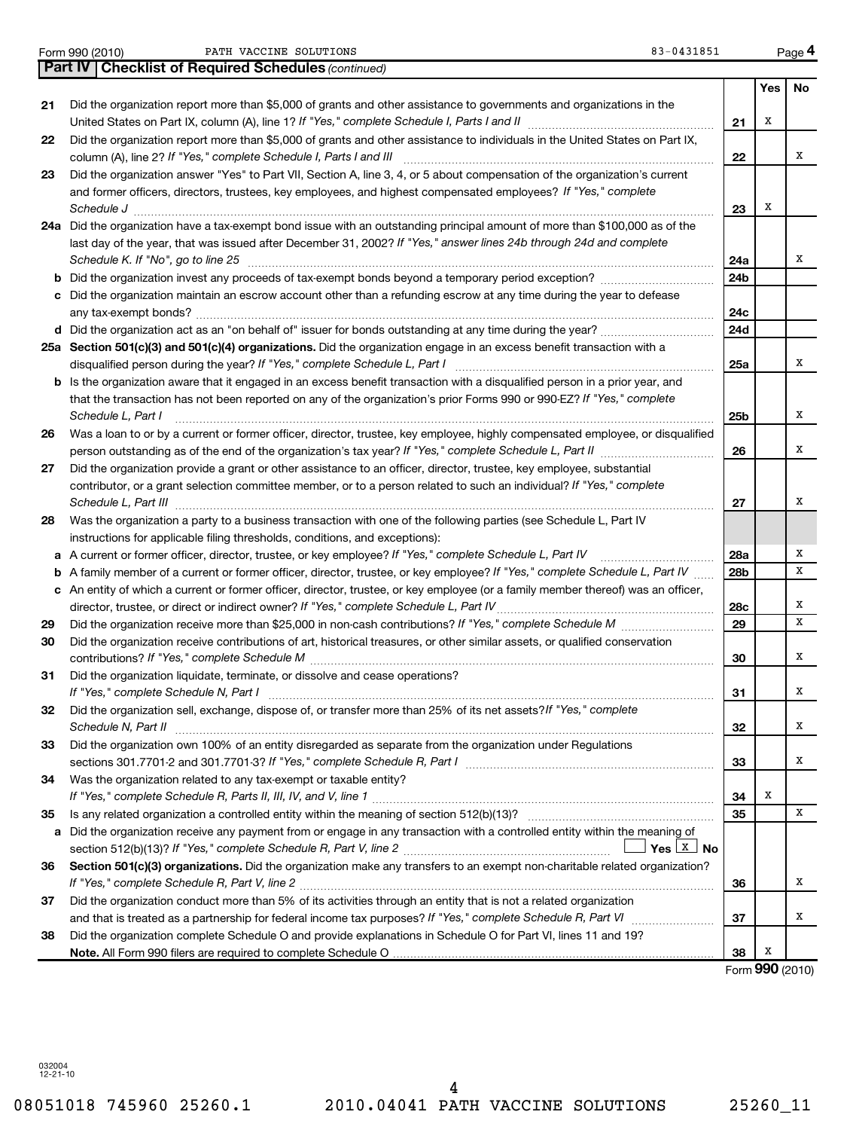Form 990 (2010) Page PATH VACCINE SOLUTIONS 83-0431851

|    | Part IV   Checklist of Required Schedules (continued)                                                                                                                                                                     |     |     |           |
|----|---------------------------------------------------------------------------------------------------------------------------------------------------------------------------------------------------------------------------|-----|-----|-----------|
|    |                                                                                                                                                                                                                           |     | Yes | <b>No</b> |
| 21 | Did the organization report more than \$5,000 of grants and other assistance to governments and organizations in the                                                                                                      |     |     |           |
|    |                                                                                                                                                                                                                           | 21  | Х   |           |
| 22 | Did the organization report more than \$5,000 of grants and other assistance to individuals in the United States on Part IX,<br>column (A), line 2? If "Yes," complete Schedule I, Parts I and III                        | 22  |     | х         |
| 23 | Did the organization answer "Yes" to Part VII, Section A, line 3, 4, or 5 about compensation of the organization's current                                                                                                |     |     |           |
|    | and former officers, directors, trustees, key employees, and highest compensated employees? If "Yes," complete<br>Schedule J                                                                                              | 23  | Х   |           |
|    | 24a Did the organization have a tax-exempt bond issue with an outstanding principal amount of more than \$100,000 as of the                                                                                               |     |     |           |
|    | last day of the year, that was issued after December 31, 2002? If "Yes," answer lines 24b through 24d and complete                                                                                                        |     |     |           |
|    | Schedule K. If "No", go to line 25                                                                                                                                                                                        | 24a |     | х         |
| b  | Did the organization invest any proceeds of tax-exempt bonds beyond a temporary period exception?                                                                                                                         | 24b |     |           |
| с  | Did the organization maintain an escrow account other than a refunding escrow at any time during the year to defease                                                                                                      | 24c |     |           |
|    |                                                                                                                                                                                                                           | 24d |     |           |
|    | 25a Section 501(c)(3) and 501(c)(4) organizations. Did the organization engage in an excess benefit transaction with a                                                                                                    |     |     |           |
|    |                                                                                                                                                                                                                           | 25a |     | x         |
|    | <b>b</b> Is the organization aware that it engaged in an excess benefit transaction with a disqualified person in a prior year, and                                                                                       |     |     |           |
|    | that the transaction has not been reported on any of the organization's prior Forms 990 or 990-EZ? If "Yes," complete                                                                                                     |     |     |           |
|    | Schedule L, Part I                                                                                                                                                                                                        | 25b |     | х         |
| 26 | Was a loan to or by a current or former officer, director, trustee, key employee, highly compensated employee, or disqualified                                                                                            |     |     |           |
|    | person outstanding as of the end of the organization's tax year? If "Yes," complete Schedule L, Part II manufaction of the end of the organization's tax year? If "Yes," complete Schedule L, Part II                     | 26  |     | x         |
| 27 | Did the organization provide a grant or other assistance to an officer, director, trustee, key employee, substantial                                                                                                      |     |     |           |
|    | contributor, or a grant selection committee member, or to a person related to such an individual? If "Yes," complete<br>Schedule L, Part III                                                                              | 27  |     | х         |
| 28 | Was the organization a party to a business transaction with one of the following parties (see Schedule L, Part IV                                                                                                         |     |     |           |
|    | instructions for applicable filing thresholds, conditions, and exceptions):                                                                                                                                               |     |     |           |
| а  | A current or former officer, director, trustee, or key employee? If "Yes," complete Schedule L, Part IV                                                                                                                   | 28a |     | х         |
| b  | A family member of a current or former officer, director, trustee, or key employee? If "Yes," complete Schedule L, Part IV                                                                                                | 28b |     | x         |
| с  | An entity of which a current or former officer, director, trustee, or key employee (or a family member thereof) was an officer,<br>director, trustee, or direct or indirect owner? If "Yes," complete Schedule L, Part IV | 28c |     | х         |
| 29 | Did the organization receive more than \$25,000 in non-cash contributions? If "Yes," complete Schedule M                                                                                                                  | 29  |     | X         |
| 30 | Did the organization receive contributions of art, historical treasures, or other similar assets, or qualified conservation                                                                                               | 30  |     | х         |
| 31 | Did the organization liquidate, terminate, or dissolve and cease operations?                                                                                                                                              |     |     |           |
|    |                                                                                                                                                                                                                           | 31  |     | х         |
| 32 | Did the organization sell, exchange, dispose of, or transfer more than 25% of its net assets? If "Yes," complete<br>Schedule N, Part II                                                                                   | 32  |     | Х         |
| 33 | Did the organization own 100% of an entity disregarded as separate from the organization under Regulations                                                                                                                |     |     |           |
|    | sections 301.7701-2 and 301.7701-3? If "Yes," complete Schedule R, Part I [1] [1] [1] [1] [1] [1] sections 301.7701-2 and 301.7701-3? If "Yes," complete Schedule R, Part I                                               | 33  |     | х         |
| 34 | Was the organization related to any tax-exempt or taxable entity?                                                                                                                                                         | 34  | Х   |           |
| 35 |                                                                                                                                                                                                                           | 35  |     | X         |
| a  | Did the organization receive any payment from or engage in any transaction with a controlled entity within the meaning of                                                                                                 |     |     |           |
|    | Section 501(c)(3) organizations. Did the organization make any transfers to an exempt non-charitable related organization?                                                                                                |     |     |           |
| 36 |                                                                                                                                                                                                                           | 36  |     | х         |
| 37 | Did the organization conduct more than 5% of its activities through an entity that is not a related organization                                                                                                          |     |     |           |
|    |                                                                                                                                                                                                                           | 37  |     | х         |
| 38 | Did the organization complete Schedule O and provide explanations in Schedule O for Part VI, lines 11 and 19?                                                                                                             |     |     |           |
|    |                                                                                                                                                                                                                           | 38  | Х   |           |

Form (2010) **990**

032004 12-21-10

**4**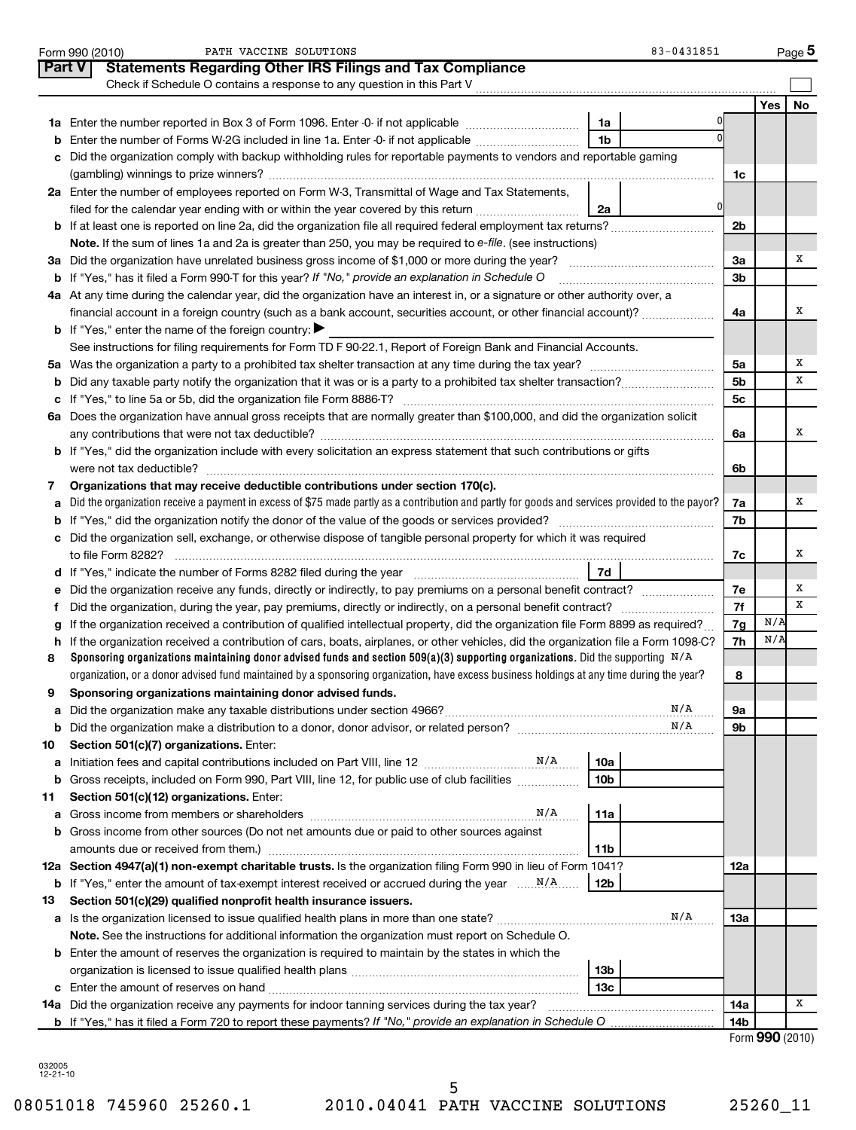|               | 83-0431851<br>PATH VACCINE SOLUTIONS<br>Form 990 (2010)                                                                                                                                                                                                            |                |     | Page 5          |
|---------------|--------------------------------------------------------------------------------------------------------------------------------------------------------------------------------------------------------------------------------------------------------------------|----------------|-----|-----------------|
| <b>Part V</b> | <b>Statements Regarding Other IRS Filings and Tax Compliance</b>                                                                                                                                                                                                   |                |     |                 |
|               | Check if Schedule O contains a response to any question in this Part V                                                                                                                                                                                             |                |     |                 |
|               |                                                                                                                                                                                                                                                                    |                | Yes | No              |
|               | 1a                                                                                                                                                                                                                                                                 |                |     |                 |
|               | $\Omega$<br>1 <sub>b</sub><br><b>b</b> Enter the number of Forms W-2G included in line 1a. Enter -0- if not applicable                                                                                                                                             |                |     |                 |
|               | c Did the organization comply with backup withholding rules for reportable payments to vendors and reportable gaming                                                                                                                                               |                |     |                 |
|               |                                                                                                                                                                                                                                                                    | 1c             |     |                 |
|               | 2a Enter the number of employees reported on Form W-3, Transmittal of Wage and Tax Statements,                                                                                                                                                                     |                |     |                 |
|               | 0<br>filed for the calendar year ending with or within the year covered by this return <i>manumumumum</i><br>2a                                                                                                                                                    |                |     |                 |
|               |                                                                                                                                                                                                                                                                    | 2b             |     |                 |
|               | Note. If the sum of lines 1a and 2a is greater than 250, you may be required to e-file. (see instructions)                                                                                                                                                         |                |     |                 |
|               |                                                                                                                                                                                                                                                                    | За             |     | х               |
|               | <b>b</b> If "Yes," has it filed a Form 990-T for this year? If "No," provide an explanation in Schedule O                                                                                                                                                          | 3 <sub>b</sub> |     |                 |
|               | 4a At any time during the calendar year, did the organization have an interest in, or a signature or other authority over, a                                                                                                                                       |                |     |                 |
|               | financial account in a foreign country (such as a bank account, securities account, or other financial account)?                                                                                                                                                   | 4a             |     | х               |
|               | <b>b</b> If "Yes," enter the name of the foreign country:                                                                                                                                                                                                          |                |     |                 |
|               | See instructions for filing requirements for Form TD F 90-22.1, Report of Foreign Bank and Financial Accounts.                                                                                                                                                     |                |     |                 |
|               |                                                                                                                                                                                                                                                                    | 5a             |     | х               |
|               |                                                                                                                                                                                                                                                                    | 5 <sub>b</sub> |     | х               |
|               |                                                                                                                                                                                                                                                                    | 5c             |     |                 |
|               | 6a Does the organization have annual gross receipts that are normally greater than \$100,000, and did the organization solicit                                                                                                                                     |                |     |                 |
|               |                                                                                                                                                                                                                                                                    | 6a             |     | х               |
|               | b If "Yes," did the organization include with every solicitation an express statement that such contributions or gifts                                                                                                                                             |                |     |                 |
|               | were not tax deductible?                                                                                                                                                                                                                                           | 6b             |     |                 |
| 7             | Organizations that may receive deductible contributions under section 170(c).                                                                                                                                                                                      |                |     |                 |
| a             | Did the organization receive a payment in excess of \$75 made partly as a contribution and partly for goods and services provided to the payor?                                                                                                                    | 7a             |     | х               |
|               |                                                                                                                                                                                                                                                                    | 7b             |     |                 |
|               | c Did the organization sell, exchange, or otherwise dispose of tangible personal property for which it was required                                                                                                                                                |                |     | х               |
|               | 7d                                                                                                                                                                                                                                                                 | 7c             |     |                 |
|               | d If "Yes," indicate the number of Forms 8282 filed during the year manufactured in the set of the number of Forms 8282 filed during the year<br>e Did the organization receive any funds, directly or indirectly, to pay premiums on a personal benefit contract? | 7е             |     | х               |
| f             |                                                                                                                                                                                                                                                                    | 7f             |     | х               |
|               | g If the organization received a contribution of qualified intellectual property, did the organization file Form 8899 as required?                                                                                                                                 | 7g             | N/A |                 |
|               | h If the organization received a contribution of cars, boats, airplanes, or other vehicles, did the organization file a Form 1098-C?                                                                                                                               | 7h             | N/A |                 |
| 8             | Sponsoring organizations maintaining donor advised funds and section 509(a)(3) supporting organizations. Did the supporting $N/A$                                                                                                                                  |                |     |                 |
|               | organization, or a donor advised fund maintained by a sponsoring organization, have excess business holdings at any time during the year?                                                                                                                          | 8              |     |                 |
| 9             | Sponsoring organizations maintaining donor advised funds.                                                                                                                                                                                                          |                |     |                 |
| а             | N/A                                                                                                                                                                                                                                                                | 9а             |     |                 |
| b             | N/A                                                                                                                                                                                                                                                                | 9b             |     |                 |
| 10            | Section 501(c)(7) organizations. Enter:                                                                                                                                                                                                                            |                |     |                 |
| а             | 10a                                                                                                                                                                                                                                                                |                |     |                 |
|               | <b>b</b> Gross receipts, included on Form 990, Part VIII, line 12, for public use of club facilities <i>manument</i> .<br>10 <sub>b</sub>                                                                                                                          |                |     |                 |
| 11            | Section 501(c)(12) organizations. Enter:                                                                                                                                                                                                                           |                |     |                 |
|               | N/A<br>11a                                                                                                                                                                                                                                                         |                |     |                 |
|               | <b>b</b> Gross income from other sources (Do not net amounts due or paid to other sources against                                                                                                                                                                  |                |     |                 |
|               | amounts due or received from them.)<br>11b                                                                                                                                                                                                                         |                |     |                 |
|               | 12a Section 4947(a)(1) non-exempt charitable trusts. Is the organization filing Form 990 in lieu of Form 1041?                                                                                                                                                     | 12a            |     |                 |
|               | <b>b</b> If "Yes," enter the amount of tax-exempt interest received or accrued during the year $\ldots$ . N/A.<br>12 <sub>b</sub>                                                                                                                                  |                |     |                 |
| 13            | Section 501(c)(29) qualified nonprofit health insurance issuers.                                                                                                                                                                                                   |                |     |                 |
|               | N/A                                                                                                                                                                                                                                                                | 13a            |     |                 |
|               | Note. See the instructions for additional information the organization must report on Schedule O.                                                                                                                                                                  |                |     |                 |
|               | <b>b</b> Enter the amount of reserves the organization is required to maintain by the states in which the                                                                                                                                                          |                |     |                 |
|               | 13b                                                                                                                                                                                                                                                                |                |     |                 |
|               | 13c                                                                                                                                                                                                                                                                |                |     |                 |
|               |                                                                                                                                                                                                                                                                    | 14a            |     | х               |
|               |                                                                                                                                                                                                                                                                    | 14b            |     |                 |
|               |                                                                                                                                                                                                                                                                    |                |     | Form 990 (2010) |

| 032005      |  |
|-------------|--|
| - 10<br>-21 |  |

5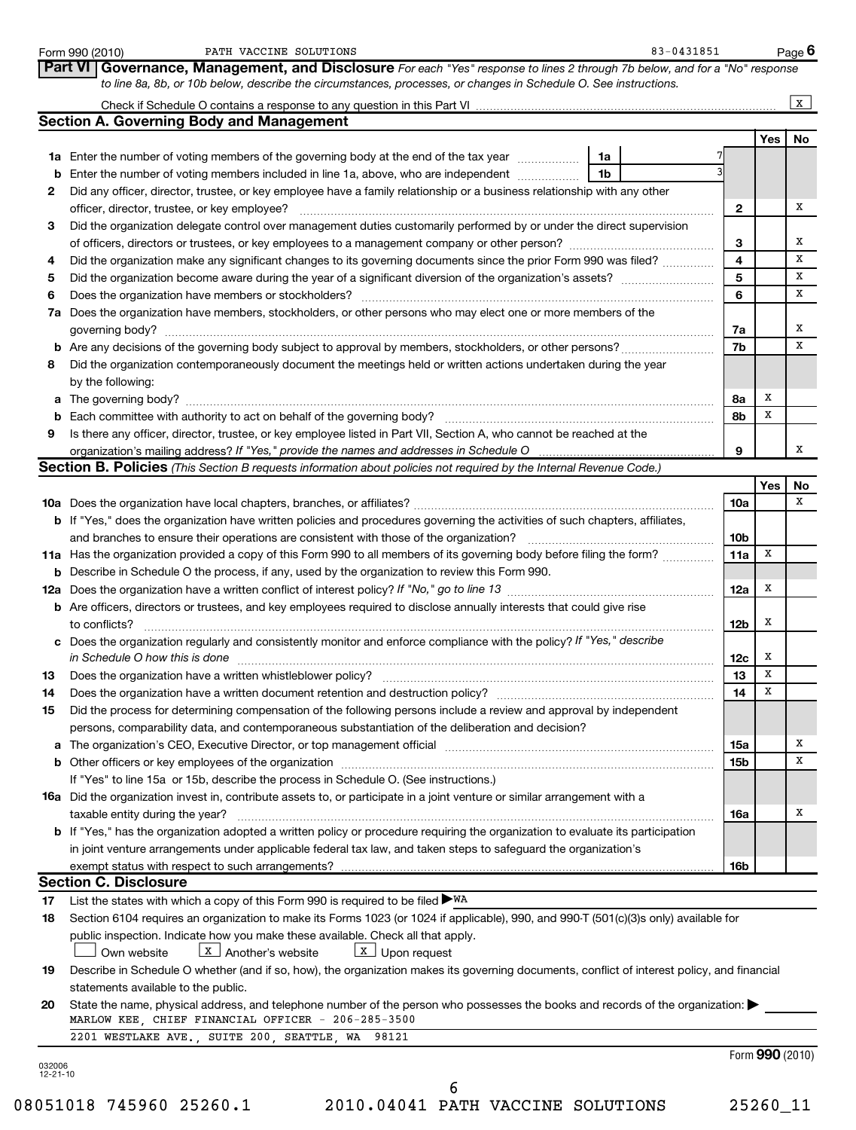|                | PATH VACCINE SOLUTIONS<br>Form 990 (2010)                                                                                                                          | 83-0431851 |                 |     | Page 6          |
|----------------|--------------------------------------------------------------------------------------------------------------------------------------------------------------------|------------|-----------------|-----|-----------------|
|                | <b>Part VI Governance, Management, and Disclosure</b> For each "Yes" response to lines 2 through 7b below, and for a "No" response                                 |            |                 |     |                 |
|                | to line 8a, 8b, or 10b below, describe the circumstances, processes, or changes in Schedule O. See instructions.                                                   |            |                 |     |                 |
|                |                                                                                                                                                                    |            |                 |     | $\mathbf{x}$    |
|                | <b>Section A. Governing Body and Management</b>                                                                                                                    |            |                 |     |                 |
|                |                                                                                                                                                                    |            |                 | Yes | No              |
|                | 1a<br><b>1a</b> Enter the number of voting members of the governing body at the end of the tax year <i>manumum</i>                                                 |            |                 |     |                 |
|                | 1 <sub>b</sub><br><b>b</b> Enter the number of voting members included in line 1a, above, who are independent <i>manumum</i>                                       |            |                 |     |                 |
| $\mathbf{2}$   | Did any officer, director, trustee, or key employee have a family relationship or a business relationship with any other                                           |            |                 |     |                 |
|                | officer, director, trustee, or key employee?                                                                                                                       |            | 2               |     | х               |
| 3              | Did the organization delegate control over management duties customarily performed by or under the direct supervision                                              |            |                 |     |                 |
|                | of officers, directors or trustees, or key employees to a management company or other person?                                                                      |            | 3               |     | х               |
| 4              | Did the organization make any significant changes to its governing documents since the prior Form 990 was filed?                                                   |            | 4               |     | x               |
| 5              |                                                                                                                                                                    |            | 5               |     | х               |
| 6              |                                                                                                                                                                    |            | 6               |     | х               |
|                | 7a Does the organization have members, stockholders, or other persons who may elect one or more members of the                                                     |            |                 |     |                 |
|                | governing body?                                                                                                                                                    |            | 7a              |     | х               |
|                |                                                                                                                                                                    |            | 7b              |     | x               |
| 8              | Did the organization contemporaneously document the meetings held or written actions undertaken during the year                                                    |            |                 |     |                 |
|                | by the following:                                                                                                                                                  |            |                 | х   |                 |
|                | a The governing body?                                                                                                                                              |            | 8а              | х   |                 |
| 9              | Is there any officer, director, trustee, or key employee listed in Part VII, Section A, who cannot be reached at the                                               |            | 8b              |     |                 |
|                | organization's mailing address? If "Yes," provide the names and addresses in Schedule O                                                                            |            | 9               |     | х               |
|                | <b>Section B. Policies</b> (This Section B requests information about policies not required by the Internal Revenue Code.)                                         |            |                 |     |                 |
|                |                                                                                                                                                                    |            |                 | Yes | No              |
|                |                                                                                                                                                                    |            | 10a             |     | x               |
|                | <b>b</b> If "Yes," does the organization have written policies and procedures governing the activities of such chapters, affiliates,                               |            |                 |     |                 |
|                | and branches to ensure their operations are consistent with those of the organization?                                                                             |            | 10 <sub>b</sub> |     |                 |
|                | 11a Has the organization provided a copy of this Form 990 to all members of its governing body before filing the form?                                             |            | 11a             | x   |                 |
|                | <b>b</b> Describe in Schedule O the process, if any, used by the organization to review this Form 990.                                                             |            |                 |     |                 |
|                |                                                                                                                                                                    |            | 12a             | х   |                 |
|                | <b>b</b> Are officers, directors or trustees, and key employees required to disclose annually interests that could give rise                                       |            |                 |     |                 |
|                | to conflicts?                                                                                                                                                      |            | 12b             | x   |                 |
|                | c Does the organization regularly and consistently monitor and enforce compliance with the policy? If "Yes," describe                                              |            |                 |     |                 |
|                | in Schedule O how this is done                                                                                                                                     |            | 12c             | Х   |                 |
|                |                                                                                                                                                                    |            | 13              | Х   |                 |
| 14             | Does the organization have a written document retention and destruction policy?                                                                                    |            | 14              | х   |                 |
| 15             | Did the process for determining compensation of the following persons include a review and approval by independent                                                 |            |                 |     |                 |
|                | persons, comparability data, and contemporaneous substantiation of the deliberation and decision?                                                                  |            |                 |     |                 |
|                |                                                                                                                                                                    |            | 15a             |     | х               |
|                |                                                                                                                                                                    |            | 15b             |     | х               |
|                | If "Yes" to line 15a or 15b, describe the process in Schedule O. (See instructions.)                                                                               |            |                 |     |                 |
|                | <b>16a</b> Did the organization invest in, contribute assets to, or participate in a joint venture or similar arrangement with a                                   |            |                 |     | х               |
|                | taxable entity during the year?<br>b If "Yes," has the organization adopted a written policy or procedure requiring the organization to evaluate its participation |            | 16a             |     |                 |
|                | in joint venture arrangements under applicable federal tax law, and taken steps to safeguard the organization's                                                    |            |                 |     |                 |
|                | exempt status with respect to such arrangements?                                                                                                                   |            | 16b             |     |                 |
|                | <b>Section C. Disclosure</b>                                                                                                                                       |            |                 |     |                 |
| 17             | List the states with which a copy of this Form 990 is required to be filed $\blacktriangleright$ WA                                                                |            |                 |     |                 |
| 18             | Section 6104 requires an organization to make its Forms 1023 (or 1024 if applicable), 990, and 990-T (501(c)(3)s only) available for                               |            |                 |     |                 |
|                | public inspection. Indicate how you make these available. Check all that apply.                                                                                    |            |                 |     |                 |
|                | $\boxed{\mathbf{X}}$ Another's website<br>$\boxed{\mathbf{x}}$ Upon request<br>Own website                                                                         |            |                 |     |                 |
| 19             | Describe in Schedule O whether (and if so, how), the organization makes its governing documents, conflict of interest policy, and financial                        |            |                 |     |                 |
|                | statements available to the public.                                                                                                                                |            |                 |     |                 |
| 20             | State the name, physical address, and telephone number of the person who possesses the books and records of the organization:                                      |            |                 |     |                 |
|                | MARLOW KEE, CHIEF FINANCIAL OFFICER - 206-285-3500                                                                                                                 |            |                 |     |                 |
|                | 2201 WESTLAKE AVE., SUITE 200, SEATTLE, WA 98121                                                                                                                   |            |                 |     |                 |
| 032006         |                                                                                                                                                                    |            |                 |     | Form 990 (2010) |
| $12 - 21 - 10$ |                                                                                                                                                                    |            |                 |     |                 |

08051018 745960 25260.1 2010.04041 PATH VACCINE SOLUTIONS 25260\_11 6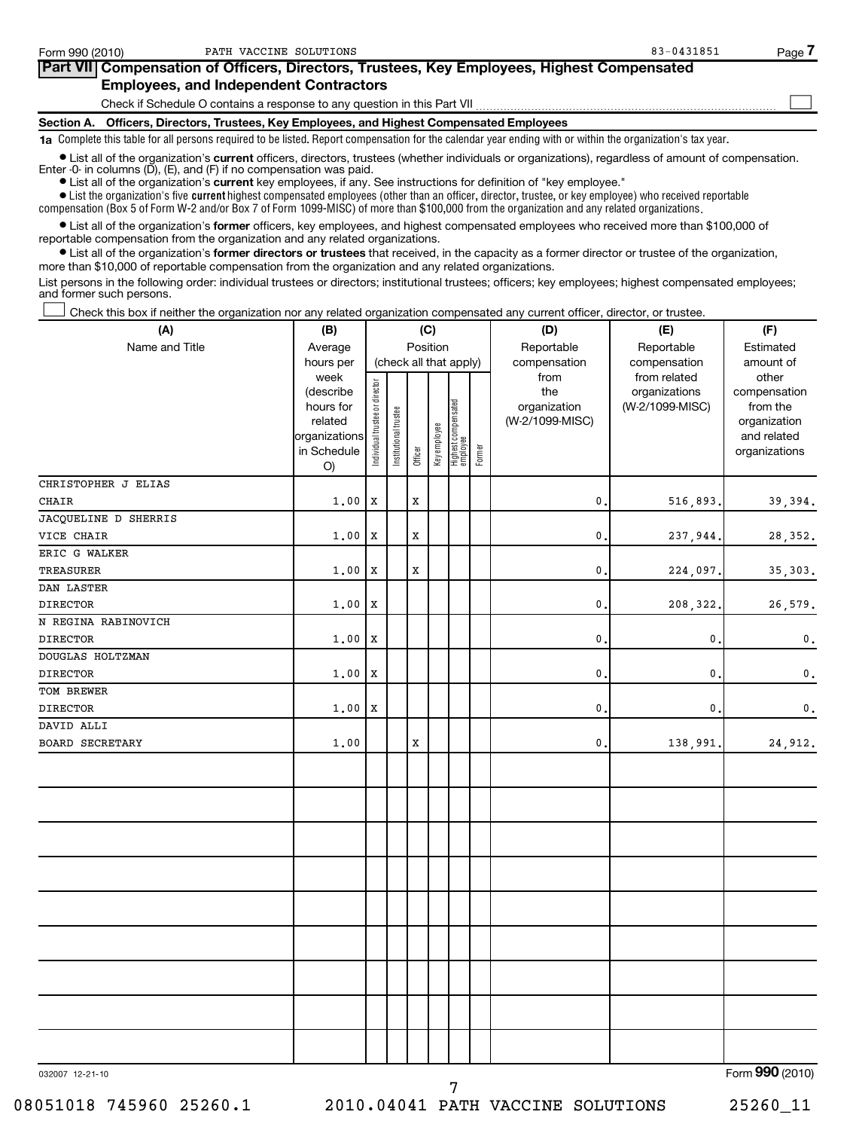| Form 990 (2010) | PATH VACCINE SOLUTIONS                                                                                                                                                                                                               | 83-0431851 | Page |
|-----------------|--------------------------------------------------------------------------------------------------------------------------------------------------------------------------------------------------------------------------------------|------------|------|
|                 | Part VII Compensation of Officers, Directors, Trustees, Key Employees, Highest Compensated                                                                                                                                           |            |      |
|                 | <b>Employees, and Independent Contractors</b>                                                                                                                                                                                        |            |      |
|                 | Check if Schedule O contains a response to any question in this Part VII                                                                                                                                                             |            |      |
|                 | Section A. Officers, Directors, Trustees, Key Employees, and Highest Compensated Employees                                                                                                                                           |            |      |
|                 | 1a Complete this table for all persons required to be listed. Report compensation for the calendar year ending with or within the organization's tax year.                                                                           |            |      |
|                 | • List all of the organization's current officers, directors, trustees (whether individuals or organizations), regardless of amount of compensation.<br>Enter $-0$ in columns $(D)$ , $(E)$ , and $(F)$ if no compensation was paid. |            |      |

**•** List all of the organization's **current** key employees, if any. See instructions for definition of "key employee."

 $\bullet$  List the organization's five  $\tt current$  highest compensated employees (other than an officer, director, trustee, or key employee) who received reportable compensation (Box 5 of Form W-2 and/or Box 7 of Form 1099-MISC) of more than \$100,000 from the organization and any related organizations .

 $\bullet$  List all of the organization's former officers, key employees, and highest compensated employees who received more than \$100,000 of reportable compensation from the organization and any related organizations.

**•** List all of the organization's former directors or trustees that received, in the capacity as a former director or trustee of the organization, more than \$10,000 of reportable compensation from the organization and any related organizations.

List persons in the following order: individual trustees or directors; institutional trustees; officers; key employees; highest compensated employees; and former such persons.

Check this box if neither the organization nor any related organization compensated any current officer, director, or trustee.  $\left\vert \cdot\right\vert$ 

| (A)                    | (C)<br>(B)                                                                                   |                                |                       |         |              |                                                           |        | (D)                                                            | (F)                                                              |                                                                                                |  |
|------------------------|----------------------------------------------------------------------------------------------|--------------------------------|-----------------------|---------|--------------|-----------------------------------------------------------|--------|----------------------------------------------------------------|------------------------------------------------------------------|------------------------------------------------------------------------------------------------|--|
| Name and Title         | Average                                                                                      | Position                       |                       |         |              |                                                           |        | Reportable                                                     | Reportable                                                       | Estimated                                                                                      |  |
|                        | hours per<br>week<br>(describe<br>hours for<br>related<br>organizations<br>in Schedule<br>O) | Individual trustee or director | Institutional trustee | Officer | Key employee | (check all that apply)<br>Highest compensated<br>employee | Former | compensation<br>from<br>the<br>organization<br>(W-2/1099-MISC) | compensation<br>from related<br>organizations<br>(W-2/1099-MISC) | amount of<br>other<br>compensation<br>from the<br>organization<br>and related<br>organizations |  |
| CHRISTOPHER J ELIAS    |                                                                                              |                                |                       |         |              |                                                           |        |                                                                |                                                                  |                                                                                                |  |
| CHAIR                  | 1.00                                                                                         | X                              |                       | X       |              |                                                           |        | $\mathsf{0}$ .                                                 | 516,893.                                                         | 39,394.                                                                                        |  |
| JACQUELINE D SHERRIS   |                                                                                              |                                |                       |         |              |                                                           |        |                                                                |                                                                  |                                                                                                |  |
| VICE CHAIR             | 1.00                                                                                         | X                              |                       | X       |              |                                                           |        | $\mathfrak o$ .                                                | 237,944.                                                         | 28, 352.                                                                                       |  |
| ERIC G WALKER          |                                                                                              |                                |                       |         |              |                                                           |        |                                                                |                                                                  |                                                                                                |  |
| TREASURER              | 1.00                                                                                         | X                              |                       | X       |              |                                                           |        | $\mathsf{0}$ .                                                 | 224,097.                                                         | 35, 303.                                                                                       |  |
| DAN LASTER             |                                                                                              |                                |                       |         |              |                                                           |        |                                                                |                                                                  |                                                                                                |  |
| <b>DIRECTOR</b>        | 1.00                                                                                         | $\mathbf{x}$                   |                       |         |              |                                                           |        | $\mathfrak o$ .                                                | 208,322.                                                         | 26,579.                                                                                        |  |
| N REGINA RABINOVICH    |                                                                                              |                                |                       |         |              |                                                           |        |                                                                |                                                                  |                                                                                                |  |
| <b>DIRECTOR</b>        | 1.00                                                                                         | $\mathbf{x}$                   |                       |         |              |                                                           |        | $\mathsf{0}$ .                                                 | $\mathsf{0}$ .                                                   | $\mathbf 0$ .                                                                                  |  |
| DOUGLAS HOLTZMAN       |                                                                                              |                                |                       |         |              |                                                           |        |                                                                |                                                                  |                                                                                                |  |
| DIRECTOR               | 1,00                                                                                         | X                              |                       |         |              |                                                           |        | $\mathsf{0}$ .                                                 | $\mathbf{0}$                                                     | $\mathbf 0$ .                                                                                  |  |
| TOM BREWER             |                                                                                              |                                |                       |         |              |                                                           |        |                                                                |                                                                  |                                                                                                |  |
| DIRECTOR               | 1.00                                                                                         | X                              |                       |         |              |                                                           |        | $\mathsf{0}$ .                                                 | $\mathbf 0$ .                                                    | $\mathbf 0$ .                                                                                  |  |
| DAVID ALLI             |                                                                                              |                                |                       |         |              |                                                           |        |                                                                |                                                                  |                                                                                                |  |
| <b>BOARD SECRETARY</b> | 1.00                                                                                         |                                |                       | X       |              |                                                           |        | $\mathfrak o$ .                                                | 138,991.                                                         | 24,912.                                                                                        |  |
|                        |                                                                                              |                                |                       |         |              |                                                           |        |                                                                |                                                                  |                                                                                                |  |
|                        |                                                                                              |                                |                       |         |              |                                                           |        |                                                                |                                                                  |                                                                                                |  |
|                        |                                                                                              |                                |                       |         |              |                                                           |        |                                                                |                                                                  |                                                                                                |  |
|                        |                                                                                              |                                |                       |         |              |                                                           |        |                                                                |                                                                  |                                                                                                |  |
|                        |                                                                                              |                                |                       |         |              |                                                           |        |                                                                |                                                                  |                                                                                                |  |
|                        |                                                                                              |                                |                       |         |              |                                                           |        |                                                                |                                                                  |                                                                                                |  |
| 032007 12-21-10        |                                                                                              |                                |                       |         |              | 7                                                         |        |                                                                |                                                                  | Form 990 (2010)                                                                                |  |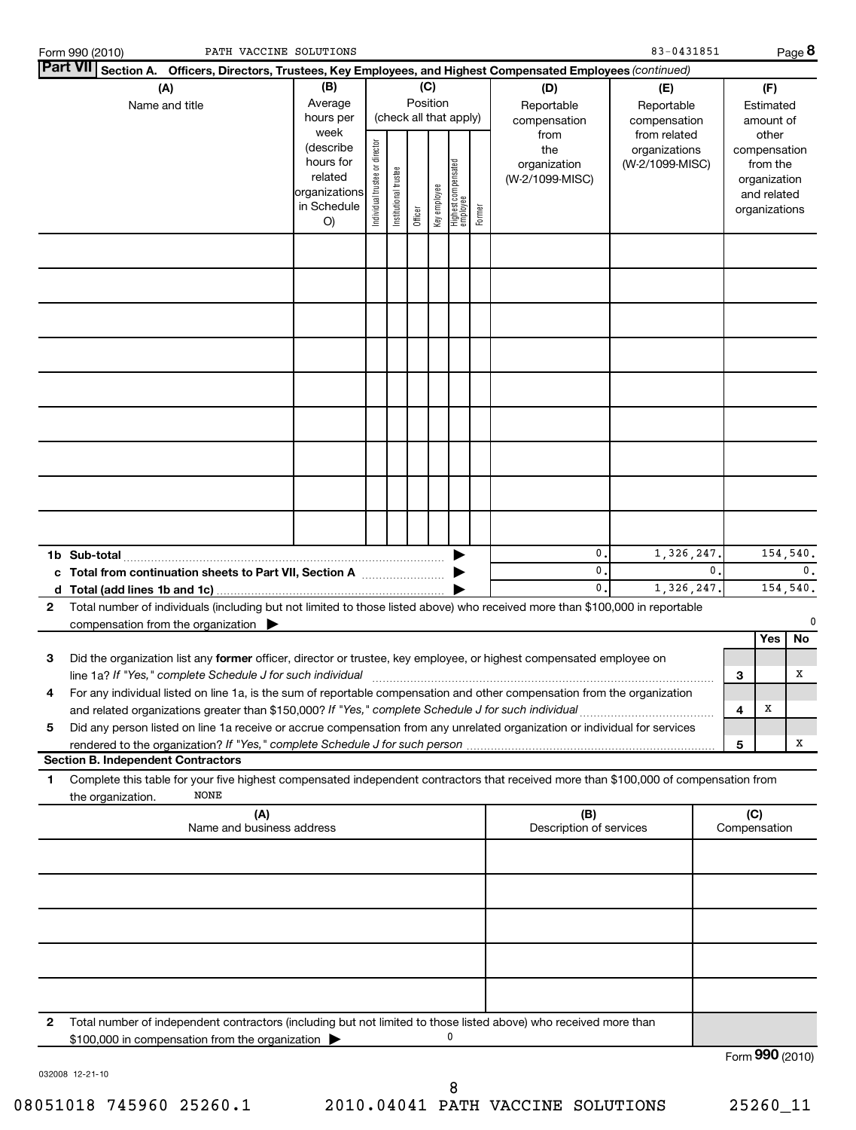|   | PATH VACCINE SOLUTIONS<br>Form 990 (2010)                                                                                                                                                                                       |                                                                         |                                                                                        |                       |         |              |                                 |                                                   |                                        | 83-0431851                             |                |                |                                                                          | Page 8          |
|---|---------------------------------------------------------------------------------------------------------------------------------------------------------------------------------------------------------------------------------|-------------------------------------------------------------------------|----------------------------------------------------------------------------------------|-----------------------|---------|--------------|---------------------------------|---------------------------------------------------|----------------------------------------|----------------------------------------|----------------|----------------|--------------------------------------------------------------------------|-----------------|
|   | <b>Part VII</b><br>Section A. Officers, Directors, Trustees, Key Employees, and Highest Compensated Employees (continued)                                                                                                       |                                                                         |                                                                                        |                       |         |              |                                 |                                                   |                                        |                                        |                |                |                                                                          |                 |
|   | (A)<br>Name and title                                                                                                                                                                                                           | (B)<br>Average<br>hours per<br>week                                     | (C)<br>(D)<br>Position<br>Reportable<br>(check all that apply)<br>compensation<br>from |                       |         |              |                                 | (E)<br>Reportable<br>compensation<br>from related |                                        | (F)<br>Estimated<br>amount of<br>other |                |                |                                                                          |                 |
|   |                                                                                                                                                                                                                                 | (describe<br>hours for<br>related<br>organizations<br>in Schedule<br>O) | Individual trustee or director                                                         | Institutional trustee | Officer | Key employee | Highest compensated<br>employee | Former                                            | the<br>organization<br>(W-2/1099-MISC) | organizations<br>(W-2/1099-MISC)       |                |                | compensation<br>from the<br>organization<br>and related<br>organizations |                 |
|   |                                                                                                                                                                                                                                 |                                                                         |                                                                                        |                       |         |              |                                 |                                                   |                                        |                                        |                |                |                                                                          |                 |
|   |                                                                                                                                                                                                                                 |                                                                         |                                                                                        |                       |         |              |                                 |                                                   |                                        |                                        |                |                |                                                                          |                 |
|   |                                                                                                                                                                                                                                 |                                                                         |                                                                                        |                       |         |              |                                 |                                                   |                                        |                                        |                |                |                                                                          |                 |
|   |                                                                                                                                                                                                                                 |                                                                         |                                                                                        |                       |         |              |                                 |                                                   |                                        |                                        |                |                |                                                                          |                 |
|   |                                                                                                                                                                                                                                 |                                                                         |                                                                                        |                       |         |              |                                 |                                                   |                                        |                                        |                |                |                                                                          |                 |
|   |                                                                                                                                                                                                                                 |                                                                         |                                                                                        |                       |         |              |                                 |                                                   |                                        |                                        |                |                |                                                                          |                 |
|   |                                                                                                                                                                                                                                 |                                                                         |                                                                                        |                       |         |              |                                 |                                                   |                                        |                                        |                |                |                                                                          |                 |
|   | 1b Sub-total<br>c Total from continuation sheets to Part VII, Section A                                                                                                                                                         |                                                                         |                                                                                        |                       |         |              |                                 |                                                   | 0.<br>0.                               | 1,326,247.                             | $\mathbf{0}$ . | 154,540.<br>0. |                                                                          |                 |
| 2 | Total number of individuals (including but not limited to those listed above) who received more than \$100,000 in reportable                                                                                                    |                                                                         |                                                                                        |                       |         |              |                                 |                                                   | $\mathbf{0}$ .                         | 1,326,247.                             |                |                |                                                                          | 154,540.        |
|   | compensation from the organization $\blacktriangleright$                                                                                                                                                                        |                                                                         |                                                                                        |                       |         |              |                                 |                                                   |                                        |                                        |                |                | Yes                                                                      | 0<br>No         |
| з | Did the organization list any former officer, director or trustee, key employee, or highest compensated employee on<br>line 1a? If "Yes," complete Schedule J for such individual                                               |                                                                         |                                                                                        |                       |         |              |                                 |                                                   |                                        |                                        |                | 3              |                                                                          | X               |
| 4 | For any individual listed on line 1a, is the sum of reportable compensation and other compensation from the organization<br>and related organizations greater than \$150,000? If "Yes," complete Schedule J for such individual |                                                                         |                                                                                        |                       |         |              |                                 |                                                   |                                        |                                        |                | 4              | Х                                                                        |                 |
| 5 | Did any person listed on line 1a receive or accrue compensation from any unrelated organization or individual for services<br>rendered to the organization? If "Yes," complete Schedule J for such person                       |                                                                         |                                                                                        |                       |         |              |                                 |                                                   |                                        |                                        |                | 5              |                                                                          | X               |
| 1 | <b>Section B. Independent Contractors</b><br>Complete this table for your five highest compensated independent contractors that received more than \$100,000 of compensation from                                               |                                                                         |                                                                                        |                       |         |              |                                 |                                                   |                                        |                                        |                |                |                                                                          |                 |
|   | NONE<br>the organization.<br>(A)<br>Name and business address                                                                                                                                                                   |                                                                         |                                                                                        |                       |         |              |                                 |                                                   | (B)<br>Description of services         |                                        |                | (C)            | Compensation                                                             |                 |
|   |                                                                                                                                                                                                                                 |                                                                         |                                                                                        |                       |         |              |                                 |                                                   |                                        |                                        |                |                |                                                                          |                 |
|   |                                                                                                                                                                                                                                 |                                                                         |                                                                                        |                       |         |              |                                 |                                                   |                                        |                                        |                |                |                                                                          |                 |
|   |                                                                                                                                                                                                                                 |                                                                         |                                                                                        |                       |         |              |                                 |                                                   |                                        |                                        |                |                |                                                                          |                 |
|   |                                                                                                                                                                                                                                 |                                                                         |                                                                                        |                       |         |              |                                 |                                                   |                                        |                                        |                |                |                                                                          |                 |
| 2 | Total number of independent contractors (including but not limited to those listed above) who received more than<br>\$100,000 in compensation from the organization                                                             |                                                                         |                                                                                        |                       |         |              | 0                               |                                                   |                                        |                                        |                |                |                                                                          |                 |
|   |                                                                                                                                                                                                                                 |                                                                         |                                                                                        |                       |         |              |                                 |                                                   |                                        |                                        |                |                |                                                                          | Form 990 (2010) |

032008 12-21-10

Form **990** (2010)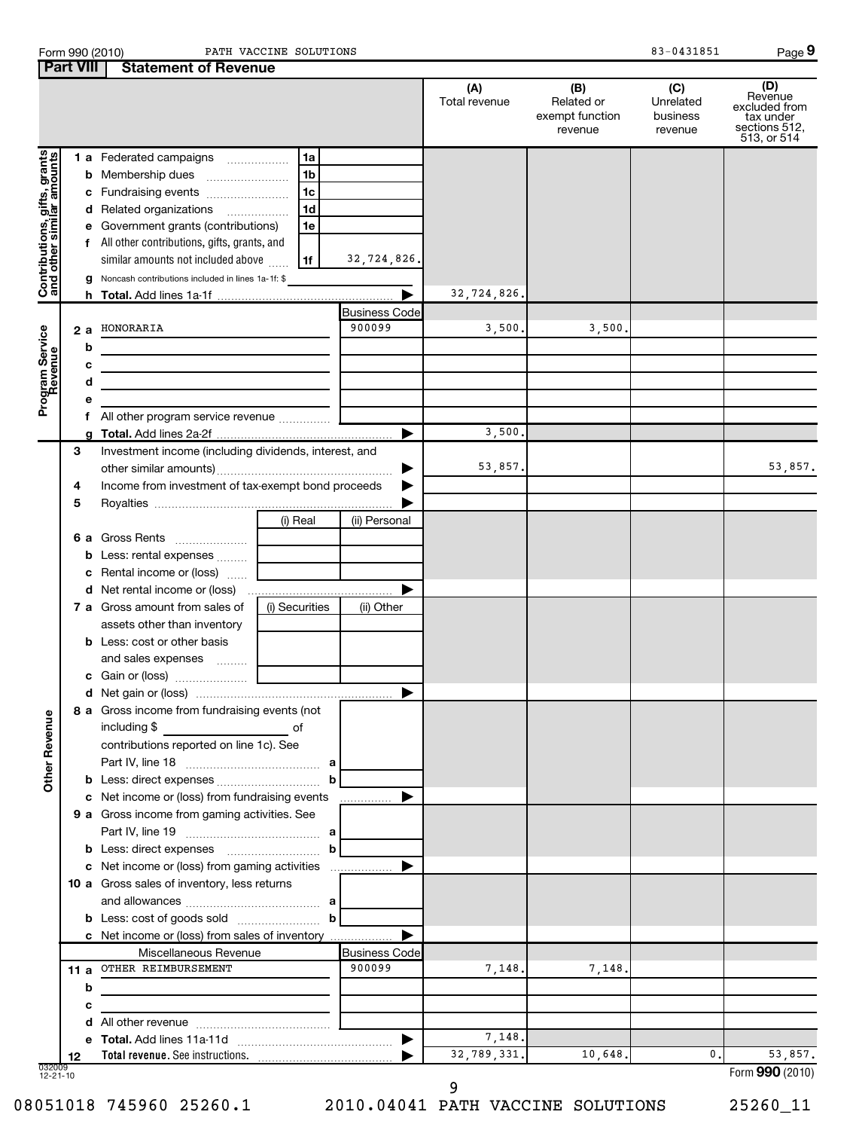| Form 990 (2010)                       |  | PATH VACCI |
|---------------------------------------|--|------------|
| <b>Part VIII Statement of Revenue</b> |  |            |

Form 990 (2010) Page PATH VACCINE SOLUTIONS 83-0431851

**9**

|                            |      |   | <b>Statement of Devenue</b>                           |  |                |                                | (A)<br>Total revenue | (B)<br>Related or<br>exempt function<br>revenue | (C)<br>Unrelated<br>business<br>revenue | (D)<br>Revenue<br>excluded from<br>tax under<br>sections 512,<br>513, or 514 |
|----------------------------|------|---|-------------------------------------------------------|--|----------------|--------------------------------|----------------------|-------------------------------------------------|-----------------------------------------|------------------------------------------------------------------------------|
| gifts, grants              |      |   | 1 a Federated campaigns                               |  | 1a             |                                |                      |                                                 |                                         |                                                                              |
|                            |      |   |                                                       |  | 1b             |                                |                      |                                                 |                                         |                                                                              |
|                            |      |   |                                                       |  | 1c             |                                |                      |                                                 |                                         |                                                                              |
|                            |      |   | d Related organizations                               |  | 1 <sub>d</sub> |                                |                      |                                                 |                                         |                                                                              |
|                            |      |   | e Government grants (contributions)                   |  | 1e             |                                |                      |                                                 |                                         |                                                                              |
|                            |      |   | f All other contributions, gifts, grants, and         |  |                |                                |                      |                                                 |                                         |                                                                              |
|                            |      |   | similar amounts not included above                    |  | 1f             | 32,724,826.                    |                      |                                                 |                                         |                                                                              |
| Contributions,             |      |   | Noncash contributions included in lines 1a-1f: \$     |  |                |                                |                      |                                                 |                                         |                                                                              |
|                            |      |   |                                                       |  |                |                                | 32,724,826.          |                                                 |                                         |                                                                              |
|                            |      |   |                                                       |  |                | <b>Business Code</b>           |                      |                                                 |                                         |                                                                              |
|                            | 2 a  |   | HONORARIA                                             |  |                | 900099                         | 3,500.               | 3,500.                                          |                                         |                                                                              |
|                            |      | b |                                                       |  |                |                                |                      |                                                 |                                         |                                                                              |
|                            |      | с |                                                       |  |                |                                |                      |                                                 |                                         |                                                                              |
|                            |      | d |                                                       |  |                |                                |                      |                                                 |                                         |                                                                              |
| Program Service<br>Revenue |      | е |                                                       |  |                |                                |                      |                                                 |                                         |                                                                              |
|                            |      |   |                                                       |  |                | ▶                              | 3,500.               |                                                 |                                         |                                                                              |
|                            | З    |   | Investment income (including dividends, interest, and |  |                |                                |                      |                                                 |                                         |                                                                              |
|                            |      |   |                                                       |  |                | ▶                              | 53,857.              |                                                 |                                         | 53,857.                                                                      |
|                            | 4    |   | Income from investment of tax-exempt bond proceeds    |  | ▶              |                                |                      |                                                 |                                         |                                                                              |
|                            | 5    |   |                                                       |  |                |                                |                      |                                                 |                                         |                                                                              |
|                            |      |   |                                                       |  | (i) Real       | (ii) Personal                  |                      |                                                 |                                         |                                                                              |
|                            |      |   | 6 a Gross Rents                                       |  |                |                                |                      |                                                 |                                         |                                                                              |
|                            |      |   | <b>b</b> Less: rental expenses                        |  |                |                                |                      |                                                 |                                         |                                                                              |
|                            |      |   | c Rental income or (loss)                             |  |                |                                |                      |                                                 |                                         |                                                                              |
|                            |      |   |                                                       |  |                | ▶                              |                      |                                                 |                                         |                                                                              |
|                            |      |   | <b>7 a</b> Gross amount from sales of                 |  | (i) Securities | (ii) Other                     |                      |                                                 |                                         |                                                                              |
|                            |      |   | assets other than inventory                           |  |                |                                |                      |                                                 |                                         |                                                                              |
|                            |      |   | <b>b</b> Less: cost or other basis                    |  |                |                                |                      |                                                 |                                         |                                                                              |
|                            |      |   | and sales expenses                                    |  |                |                                |                      |                                                 |                                         |                                                                              |
|                            |      |   |                                                       |  |                |                                |                      |                                                 |                                         |                                                                              |
|                            |      |   |                                                       |  |                | ▶                              |                      |                                                 |                                         |                                                                              |
| Ф                          |      |   | 8 a Gross income from fundraising events (not         |  |                |                                |                      |                                                 |                                         |                                                                              |
|                            |      |   | including \$                                          |  | of             |                                |                      |                                                 |                                         |                                                                              |
|                            |      |   | contributions reported on line 1c). See               |  |                |                                |                      |                                                 |                                         |                                                                              |
| <b>Other Revenu</b>        |      |   |                                                       |  | a              |                                |                      |                                                 |                                         |                                                                              |
|                            |      |   |                                                       |  | b              |                                |                      |                                                 |                                         |                                                                              |
|                            |      |   | c Net income or (loss) from fundraising events        |  |                | ▶                              |                      |                                                 |                                         |                                                                              |
|                            |      |   | 9 a Gross income from gaming activities. See          |  |                |                                |                      |                                                 |                                         |                                                                              |
|                            |      |   |                                                       |  |                |                                |                      |                                                 |                                         |                                                                              |
|                            |      |   |                                                       |  | b              |                                |                      |                                                 |                                         |                                                                              |
|                            |      |   | c Net income or (loss) from gaming activities         |  |                | ▶                              |                      |                                                 |                                         |                                                                              |
|                            |      |   | 10 a Gross sales of inventory, less returns           |  |                |                                |                      |                                                 |                                         |                                                                              |
|                            |      |   |                                                       |  |                |                                |                      |                                                 |                                         |                                                                              |
|                            |      |   |                                                       |  | b              |                                |                      |                                                 |                                         |                                                                              |
|                            |      |   | c Net income or (loss) from sales of inventory        |  |                |                                |                      |                                                 |                                         |                                                                              |
|                            |      |   | Miscellaneous Revenue                                 |  |                | <b>Business Code</b><br>900099 |                      |                                                 |                                         |                                                                              |
|                            | 11 a |   | OTHER REIMBURSEMENT                                   |  |                |                                | 7,148.               | 7,148.                                          |                                         |                                                                              |
|                            |      | b |                                                       |  |                |                                |                      |                                                 |                                         |                                                                              |
|                            |      | с |                                                       |  |                |                                |                      |                                                 |                                         |                                                                              |
|                            |      | d |                                                       |  |                |                                | 7,148.               |                                                 |                                         |                                                                              |
|                            | 12   |   |                                                       |  |                |                                | 32,789,331.          | 10,648.                                         | 0.                                      | 53,857.                                                                      |
| 032009<br>$12 - 21 - 10$   |      |   |                                                       |  |                |                                |                      |                                                 |                                         | Form 990 (2010)                                                              |

9

08051018 745960 25260.1 2010.04041 PATH VACCINE SOLUTIONS 25260\_11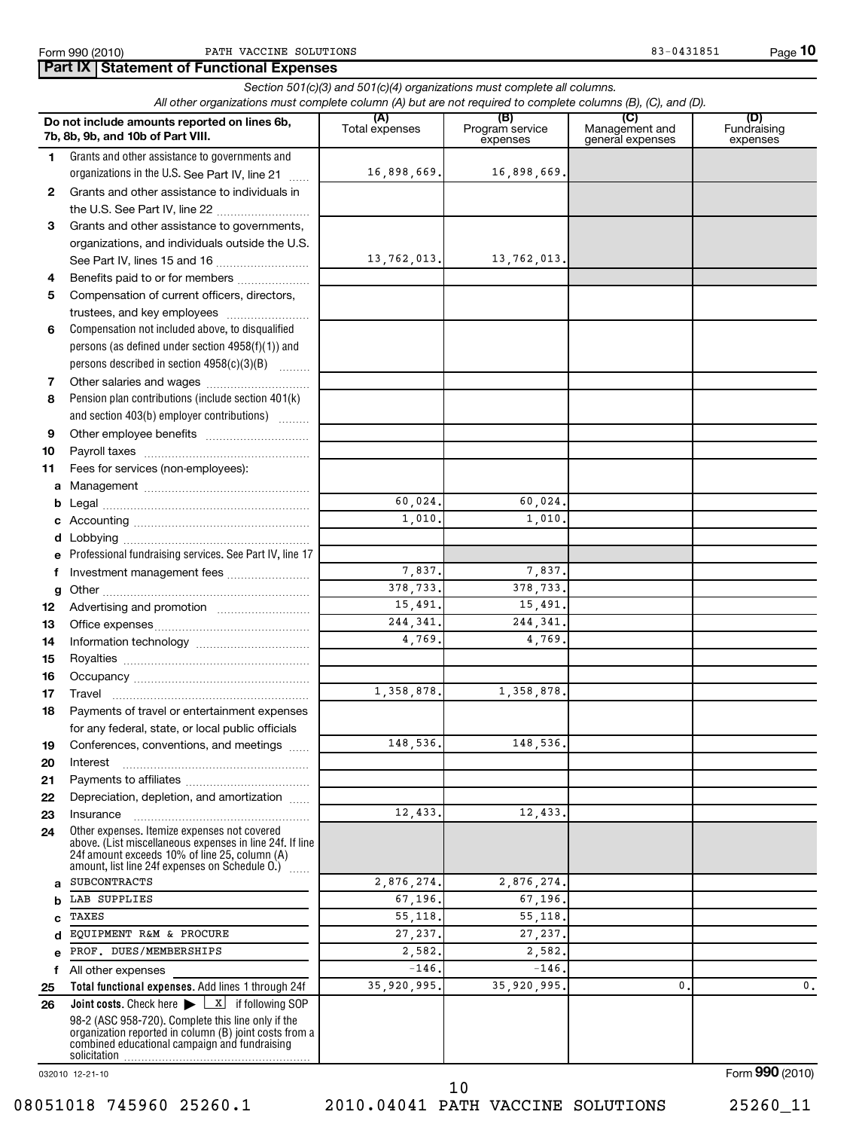**Part IX | Statement of Functional Expenses** 

|              | Section 501(c)(3) and 501(c)(4) organizations must complete all columns.<br>All other organizations must complete column (A) but are not required to complete columns (B), (C), and (D).                      |                       |                                    |                                           |                                |  |  |  |  |  |
|--------------|---------------------------------------------------------------------------------------------------------------------------------------------------------------------------------------------------------------|-----------------------|------------------------------------|-------------------------------------------|--------------------------------|--|--|--|--|--|
|              | Do not include amounts reported on lines 6b,<br>7b, 8b, 9b, and 10b of Part VIII.                                                                                                                             | (A)<br>Total expenses | (B)<br>Program service<br>expenses | (C)<br>Management and<br>general expenses | (D)<br>Fundraising<br>expenses |  |  |  |  |  |
| 1            | Grants and other assistance to governments and                                                                                                                                                                |                       |                                    |                                           |                                |  |  |  |  |  |
|              | organizations in the U.S. See Part IV, line 21                                                                                                                                                                | 16,898,669.           | 16,898,669.                        |                                           |                                |  |  |  |  |  |
| $\mathbf{2}$ | Grants and other assistance to individuals in                                                                                                                                                                 |                       |                                    |                                           |                                |  |  |  |  |  |
|              | the U.S. See Part IV, line 22                                                                                                                                                                                 |                       |                                    |                                           |                                |  |  |  |  |  |
| 3            | Grants and other assistance to governments,                                                                                                                                                                   |                       |                                    |                                           |                                |  |  |  |  |  |
|              | organizations, and individuals outside the U.S.                                                                                                                                                               |                       |                                    |                                           |                                |  |  |  |  |  |
|              |                                                                                                                                                                                                               | 13,762,013.           | 13,762,013.                        |                                           |                                |  |  |  |  |  |
| 4            | Benefits paid to or for members                                                                                                                                                                               |                       |                                    |                                           |                                |  |  |  |  |  |
| 5            | Compensation of current officers, directors,                                                                                                                                                                  |                       |                                    |                                           |                                |  |  |  |  |  |
|              | trustees, and key employees                                                                                                                                                                                   |                       |                                    |                                           |                                |  |  |  |  |  |
| 6            | Compensation not included above, to disqualified                                                                                                                                                              |                       |                                    |                                           |                                |  |  |  |  |  |
|              | persons (as defined under section 4958(f)(1)) and                                                                                                                                                             |                       |                                    |                                           |                                |  |  |  |  |  |
|              | persons described in section 4958(c)(3)(B)                                                                                                                                                                    |                       |                                    |                                           |                                |  |  |  |  |  |
| 7            | Other salaries and wages                                                                                                                                                                                      |                       |                                    |                                           |                                |  |  |  |  |  |
| 8            | Pension plan contributions (include section 401(k)                                                                                                                                                            |                       |                                    |                                           |                                |  |  |  |  |  |
|              | and section 403(b) employer contributions)                                                                                                                                                                    |                       |                                    |                                           |                                |  |  |  |  |  |
| 9            |                                                                                                                                                                                                               |                       |                                    |                                           |                                |  |  |  |  |  |
| 10           |                                                                                                                                                                                                               |                       |                                    |                                           |                                |  |  |  |  |  |
| 11           | Fees for services (non-employees):                                                                                                                                                                            |                       |                                    |                                           |                                |  |  |  |  |  |
| а            |                                                                                                                                                                                                               | 60,024.               | 60,024.                            |                                           |                                |  |  |  |  |  |
| b            |                                                                                                                                                                                                               | 1,010.                | 1,010.                             |                                           |                                |  |  |  |  |  |
| c            |                                                                                                                                                                                                               |                       |                                    |                                           |                                |  |  |  |  |  |
| d            | Professional fundraising services. See Part IV, line 17                                                                                                                                                       |                       |                                    |                                           |                                |  |  |  |  |  |
| e<br>f       | Investment management fees                                                                                                                                                                                    | 7,837.                | 7,837.                             |                                           |                                |  |  |  |  |  |
|              |                                                                                                                                                                                                               | 378,733.              | 378,733.                           |                                           |                                |  |  |  |  |  |
| g<br>12      |                                                                                                                                                                                                               | 15,491.               | 15,491.                            |                                           |                                |  |  |  |  |  |
| 13           |                                                                                                                                                                                                               | 244, 341.             | 244,341                            |                                           |                                |  |  |  |  |  |
| 14           |                                                                                                                                                                                                               | 4,769.                | 4,769.                             |                                           |                                |  |  |  |  |  |
| 15           |                                                                                                                                                                                                               |                       |                                    |                                           |                                |  |  |  |  |  |
| 16           |                                                                                                                                                                                                               |                       |                                    |                                           |                                |  |  |  |  |  |
| 17           |                                                                                                                                                                                                               | 1,358,878.            | 1,358,878.                         |                                           |                                |  |  |  |  |  |
| 18           | Payments of travel or entertainment expenses                                                                                                                                                                  |                       |                                    |                                           |                                |  |  |  |  |  |
|              | for any federal, state, or local public officials                                                                                                                                                             |                       |                                    |                                           |                                |  |  |  |  |  |
| 19           | Conferences, conventions, and meetings                                                                                                                                                                        | 148,536.              | 148,536.                           |                                           |                                |  |  |  |  |  |
| 20           | Interest                                                                                                                                                                                                      |                       |                                    |                                           |                                |  |  |  |  |  |
| 21           |                                                                                                                                                                                                               |                       |                                    |                                           |                                |  |  |  |  |  |
| 22           | Depreciation, depletion, and amortization                                                                                                                                                                     |                       |                                    |                                           |                                |  |  |  |  |  |
| 23           | Insurance                                                                                                                                                                                                     | 12,433.               | 12,433.                            |                                           |                                |  |  |  |  |  |
| 24           | Other expenses. Itemize expenses not covered<br>above. (List miscellaneous expenses in line 24f. If line<br>24f amount exceeds 10% of line 25, column (A)<br>amount, list line 24f expenses on Schedule O.) [ |                       |                                    |                                           |                                |  |  |  |  |  |
| a            | <b>SUBCONTRACTS</b>                                                                                                                                                                                           | 2,876,274.            | 2,876,274.                         |                                           |                                |  |  |  |  |  |
| b            | LAB SUPPLIES                                                                                                                                                                                                  | 67,196.               | 67,196.                            |                                           |                                |  |  |  |  |  |
| c            | TAXES                                                                                                                                                                                                         | 55,118.               | 55,118.                            |                                           |                                |  |  |  |  |  |
| d            | EQUIPMENT R&M & PROCURE                                                                                                                                                                                       | 27,237.               | 27,237.                            |                                           |                                |  |  |  |  |  |
| e            | PROF. DUES/MEMBERSHIPS                                                                                                                                                                                        | 2,582.                | 2,582.                             |                                           |                                |  |  |  |  |  |
| f            | All other expenses                                                                                                                                                                                            | $-146.$               | $-146.$                            |                                           |                                |  |  |  |  |  |
| 25           | Total functional expenses. Add lines 1 through 24f                                                                                                                                                            | 35,920,995.           | 35,920,995.                        | $\mathbf{0}$                              | 0.                             |  |  |  |  |  |
| 26           | <b>Joint costs.</b> Check here $\blacktriangleright \begin{array}{c} \boxed{\mathbf{x}} \end{array}$ if following SOP                                                                                         |                       |                                    |                                           |                                |  |  |  |  |  |
|              | 98-2 (ASC 958-720). Complete this line only if the<br>organization reported in column (B) joint costs from a<br>combined educational campaign and fundraising                                                 |                       |                                    |                                           |                                |  |  |  |  |  |

032010 12-21-10

08051018 745960 25260.1 2010.04041 PATH VACCINE SOLUTIONS 25260\_11 10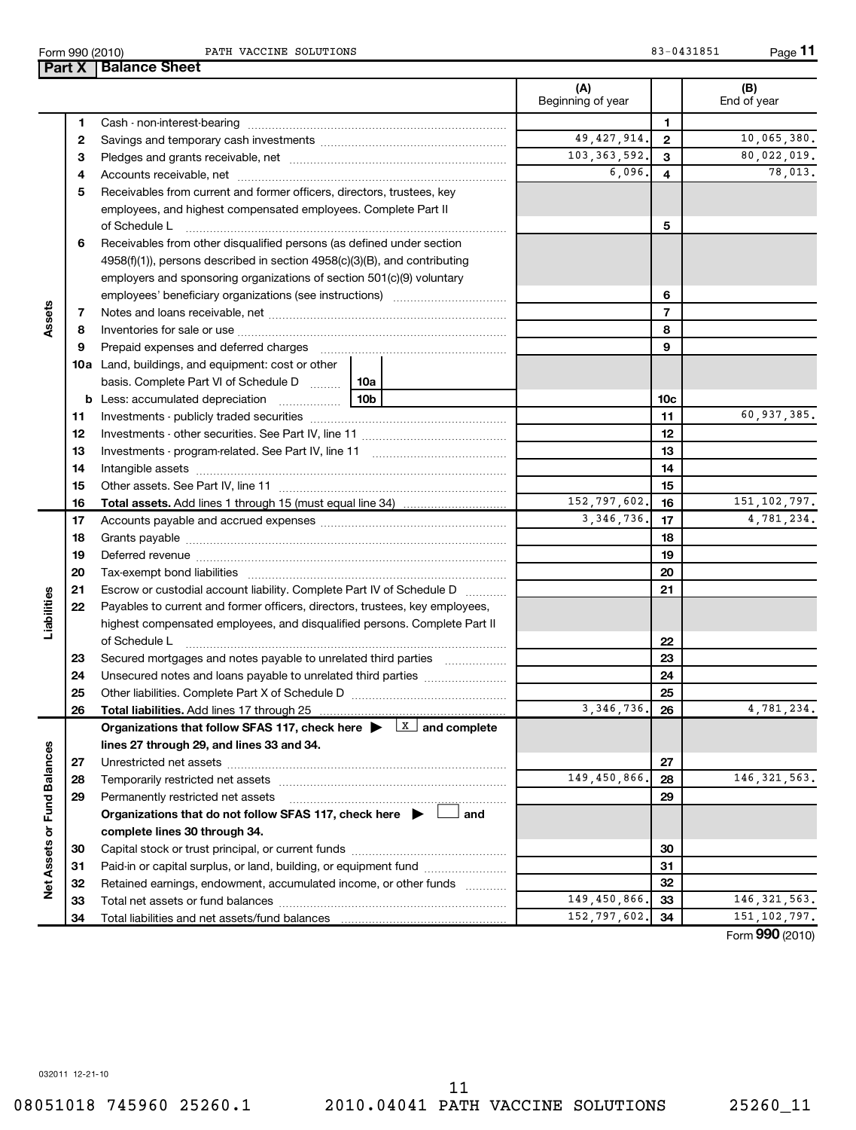Form 990 (2010) Page PATH VACCINE SOLUTIONS 83-0431851

**11**

|                                                                                                                                                                                                                                     | (A)<br>Beginning of year |              | (B)<br>End of year |
|-------------------------------------------------------------------------------------------------------------------------------------------------------------------------------------------------------------------------------------|--------------------------|--------------|--------------------|
| 1                                                                                                                                                                                                                                   |                          | 1            |                    |
| 2                                                                                                                                                                                                                                   | 49, 427, 914.            | $\mathbf{2}$ | 10,065,380.        |
| 3                                                                                                                                                                                                                                   | 103, 363, 592.           | 3            | 80,022,019.        |
| 4                                                                                                                                                                                                                                   | 6,096.                   | 4            | 78,013.            |
| Receivables from current and former officers, directors, trustees, key<br>5                                                                                                                                                         |                          |              |                    |
| employees, and highest compensated employees. Complete Part II                                                                                                                                                                      |                          |              |                    |
| of Schedule L                                                                                                                                                                                                                       |                          | 5            |                    |
| Receivables from other disqualified persons (as defined under section<br>6                                                                                                                                                          |                          |              |                    |
| 4958(f)(1)), persons described in section 4958(c)(3)(B), and contributing                                                                                                                                                           |                          |              |                    |
| employers and sponsoring organizations of section 501(c)(9) voluntary                                                                                                                                                               |                          |              |                    |
|                                                                                                                                                                                                                                     |                          | 6            |                    |
| 7                                                                                                                                                                                                                                   |                          | 7            |                    |
| Assets<br>8                                                                                                                                                                                                                         |                          | 8            |                    |
| Prepaid expenses and deferred charges [11] [11] prepaid expenses and deferred charges [11] [11] minimum and the Prepaid expenses and deferred charges [11] minimum and the Prepaid experiment of Prepaid experiment and the Pr<br>9 |                          | 9            |                    |
| <b>10a</b> Land, buildings, and equipment: cost or other                                                                                                                                                                            |                          |              |                    |
| basis. Complete Part VI of Schedule D    10a                                                                                                                                                                                        |                          |              |                    |
| 10b                                                                                                                                                                                                                                 |                          | 10c          |                    |
| 11                                                                                                                                                                                                                                  |                          | 11           | 60,937,385.        |
| 12                                                                                                                                                                                                                                  |                          | 12           |                    |
| 13                                                                                                                                                                                                                                  |                          | 13           |                    |
| 14                                                                                                                                                                                                                                  |                          | 14           |                    |
| 15                                                                                                                                                                                                                                  |                          | 15           |                    |
| 16<br><b>Total assets.</b> Add lines 1 through 15 (must equal line 34) <i></i>                                                                                                                                                      | 152,797,602.             | 16           | 151, 102, 797.     |
| 17                                                                                                                                                                                                                                  | 3,346,736.               | 17           | 4,781,234.         |
| 18                                                                                                                                                                                                                                  |                          | 18           |                    |
| 19                                                                                                                                                                                                                                  |                          | 19           |                    |
| 20                                                                                                                                                                                                                                  |                          | 20           |                    |
| 21<br>Escrow or custodial account liability. Complete Part IV of Schedule D                                                                                                                                                         |                          | 21           |                    |
| Liabilities<br>Payables to current and former officers, directors, trustees, key employees,<br>22                                                                                                                                   |                          |              |                    |
| highest compensated employees, and disqualified persons. Complete Part II                                                                                                                                                           |                          |              |                    |
| of Schedule L                                                                                                                                                                                                                       |                          | 22           |                    |
| 23<br>Secured mortgages and notes payable to unrelated third parties                                                                                                                                                                |                          | 23           |                    |
| 24<br>Unsecured notes and loans payable to unrelated third parties <i>manumumum</i>                                                                                                                                                 |                          | 24           |                    |
| 25                                                                                                                                                                                                                                  |                          | 25           |                    |
| 26                                                                                                                                                                                                                                  | 3,346,736.               | 26           | 4,781,234.         |
| Organizations that follow SFAS 117, check here $\blacktriangleright \lfloor x \rfloor$ and complete                                                                                                                                 |                          |              |                    |
| lines 27 through 29, and lines 33 and 34.                                                                                                                                                                                           |                          |              |                    |
| 27                                                                                                                                                                                                                                  |                          | 27           |                    |
| <b>Fund Balances</b><br>28                                                                                                                                                                                                          | 149,450,866.             | 28           | 146, 321, 563.     |
| 29<br>Permanently restricted net assets                                                                                                                                                                                             |                          | 29           |                    |
| Organizations that do not follow SFAS 117, check here $\blacktriangleright \Box$                                                                                                                                                    | ⊥ and                    |              |                    |
| complete lines 30 through 34.                                                                                                                                                                                                       |                          |              |                    |
| <b>Net Assets or</b><br>30                                                                                                                                                                                                          |                          | 30           |                    |
| Paid-in or capital surplus, or land, building, or equipment fund<br>31                                                                                                                                                              |                          | 31           |                    |
| 32<br>Retained earnings, endowment, accumulated income, or other funds                                                                                                                                                              |                          | 32           |                    |
| 33                                                                                                                                                                                                                                  | 149,450,866.             | 33           | 146, 321, 563.     |
| 34                                                                                                                                                                                                                                  | 152,797,602.             | 34           | 151,102,797.       |

Form (2010) **990**

032011 12-21-10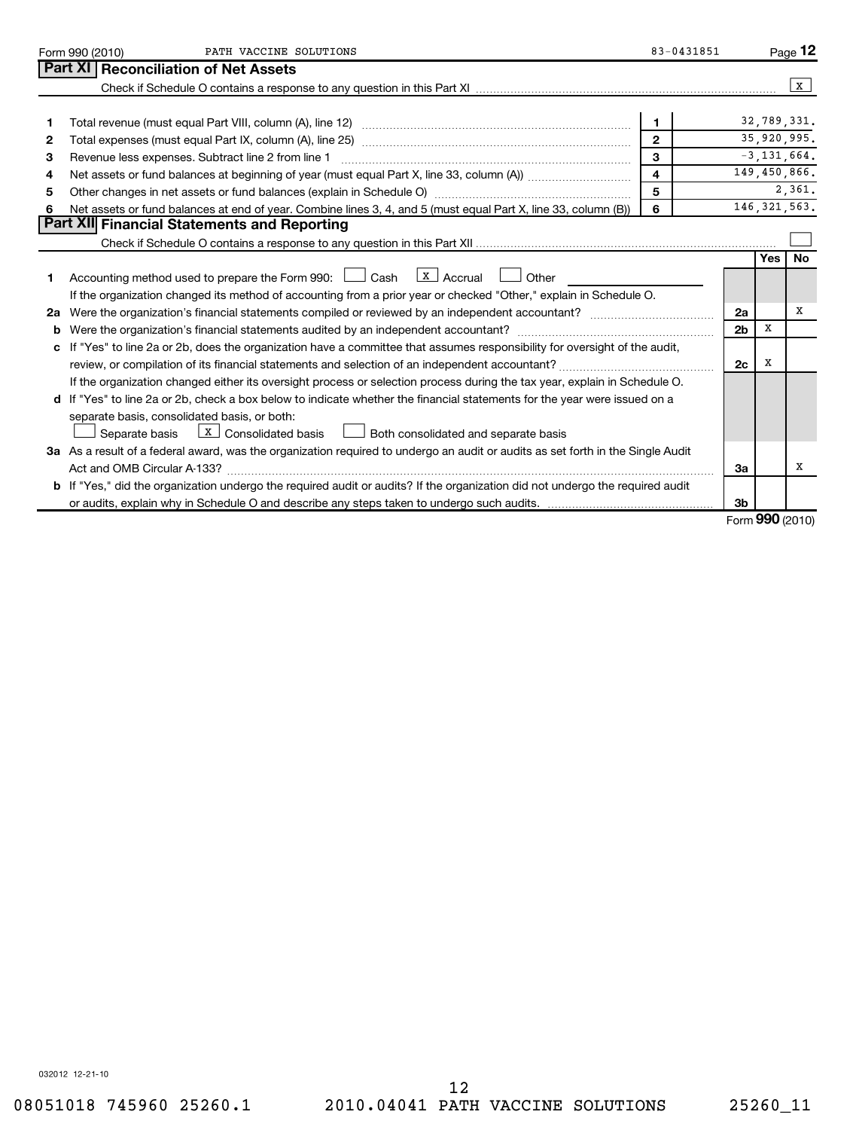|              | PATH VACCINE SOLUTIONS<br>Form 990 (2010)                                                                                            | 83-0431851              |                |           | Page 12         |  |  |
|--------------|--------------------------------------------------------------------------------------------------------------------------------------|-------------------------|----------------|-----------|-----------------|--|--|
|              | Part XI   Reconciliation of Net Assets                                                                                               |                         |                |           |                 |  |  |
|              |                                                                                                                                      |                         |                |           | $\mathbf{x}$    |  |  |
|              |                                                                                                                                      |                         |                |           |                 |  |  |
| 1            |                                                                                                                                      | $\mathbf 1$             |                |           | 32,789,331.     |  |  |
| $\mathbf{2}$ | $\overline{2}$                                                                                                                       |                         |                |           |                 |  |  |
| 3            | Revenue less expenses. Subtract line 2 from line 1                                                                                   | 3                       |                |           | $-3, 131, 664.$ |  |  |
| 4            |                                                                                                                                      | $\overline{\mathbf{4}}$ |                |           | 149,450,866.    |  |  |
| 5            | Other changes in net assets or fund balances (explain in Schedule O) manufactured controller than general controller                 | 5                       |                |           | 2,361.          |  |  |
| 6            | Net assets or fund balances at end of year. Combine lines 3, 4, and 5 (must equal Part X, line 33, column (B))                       | 6                       |                |           | 146, 321, 563.  |  |  |
|              | Part XII Financial Statements and Reporting                                                                                          |                         |                |           |                 |  |  |
|              |                                                                                                                                      |                         |                |           |                 |  |  |
|              |                                                                                                                                      |                         |                | Yes       | <b>No</b>       |  |  |
| 1            | Accounting method used to prepare the Form 990: $\Box$ Cash $\Box$ Accrual $\Box$ Other                                              |                         |                |           |                 |  |  |
|              | If the organization changed its method of accounting from a prior year or checked "Other," explain in Schedule O.                    |                         |                |           |                 |  |  |
| 2a           |                                                                                                                                      |                         |                |           |                 |  |  |
| b            |                                                                                                                                      |                         | 2 <sub>b</sub> | х         |                 |  |  |
| c            | If "Yes" to line 2a or 2b, does the organization have a committee that assumes responsibility for oversight of the audit,            |                         |                |           |                 |  |  |
|              |                                                                                                                                      |                         | 2c             | X         |                 |  |  |
|              | If the organization changed either its oversight process or selection process during the tax year, explain in Schedule O.            |                         |                |           |                 |  |  |
|              | d If "Yes" to line 2a or 2b, check a box below to indicate whether the financial statements for the year were issued on a            |                         |                |           |                 |  |  |
|              | separate basis, consolidated basis, or both:                                                                                         |                         |                |           |                 |  |  |
|              | $\lfloor x \rfloor$ Consolidated basis $\lfloor x \rfloor$ Both consolidated and separate basis<br>Separate basis                    |                         |                |           |                 |  |  |
|              | 3a As a result of a federal award, was the organization required to undergo an audit or audits as set forth in the Single Audit      |                         |                |           |                 |  |  |
|              |                                                                                                                                      |                         |                |           |                 |  |  |
|              | <b>b</b> If "Yes," did the organization undergo the required audit or audits? If the organization did not undergo the required audit |                         |                |           |                 |  |  |
|              |                                                                                                                                      |                         | 3 <sub>b</sub> |           |                 |  |  |
|              |                                                                                                                                      |                         |                | 000(0010) |                 |  |  |

Form (2010) **990**

032012 12-21-10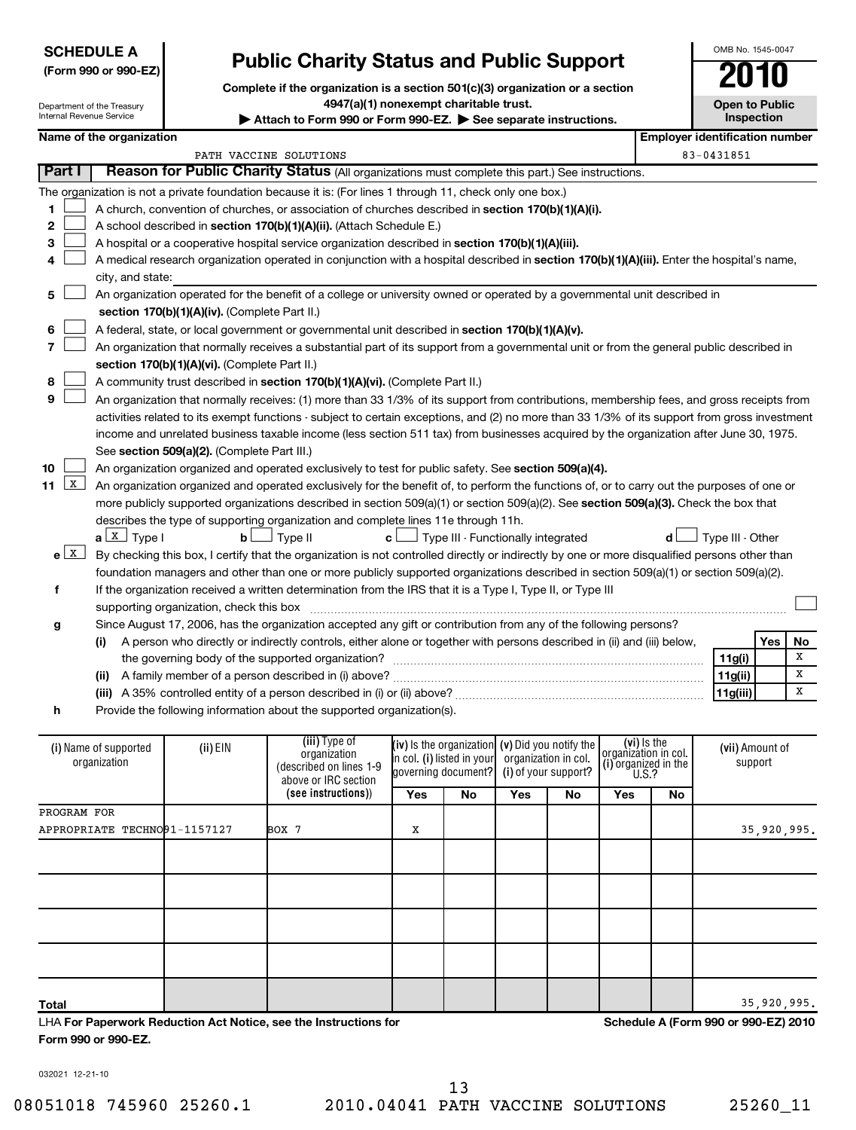| <b>SCHEDULE A</b>    |
|----------------------|
| (Form 990 or 990-EZ) |

# **Public Charity Status and Public Support**

**Complete if the organization is a section 501(c)(3) organization or a section 4947(a)(1) nonexempt charitable trust.**

Attach to Form 990 or Form 990-EZ. See separate instructions.

**Open to Public Inspection**

OMB No. 1545-0047

| Department of the Treasury |
|----------------------------|
| Internal Revenue Service   |

|                                                                   | Name of the organization              |                                                                                                |                                                                                                                                                                                                                                                                                                                                                                                                                                                                                                                                                                                                                                                                                                                                                                                                                                                                                                                                                                                                                                                                                                                                                                                                                                                                                                                                                                                                                                                                                                                                 |           |                                                                                                                                                          |     |    |                                                                                    |            |                                                   | <b>Employer identification number</b> |  |
|-------------------------------------------------------------------|---------------------------------------|------------------------------------------------------------------------------------------------|---------------------------------------------------------------------------------------------------------------------------------------------------------------------------------------------------------------------------------------------------------------------------------------------------------------------------------------------------------------------------------------------------------------------------------------------------------------------------------------------------------------------------------------------------------------------------------------------------------------------------------------------------------------------------------------------------------------------------------------------------------------------------------------------------------------------------------------------------------------------------------------------------------------------------------------------------------------------------------------------------------------------------------------------------------------------------------------------------------------------------------------------------------------------------------------------------------------------------------------------------------------------------------------------------------------------------------------------------------------------------------------------------------------------------------------------------------------------------------------------------------------------------------|-----------|----------------------------------------------------------------------------------------------------------------------------------------------------------|-----|----|------------------------------------------------------------------------------------|------------|---------------------------------------------------|---------------------------------------|--|
|                                                                   |                                       |                                                                                                | PATH VACCINE SOLUTIONS                                                                                                                                                                                                                                                                                                                                                                                                                                                                                                                                                                                                                                                                                                                                                                                                                                                                                                                                                                                                                                                                                                                                                                                                                                                                                                                                                                                                                                                                                                          |           |                                                                                                                                                          |     |    |                                                                                    | 83-0431851 |                                                   |                                       |  |
| Part I                                                            |                                       |                                                                                                | Reason for Public Charity Status (All organizations must complete this part.) See instructions.                                                                                                                                                                                                                                                                                                                                                                                                                                                                                                                                                                                                                                                                                                                                                                                                                                                                                                                                                                                                                                                                                                                                                                                                                                                                                                                                                                                                                                 |           |                                                                                                                                                          |     |    |                                                                                    |            |                                                   |                                       |  |
| 1<br>2<br>З<br>4<br>5<br>6<br>7<br>8<br>9                         | city, and state:                      | section 170(b)(1)(A)(iv). (Complete Part II.)<br>section 170(b)(1)(A)(vi). (Complete Part II.) | The organization is not a private foundation because it is: (For lines 1 through 11, check only one box.)<br>A church, convention of churches, or association of churches described in section 170(b)(1)(A)(i).<br>A school described in section 170(b)(1)(A)(ii). (Attach Schedule E.)<br>A hospital or a cooperative hospital service organization described in section 170(b)(1)(A)(iii).<br>A medical research organization operated in conjunction with a hospital described in section 170(b)(1)(A)(iii). Enter the hospital's name,<br>An organization operated for the benefit of a college or university owned or operated by a governmental unit described in<br>A federal, state, or local government or governmental unit described in section 170(b)(1)(A)(v).<br>An organization that normally receives a substantial part of its support from a governmental unit or from the general public described in<br>A community trust described in section 170(b)(1)(A)(vi). (Complete Part II.)<br>An organization that normally receives: (1) more than 33 1/3% of its support from contributions, membership fees, and gross receipts from                                                                                                                                                                                                                                                                                                                                                                           |           |                                                                                                                                                          |     |    |                                                                                    |            |                                                   |                                       |  |
| 10<br>$\mathbf{X}$<br>11<br>$e$ $\boxed{\text{X}}$<br>f<br>g<br>h | $a \perp x$ Type I                    | See section 509(a)(2). (Complete Part III.)<br>b <sub>L</sub>                                  | activities related to its exempt functions - subject to certain exceptions, and (2) no more than 33 1/3% of its support from gross investment<br>income and unrelated business taxable income (less section 511 tax) from businesses acquired by the organization after June 30, 1975.<br>An organization organized and operated exclusively to test for public safety. See section 509(a)(4).<br>An organization organized and operated exclusively for the benefit of, to perform the functions of, or to carry out the purposes of one or<br>more publicly supported organizations described in section 509(a)(1) or section 509(a)(2). See section 509(a)(3). Check the box that<br>describes the type of supporting organization and complete lines 11e through 11h.<br>$\Box$ Type II<br>By checking this box, I certify that the organization is not controlled directly or indirectly by one or more disqualified persons other than<br>foundation managers and other than one or more publicly supported organizations described in section 509(a)(1) or section 509(a)(2).<br>If the organization received a written determination from the IRS that it is a Type I, Type II, or Type III<br>Since August 17, 2006, has the organization accepted any gift or contribution from any of the following persons?<br>(i) A person who directly or indirectly controls, either alone or together with persons described in (ii) and (iii) below,<br>Provide the following information about the supported organization(s). | $c\sqcup$ | $\perp$ Type III - Functionally integrated                                                                                                               |     |    |                                                                                    |            | Type III - Other<br>11g(i)<br>11g(ii)<br>11g(iii) | Yes<br>No<br>x<br>x<br>x              |  |
|                                                                   | (i) Name of supported<br>organization | (ii) EIN                                                                                       | (iii) Type of<br>organization<br>(described on lines 1-9<br>above or IRC section<br>(see instructions))                                                                                                                                                                                                                                                                                                                                                                                                                                                                                                                                                                                                                                                                                                                                                                                                                                                                                                                                                                                                                                                                                                                                                                                                                                                                                                                                                                                                                         | Yes       | (iv) Is the organization $(v)$ Did you notify the<br>in col. (i) listed in your   organization in col.<br>governing document? (i) of your support?<br>No | Yes | No | (vi) Is the<br>organizátion in col.<br>(i) organized in the<br><b>U.S.?</b><br>Yes | No         | (vii) Amount of<br>support                        |                                       |  |
| PROGRAM FOR                                                       |                                       |                                                                                                |                                                                                                                                                                                                                                                                                                                                                                                                                                                                                                                                                                                                                                                                                                                                                                                                                                                                                                                                                                                                                                                                                                                                                                                                                                                                                                                                                                                                                                                                                                                                 |           |                                                                                                                                                          |     |    |                                                                                    |            |                                                   |                                       |  |
|                                                                   | APPROPRIATE TECHNO91-1157127          |                                                                                                | BOX 7                                                                                                                                                                                                                                                                                                                                                                                                                                                                                                                                                                                                                                                                                                                                                                                                                                                                                                                                                                                                                                                                                                                                                                                                                                                                                                                                                                                                                                                                                                                           | X         |                                                                                                                                                          |     |    |                                                                                    |            |                                                   | 35,920,995.                           |  |
|                                                                   |                                       |                                                                                                |                                                                                                                                                                                                                                                                                                                                                                                                                                                                                                                                                                                                                                                                                                                                                                                                                                                                                                                                                                                                                                                                                                                                                                                                                                                                                                                                                                                                                                                                                                                                 |           |                                                                                                                                                          |     |    |                                                                                    |            |                                                   |                                       |  |
|                                                                   |                                       |                                                                                                |                                                                                                                                                                                                                                                                                                                                                                                                                                                                                                                                                                                                                                                                                                                                                                                                                                                                                                                                                                                                                                                                                                                                                                                                                                                                                                                                                                                                                                                                                                                                 |           |                                                                                                                                                          |     |    |                                                                                    |            |                                                   |                                       |  |
| Total                                                             |                                       |                                                                                                |                                                                                                                                                                                                                                                                                                                                                                                                                                                                                                                                                                                                                                                                                                                                                                                                                                                                                                                                                                                                                                                                                                                                                                                                                                                                                                                                                                                                                                                                                                                                 |           |                                                                                                                                                          |     |    |                                                                                    |            |                                                   | 35,920,995.                           |  |

**Total** LHA **For Paperwork Reduction Act Notice, see the Instructions for Form 990 or 990-EZ.**

**Schedule A (Form 990 or 990-EZ) 2010**

032021 12-21-10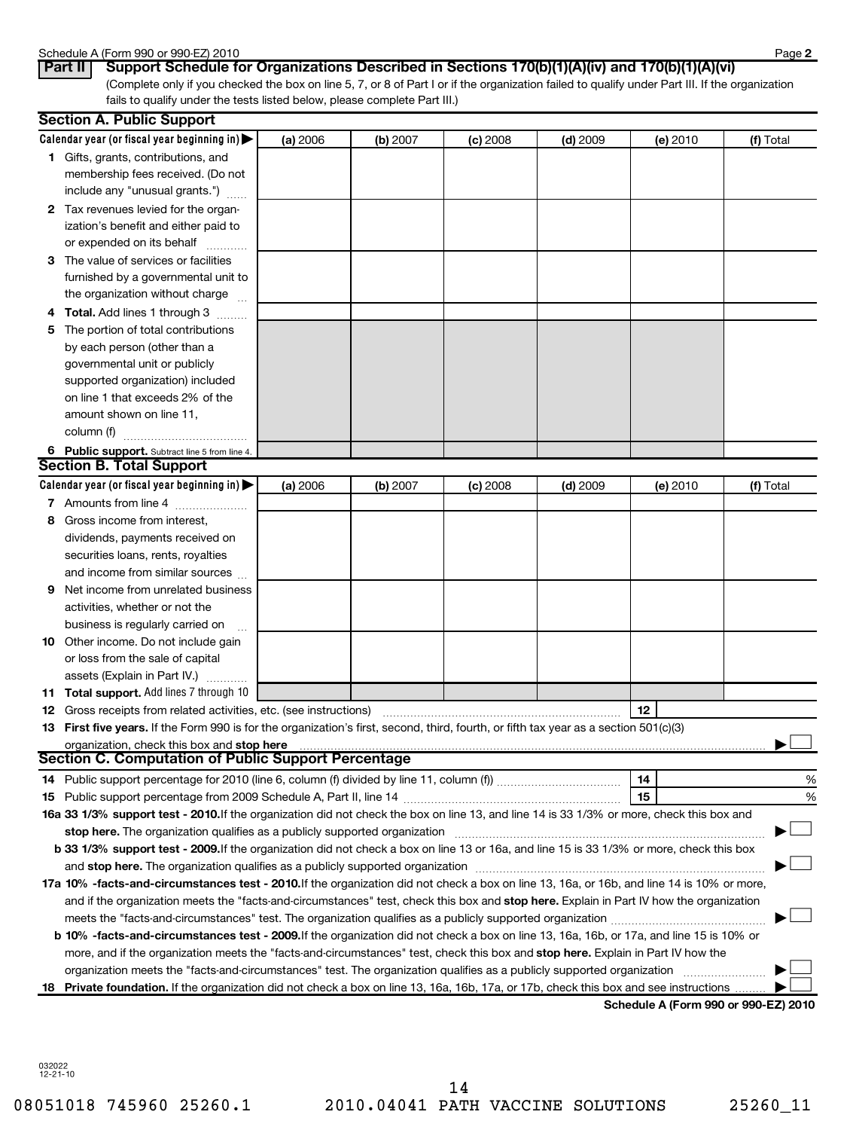## Schedule A (Form 990 or 990-EZ) 2010

| טטווסטווט רן ראטווטט |     |  |  |
|----------------------|-----|--|--|
| $P_{\rm ext}$ ii i   | $P$ |  |  |

(Complete only if you checked the box on line 5, 7, or 8 of Part I or if the organization failed to qualify under Part III. If the organization fails to qualify under the tests listed below, please complete Part III.) **Part II** | Support Schedule for Organizations Described in Sections 170(b)(1)(A)(iv) and 170(b)(1)(A)(vi)

|   | <b>Section A. Public Support</b>                                                                                                                                                                                               |          |          |          |            |          |           |
|---|--------------------------------------------------------------------------------------------------------------------------------------------------------------------------------------------------------------------------------|----------|----------|----------|------------|----------|-----------|
|   | Calendar year (or fiscal year beginning in) $\blacktriangleright$                                                                                                                                                              | (a) 2006 | (b) 2007 | (c) 2008 | $(d)$ 2009 | (e) 2010 | (f) Total |
|   | <b>1</b> Gifts, grants, contributions, and                                                                                                                                                                                     |          |          |          |            |          |           |
|   | membership fees received. (Do not                                                                                                                                                                                              |          |          |          |            |          |           |
|   | include any "unusual grants.")                                                                                                                                                                                                 |          |          |          |            |          |           |
|   | 2 Tax revenues levied for the organ-                                                                                                                                                                                           |          |          |          |            |          |           |
|   | ization's benefit and either paid to                                                                                                                                                                                           |          |          |          |            |          |           |
|   | or expended on its behalf                                                                                                                                                                                                      |          |          |          |            |          |           |
|   | 3 The value of services or facilities                                                                                                                                                                                          |          |          |          |            |          |           |
|   | furnished by a governmental unit to                                                                                                                                                                                            |          |          |          |            |          |           |
|   | the organization without charge                                                                                                                                                                                                |          |          |          |            |          |           |
|   | <b>4 Total.</b> Add lines 1 through 3                                                                                                                                                                                          |          |          |          |            |          |           |
|   | 5 The portion of total contributions                                                                                                                                                                                           |          |          |          |            |          |           |
|   | by each person (other than a                                                                                                                                                                                                   |          |          |          |            |          |           |
|   | governmental unit or publicly                                                                                                                                                                                                  |          |          |          |            |          |           |
|   | supported organization) included                                                                                                                                                                                               |          |          |          |            |          |           |
|   | on line 1 that exceeds 2% of the                                                                                                                                                                                               |          |          |          |            |          |           |
|   | amount shown on line 11,                                                                                                                                                                                                       |          |          |          |            |          |           |
|   | column (f)                                                                                                                                                                                                                     |          |          |          |            |          |           |
|   | 6 Public support. Subtract line 5 from line 4.                                                                                                                                                                                 |          |          |          |            |          |           |
|   | <b>Section B. Total Support</b>                                                                                                                                                                                                |          |          |          |            |          |           |
|   | Calendar year (or fiscal year beginning in) $\blacktriangleright$                                                                                                                                                              | (a) 2006 | (b) 2007 | (c) 2008 | $(d)$ 2009 | (e) 2010 | (f) Total |
|   | 7 Amounts from line 4                                                                                                                                                                                                          |          |          |          |            |          |           |
| 8 | Gross income from interest,                                                                                                                                                                                                    |          |          |          |            |          |           |
|   |                                                                                                                                                                                                                                |          |          |          |            |          |           |
|   | dividends, payments received on                                                                                                                                                                                                |          |          |          |            |          |           |
|   | securities loans, rents, royalties                                                                                                                                                                                             |          |          |          |            |          |           |
|   | and income from similar sources                                                                                                                                                                                                |          |          |          |            |          |           |
| 9 | Net income from unrelated business                                                                                                                                                                                             |          |          |          |            |          |           |
|   | activities, whether or not the                                                                                                                                                                                                 |          |          |          |            |          |           |
|   | business is regularly carried on                                                                                                                                                                                               |          |          |          |            |          |           |
|   | 10 Other income. Do not include gain                                                                                                                                                                                           |          |          |          |            |          |           |
|   | or loss from the sale of capital                                                                                                                                                                                               |          |          |          |            |          |           |
|   | assets (Explain in Part IV.)                                                                                                                                                                                                   |          |          |          |            |          |           |
|   | 11 Total support. Add lines 7 through 10                                                                                                                                                                                       |          |          |          |            |          |           |
|   | <b>12</b> Gross receipts from related activities, etc. (see instructions)                                                                                                                                                      |          |          |          |            | 12       |           |
|   | 13 First five years. If the Form 990 is for the organization's first, second, third, fourth, or fifth tax year as a section 501(c)(3)                                                                                          |          |          |          |            |          |           |
|   |                                                                                                                                                                                                                                |          |          |          |            |          |           |
|   | <b>Section C. Computation of Public Support Percentage</b>                                                                                                                                                                     |          |          |          |            |          |           |
|   |                                                                                                                                                                                                                                |          |          |          |            | 14       | %         |
|   |                                                                                                                                                                                                                                |          |          |          |            | 15       | %         |
|   | 16a 33 1/3% support test - 2010. If the organization did not check the box on line 13, and line 14 is 33 1/3% or more, check this box and                                                                                      |          |          |          |            |          |           |
|   |                                                                                                                                                                                                                                |          |          |          |            |          |           |
|   | b 33 1/3% support test - 2009. If the organization did not check a box on line 13 or 16a, and line 15 is 33 1/3% or more, check this box                                                                                       |          |          |          |            |          |           |
|   | and stop here. The organization qualifies as a publicly supported organization [11] manuscription manuscription manuscription manuscription manuscription manuscription and stop here. The organization qualifies as a publicl |          |          |          |            |          |           |
|   | 17a 10% -facts-and-circumstances test - 2010. If the organization did not check a box on line 13, 16a, or 16b, and line 14 is 10% or more,                                                                                     |          |          |          |            |          |           |
|   | and if the organization meets the "facts-and-circumstances" test, check this box and stop here. Explain in Part IV how the organization                                                                                        |          |          |          |            |          |           |
|   |                                                                                                                                                                                                                                |          |          |          |            |          |           |
|   | b 10% -facts-and-circumstances test - 2009. If the organization did not check a box on line 13, 16a, 16b, or 17a, and line 15 is 10% or                                                                                        |          |          |          |            |          |           |
|   | more, and if the organization meets the "facts-and-circumstances" test, check this box and stop here. Explain in Part IV how the                                                                                               |          |          |          |            |          |           |
|   | organization meets the "facts-and-circumstances" test. The organization qualifies as a publicly supported organization                                                                                                         |          |          |          |            |          |           |
|   | 18 Private foundation. If the organization did not check a box on line 13, 16a, 16b, 17a, or 17b, check this box and see instructions                                                                                          |          |          |          |            |          |           |
|   |                                                                                                                                                                                                                                |          |          |          |            |          |           |

**Schedule A (Form 990 or 990-EZ) 2010**

032022 12-21-10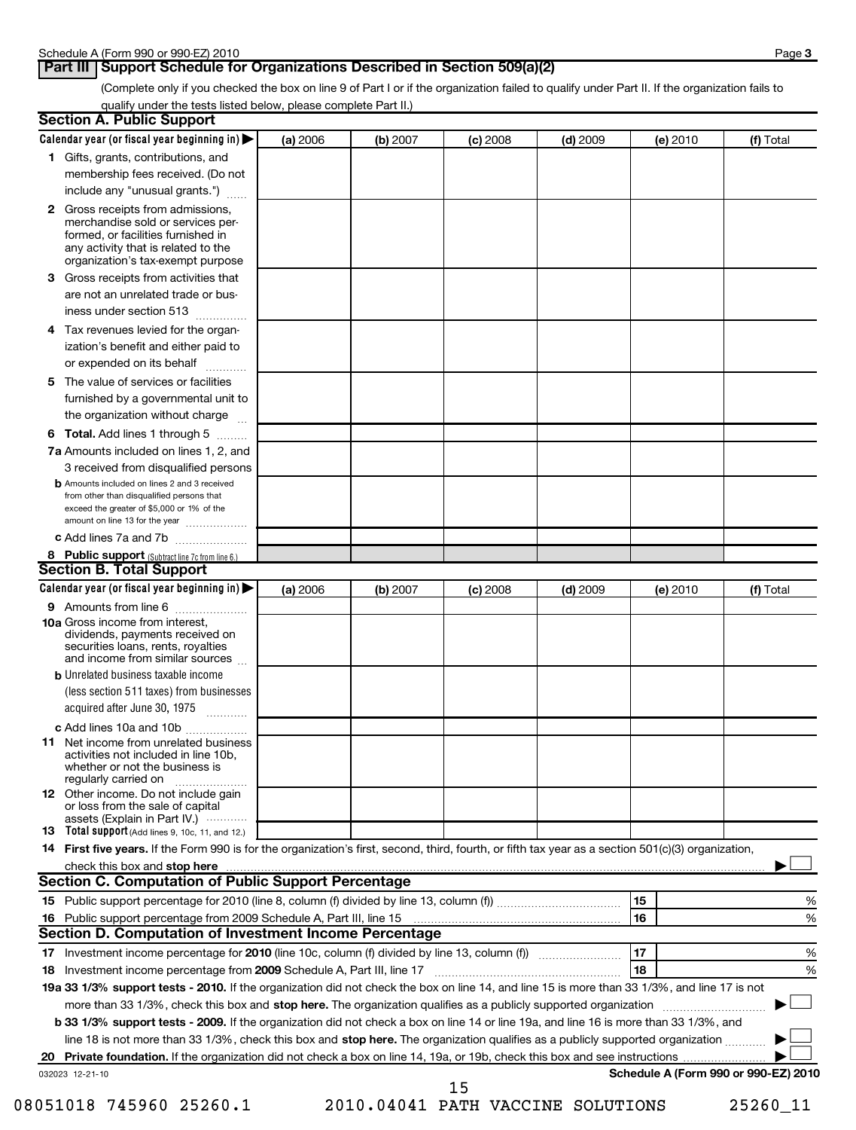## **Part III Support Schedule for Organizations Described in Section 509(a)(2)**

(Complete only if you checked the box on line 9 of Part I or if the organization failed to qualify under Part II. If the organization fails to qualify under the tests listed below, please complete Part II.)

| <b>Section A. Public Support</b>                                                                                                                                                                                               |          |          |            |            |          |                                      |
|--------------------------------------------------------------------------------------------------------------------------------------------------------------------------------------------------------------------------------|----------|----------|------------|------------|----------|--------------------------------------|
| Calendar year (or fiscal year beginning in) $\blacktriangleright$                                                                                                                                                              | (a) 2006 | (b) 2007 | $(c)$ 2008 | $(d)$ 2009 | (e) 2010 | (f) Total                            |
| 1 Gifts, grants, contributions, and                                                                                                                                                                                            |          |          |            |            |          |                                      |
| membership fees received. (Do not                                                                                                                                                                                              |          |          |            |            |          |                                      |
| include any "unusual grants.")                                                                                                                                                                                                 |          |          |            |            |          |                                      |
| 2 Gross receipts from admissions,<br>merchandise sold or services per-<br>formed, or facilities furnished in<br>any activity that is related to the<br>organization's tax-exempt purpose                                       |          |          |            |            |          |                                      |
| 3 Gross receipts from activities that<br>are not an unrelated trade or bus-                                                                                                                                                    |          |          |            |            |          |                                      |
| iness under section 513                                                                                                                                                                                                        |          |          |            |            |          |                                      |
| 4 Tax revenues levied for the organ-<br>ization's benefit and either paid to<br>or expended on its behalf                                                                                                                      |          |          |            |            |          |                                      |
| 5 The value of services or facilities                                                                                                                                                                                          |          |          |            |            |          |                                      |
| furnished by a governmental unit to<br>the organization without charge                                                                                                                                                         |          |          |            |            |          |                                      |
| 6 Total. Add lines 1 through 5                                                                                                                                                                                                 |          |          |            |            |          |                                      |
| <b>7a</b> Amounts included on lines 1, 2, and                                                                                                                                                                                  |          |          |            |            |          |                                      |
| 3 received from disqualified persons                                                                                                                                                                                           |          |          |            |            |          |                                      |
| <b>b</b> Amounts included on lines 2 and 3 received<br>from other than disqualified persons that<br>exceed the greater of \$5,000 or 1% of the<br>amount on line 13 for the year                                               |          |          |            |            |          |                                      |
| c Add lines 7a and 7b                                                                                                                                                                                                          |          |          |            |            |          |                                      |
| 8 Public support (Subtract line 7c from line 6.)                                                                                                                                                                               |          |          |            |            |          |                                      |
| <b>Section B. Total Support</b>                                                                                                                                                                                                |          |          |            |            |          |                                      |
| Calendar year (or fiscal year beginning in)                                                                                                                                                                                    | (a) 2006 | (b) 2007 | $(c)$ 2008 | $(d)$ 2009 | (e) 2010 | (f) Total                            |
| 9 Amounts from line 6                                                                                                                                                                                                          |          |          |            |            |          |                                      |
| <b>10a</b> Gross income from interest,<br>dividends, payments received on<br>securities loans, rents, royalties<br>and income from similar sources                                                                             |          |          |            |            |          |                                      |
| <b>b</b> Unrelated business taxable income                                                                                                                                                                                     |          |          |            |            |          |                                      |
| (less section 511 taxes) from businesses<br>acquired after June 30, 1975                                                                                                                                                       |          |          |            |            |          |                                      |
| c Add lines 10a and 10b                                                                                                                                                                                                        |          |          |            |            |          |                                      |
| <b>11</b> Net income from unrelated business<br>activities not included in line 10b,<br>whether or not the business is<br>regularly carried on                                                                                 |          |          |            |            |          |                                      |
| <b>12</b> Other income. Do not include gain<br>or loss from the sale of capital<br>assets (Explain in Part IV.) $\cdots$                                                                                                       |          |          |            |            |          |                                      |
| 13 Total support (Add lines 9, 10c, 11, and 12.)                                                                                                                                                                               |          |          |            |            |          |                                      |
| 14 First five years. If the Form 990 is for the organization's first, second, third, fourth, or fifth tax year as a section 501(c)(3) organization,                                                                            |          |          |            |            |          |                                      |
| check this box and stop here with the continuum control of the state of the state of the state of the state of the state of the state of the state of the state of the state of the state of the state of the state of the sta |          |          |            |            |          |                                      |
| Section C. Computation of Public Support Percentage                                                                                                                                                                            |          |          |            |            |          |                                      |
|                                                                                                                                                                                                                                |          |          |            |            | 15       | %                                    |
| Public support percentage from 2009 Schedule A, Part III, line 15 [11] [11] Turn manufacture manufacture Publi<br>16                                                                                                           |          |          |            |            | 16       | %                                    |
| Section D. Computation of Investment Income Percentage                                                                                                                                                                         |          |          |            |            |          |                                      |
|                                                                                                                                                                                                                                |          |          | 17         | %          |          |                                      |
| 18 Investment income percentage from 2009 Schedule A, Part III, line 17                                                                                                                                                        |          |          |            |            | 18       | %                                    |
| 19a 33 1/3% support tests - 2010. If the organization did not check the box on line 14, and line 15 is more than 33 1/3%, and line 17 is not                                                                                   |          |          |            |            |          |                                      |
| more than 33 1/3%, check this box and stop here. The organization qualifies as a publicly supported organization                                                                                                               |          |          |            |            |          |                                      |
| b 33 1/3% support tests - 2009. If the organization did not check a box on line 14 or line 19a, and line 16 is more than 33 1/3%, and                                                                                          |          |          |            |            |          |                                      |
| line 18 is not more than 33 1/3%, check this box and stop here. The organization qualifies as a publicly supported organization                                                                                                |          |          |            |            |          |                                      |
| 032023 12-21-10                                                                                                                                                                                                                |          |          |            |            |          | Schedule A (Form 990 or 990-EZ) 2010 |
|                                                                                                                                                                                                                                |          |          | 15         |            |          |                                      |

<sup>08051018 745960 25260.1 2010.04041</sup> PATH VACCINE SOLUTIONS 25260\_11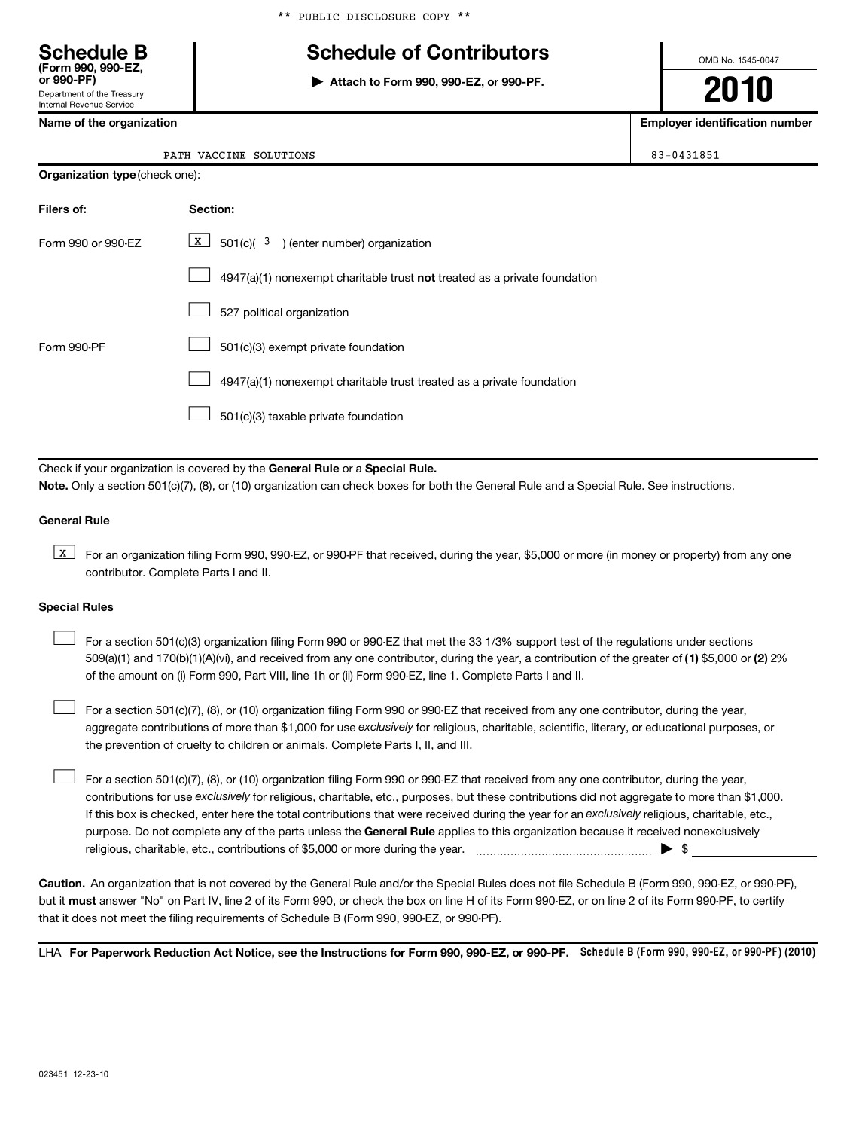## **Schedule B Schedule of Contributors**

**or 990-PF) | Attach to Form 990, 990-EZ, or 990-PF.**

OMB No. 1545-0047

**2010**

**Name of the organization Employer identification number**

|  | Name of the organization |  |
|--|--------------------------|--|
|  |                          |  |

Department of the Treasury Internal Revenue Service

**(Form 990, 990-EZ,**

PATH VACCINE SOLUTIONS 83-0431851

| Filers of:         | Section:                                                                           |
|--------------------|------------------------------------------------------------------------------------|
| Form 990 or 990-EZ | $X$ 501(c)( 3) (enter number) organization                                         |
|                    | $4947(a)(1)$ nonexempt charitable trust <b>not</b> treated as a private foundation |
|                    | 527 political organization                                                         |
| Form 990-PF        | 501(c)(3) exempt private foundation                                                |
|                    | 4947(a)(1) nonexempt charitable trust treated as a private foundation              |
|                    | 501(c)(3) taxable private foundation                                               |

Check if your organization is covered by the General Rule or a Special Rule. **Note.**  Only a section 501(c)(7), (8), or (10) organization can check boxes for both the General Rule and a Special Rule. See instructions.

## **General Rule**

**K** For an organization filing Form 990, 990-EZ, or 990-PF that received, during the year, \$5,000 or more (in money or property) from any one contributor. Complete Parts I and II.

### **Special Rules**

509(a)(1) and 170(b)(1)(A)(vi), and received from any one contributor, during the year, a contribution of the greater of (1) \$5,000 or (2) 2% For a section 501(c)(3) organization filing Form 990 or 990-EZ that met the 33 1/3% support test of the regulations under sections of the amount on (i) Form 990, Part VIII, line 1h or (ii) Form 990-EZ, line 1. Complete Parts I and II.  $\pm$ 

aggregate contributions of more than \$1,000 for use exclusively for religious, charitable, scientific, literary, or educational purposes, or  $\perp$  For a section 501(c)(7), (8), or (10) organization filing Form 990 or 990-EZ that received from any one contributor, during the year, the prevention of cruelty to children or animals. Complete Parts I, II, and III.  $\pm$ 

purpose. Do not complete any of the parts unless the General Rule applies to this organization because it received nonexclusively contributions for use exclusively for religious, charitable, etc., purposes, but these contributions did not aggregate to more than \$1,000. If this box is checked, enter here the total contributions that were received during the year for an exclusively religious, charitable, etc., For a section 501(c)(7), (8), or (10) organization filing Form 990 or 990-EZ that received from any one contributor, during the year, religious, charitable, etc., contributions of \$5,000 or more during the year. ~~~~~~~~~~~~~~~~~ | \$  $\pm$ 

**Caution.** An organization that is not covered by the General Rule and/or the Special Rules does not file Schedule B (Form 990, 990-EZ, or 990-PF), but it **must** answer "No" on Part IV, line 2 of its Form 990, or check the box on line H of its Form 990-EZ, or on line 2 of its Form 990-PF, to certify that it does not meet the filing requirements of Schedule B (Form 990, 990-EZ, or 990-PF).

LHA For Paperwork Reduction Act Notice, see the Instructions for Form 990, 990-EZ, or 990-PF. Schedule B (Form 990, 990-EZ, or 990-PF) (2010)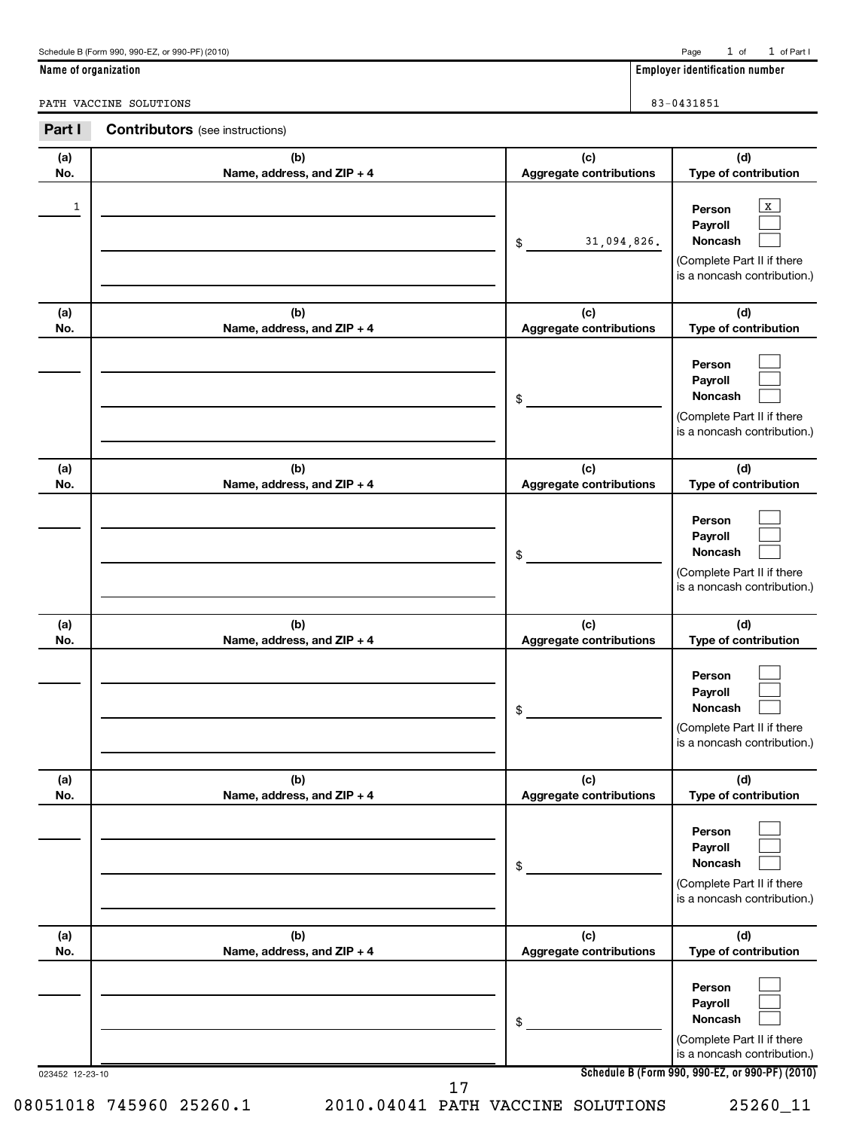| 1               |                                   | 31,094,826.<br>$\frac{1}{2}$          | $\mathbf X$<br>Person<br>Payroll<br><b>Noncash</b><br>(Complete Part II if there<br>is a noncash contribution.)                              |
|-----------------|-----------------------------------|---------------------------------------|----------------------------------------------------------------------------------------------------------------------------------------------|
| (a)<br>No.      | (b)<br>Name, address, and ZIP + 4 | (c)<br>Aggregate contributions        | (d)<br>Type of contribution                                                                                                                  |
|                 |                                   | \$                                    | Person<br>Payroll<br>Noncash<br>(Complete Part II if there<br>is a noncash contribution.)                                                    |
| (a)<br>No.      | (b)<br>Name, address, and ZIP + 4 | (c)<br><b>Aggregate contributions</b> | (d)<br>Type of contribution                                                                                                                  |
|                 |                                   | \$                                    | Person<br>Payroll<br>Noncash<br>(Complete Part II if there<br>is a noncash contribution.)                                                    |
| (a)<br>No.      | (b)<br>Name, address, and ZIP + 4 | (c)<br><b>Aggregate contributions</b> | (d)<br>Type of contribution                                                                                                                  |
|                 |                                   | \$                                    | Person<br>Payroll<br>Noncash<br>(Complete Part II if there<br>is a noncash contribution.)                                                    |
| (a)<br>No.      | (b)<br>Name, address, and ZIP + 4 | (c)<br><b>Aggregate contributions</b> | (d)<br>Type of contribution                                                                                                                  |
|                 |                                   | \$                                    | Person<br>Payroll<br>Noncash<br>(Complete Part II if there<br>is a noncash contribution.)                                                    |
| (a)<br>No.      | (b)<br>Name, address, and ZIP + 4 | (c)<br>Aggregate contributions        | (d)<br>Type of contribution                                                                                                                  |
| 023452 12-23-10 |                                   | \$                                    | Person<br>Payroll<br>Noncash<br>(Complete Part II if there<br>is a noncash contribution.)<br>Schedule B (Form 990, 990-EZ, or 990-PF) (2010) |
|                 | 17<br>08051018 745960 25260.1     | 2010.04041 PATH VACCINE SOLUTIONS     | 25260_11                                                                                                                                     |

**Part I Contributors** (see instructions)

**(b) Name, address, and ZIP + 4**

**(a) No.**

PATH VACCINE SOLUTIONS 83-0431851

1 of 1 of Part I

**(d) Type of contribution**

**Name of organization** 

**(c) Aggregate contributions**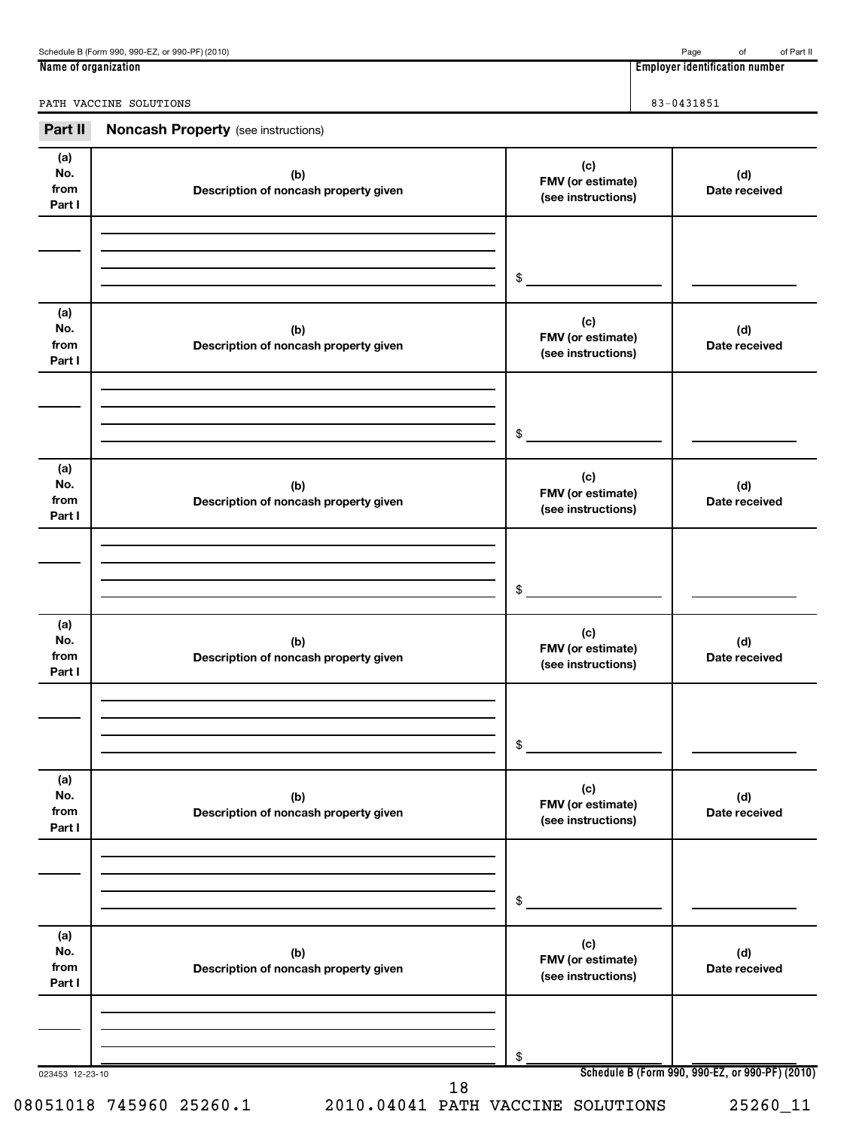**Name of organization Employer identification number**

PATH VACCINE SOLUTIONS 83-0431851

| Part II                      | <b>Noncash Property</b> (see instructions)   |                                                |                                                 |
|------------------------------|----------------------------------------------|------------------------------------------------|-------------------------------------------------|
| (a)<br>No.<br>from<br>Part I | (b)<br>Description of noncash property given | (c)<br>FMV (or estimate)<br>(see instructions) | (d)<br>Date received                            |
|                              |                                              |                                                |                                                 |
|                              |                                              | \$                                             |                                                 |
| (a)<br>No.<br>from<br>Part I | (b)<br>Description of noncash property given | (c)<br>FMV (or estimate)<br>(see instructions) | (d)<br>Date received                            |
|                              |                                              |                                                |                                                 |
|                              |                                              | \$                                             |                                                 |
| (a)<br>No.<br>from<br>Part I | (b)<br>Description of noncash property given | (c)<br>FMV (or estimate)<br>(see instructions) | (d)<br>Date received                            |
|                              |                                              |                                                |                                                 |
|                              |                                              | $$\circ$$                                      |                                                 |
|                              |                                              |                                                |                                                 |
| (a)<br>No.<br>from<br>Part I | (b)<br>Description of noncash property given | (c)<br>FMV (or estimate)<br>(see instructions) | (d)<br>Date received                            |
|                              |                                              |                                                |                                                 |
|                              |                                              | \$                                             |                                                 |
| (a)                          |                                              |                                                |                                                 |
| No.<br>from<br>Part I        | (b)<br>Description of noncash property given | (c)<br>FMV (or estimate)<br>(see instructions) | (d)<br>Date received                            |
|                              |                                              |                                                |                                                 |
|                              |                                              | \$                                             |                                                 |
| (a)                          |                                              |                                                |                                                 |
| No.<br>from<br>Part I        | (b)<br>Description of noncash property given | (c)<br>FMV (or estimate)<br>(see instructions) | (d)<br>Date received                            |
|                              |                                              |                                                |                                                 |
|                              |                                              | \$                                             |                                                 |
| 023453 12-23-10              |                                              |                                                | Schedule B (Form 990, 990-EZ, or 990-PF) (2010) |

08051018 745960 25260.1 2010.04041 PATH VACCINE SOLUTIONS 25260\_11

18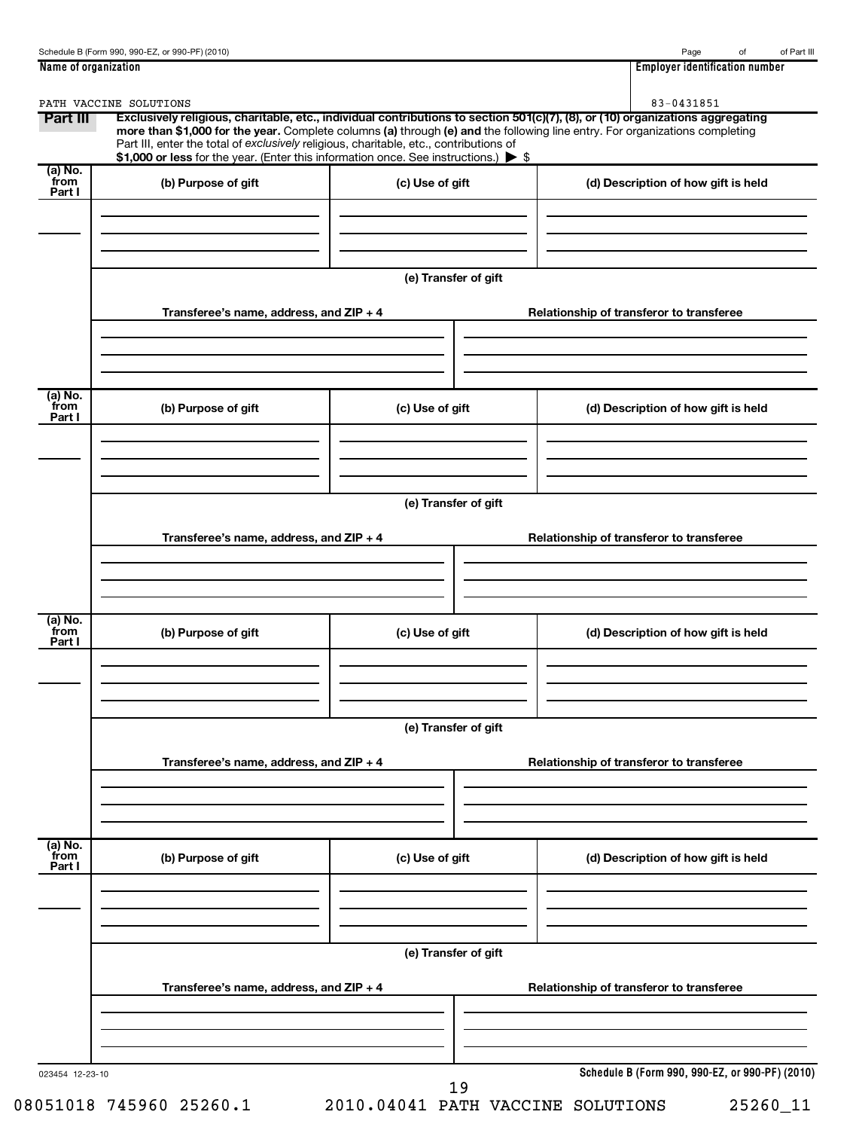|                           | PATH VACCINE SOLUTIONS                                                                                                                                                        |                      | 83-0431851                                                                                                                                                                                                                                                    |
|---------------------------|-------------------------------------------------------------------------------------------------------------------------------------------------------------------------------|----------------------|---------------------------------------------------------------------------------------------------------------------------------------------------------------------------------------------------------------------------------------------------------------|
| Part III                  | Part III, enter the total of exclusively religious, charitable, etc., contributions of<br>\$1,000 or less for the year. (Enter this information once. See instructions.) > \$ |                      | Exclusively religious, charitable, etc., individual contributions to section 501(c)(7), (8), or (10) organizations aggregating<br>more than \$1,000 for the year. Complete columns (a) through (e) and the following line entry. For organizations completing |
| (a) No.<br>from<br>Part I | (b) Purpose of gift                                                                                                                                                           | (c) Use of gift      | (d) Description of how gift is held                                                                                                                                                                                                                           |
|                           |                                                                                                                                                                               | (e) Transfer of gift |                                                                                                                                                                                                                                                               |
|                           | Transferee's name, address, and ZIP + 4                                                                                                                                       |                      | Relationship of transferor to transferee                                                                                                                                                                                                                      |
| (a) No.<br>from<br>Part I | (b) Purpose of gift                                                                                                                                                           | (c) Use of gift      | (d) Description of how gift is held                                                                                                                                                                                                                           |
|                           | Transferee's name, address, and ZIP + 4                                                                                                                                       | (e) Transfer of gift | Relationship of transferor to transferee                                                                                                                                                                                                                      |
| (a) No.<br>from<br>Part I | (b) Purpose of gift                                                                                                                                                           | (c) Use of gift      | (d) Description of how gift is held                                                                                                                                                                                                                           |
|                           | Transferee's name, address, and ZIP + 4                                                                                                                                       | (e) Transfer of gift | Relationship of transferor to transferee                                                                                                                                                                                                                      |
| (a) No.                   |                                                                                                                                                                               |                      |                                                                                                                                                                                                                                                               |
| from<br>Part I            | (b) Purpose of gift                                                                                                                                                           | (c) Use of gift      | (d) Description of how gift is held                                                                                                                                                                                                                           |
|                           |                                                                                                                                                                               | (e) Transfer of gift |                                                                                                                                                                                                                                                               |
|                           | Transferee's name, address, and ZIP + 4                                                                                                                                       |                      | Relationship of transferor to transferee                                                                                                                                                                                                                      |
|                           | 023454 12-23-10                                                                                                                                                               |                      | Schedule B (Form 990, 990-EZ, or 990-PF) (2010)                                                                                                                                                                                                               |

19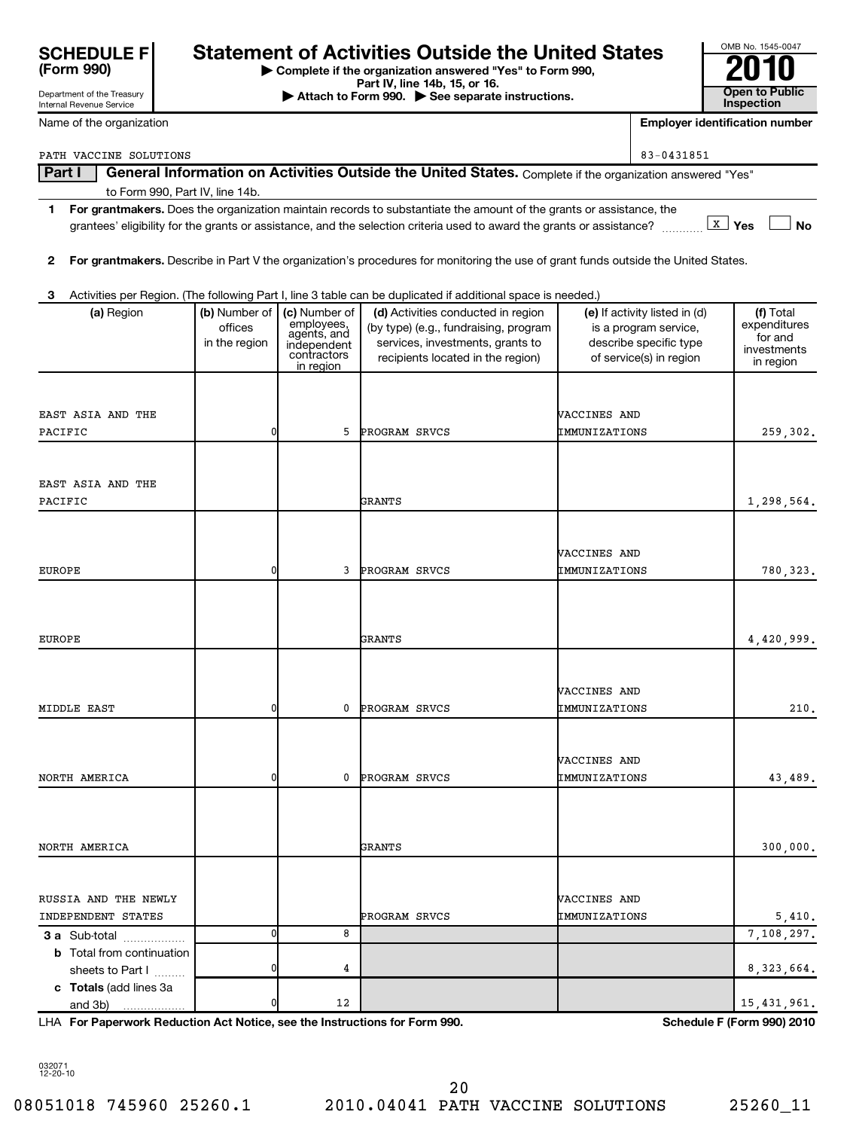| <b>SCHEDULE F</b> |  |
|-------------------|--|
| (Form 990)        |  |

Department of the Treasury

## **Statement of Activities Outside the United States**

**| Complete if the organization answered "Yes" to Form 990,**

**Part IV, line 14b, 15, or 16. Conserved Bart IV, 15, external at the Second Bart IV, 15, or 16. Conserved Bart IV, 15, or 16. Open to Public Inspection** 

| OMB No. 1545-0047     |
|-----------------------|
|                       |
|                       |
| <b>Open to Public</b> |
| Inspection            |

| Internal Revenue Service                   |                                           |                                                                                       |                                                                                                                                                      |                     |                                                                                                             | <b>Inspection</b>                                                |
|--------------------------------------------|-------------------------------------------|---------------------------------------------------------------------------------------|------------------------------------------------------------------------------------------------------------------------------------------------------|---------------------|-------------------------------------------------------------------------------------------------------------|------------------------------------------------------------------|
| Name of the organization                   |                                           |                                                                                       |                                                                                                                                                      |                     |                                                                                                             | <b>Employer identification number</b>                            |
| PATH VACCINE SOLUTIONS                     |                                           |                                                                                       |                                                                                                                                                      |                     | 83-0431851                                                                                                  |                                                                  |
| Part I                                     |                                           |                                                                                       | General Information on Activities Outside the United States. Complete if the organization answered "Yes"                                             |                     |                                                                                                             |                                                                  |
| to Form 990, Part IV, line 14b.            |                                           |                                                                                       |                                                                                                                                                      |                     |                                                                                                             |                                                                  |
|                                            |                                           |                                                                                       | 1 For grantmakers. Does the organization maintain records to substantiate the amount of the grants or assistance, the                                |                     |                                                                                                             |                                                                  |
|                                            |                                           |                                                                                       | grantees' eligibility for the grants or assistance, and the selection criteria used to award the grants or assistance? $\frac{1}{2}$ Yes             |                     |                                                                                                             | <b>No</b>                                                        |
| $\mathbf{2}$                               |                                           |                                                                                       | For grantmakers. Describe in Part V the organization's procedures for monitoring the use of grant funds outside the United States.                   |                     |                                                                                                             |                                                                  |
| з                                          |                                           |                                                                                       | Activities per Region. (The following Part I, line 3 table can be duplicated if additional space is needed.)                                         |                     |                                                                                                             |                                                                  |
| (a) Region                                 | (b) Number of<br>offices<br>in the region | (c) Number of<br>employees,<br>agents, and<br>independent<br>contractors<br>in region | (d) Activities conducted in region<br>(by type) (e.g., fundraising, program<br>services, investments, grants to<br>recipients located in the region) |                     | (e) If activity listed in (d)<br>is a program service,<br>describe specific type<br>of service(s) in region | (f) Total<br>expenditures<br>for and<br>investments<br>in region |
|                                            |                                           |                                                                                       |                                                                                                                                                      |                     |                                                                                                             |                                                                  |
| EAST ASIA AND THE                          |                                           |                                                                                       |                                                                                                                                                      | <b>WACCINES AND</b> |                                                                                                             |                                                                  |
| PACIFIC                                    | 0                                         | 5                                                                                     | PROGRAM SRVCS                                                                                                                                        | IMMUNIZATIONS       |                                                                                                             | 259,302.                                                         |
| EAST ASIA AND THE                          |                                           |                                                                                       |                                                                                                                                                      |                     |                                                                                                             |                                                                  |
| PACIFIC                                    |                                           |                                                                                       | GRANTS                                                                                                                                               |                     |                                                                                                             | 1,298,564.                                                       |
|                                            |                                           |                                                                                       |                                                                                                                                                      |                     |                                                                                                             |                                                                  |
|                                            |                                           |                                                                                       |                                                                                                                                                      | <b>VACCINES AND</b> |                                                                                                             |                                                                  |
| EUROPE                                     | 0                                         | 3                                                                                     | PROGRAM SRVCS                                                                                                                                        | IMMUNIZATIONS       |                                                                                                             | 780,323.                                                         |
|                                            |                                           |                                                                                       |                                                                                                                                                      |                     |                                                                                                             |                                                                  |
|                                            |                                           |                                                                                       |                                                                                                                                                      |                     |                                                                                                             |                                                                  |
| EUROPE                                     |                                           |                                                                                       | GRANTS                                                                                                                                               |                     |                                                                                                             |                                                                  |
|                                            |                                           |                                                                                       |                                                                                                                                                      |                     |                                                                                                             | 4,420,999.                                                       |
|                                            |                                           |                                                                                       |                                                                                                                                                      |                     |                                                                                                             |                                                                  |
|                                            |                                           |                                                                                       |                                                                                                                                                      | <b>VACCINES AND</b> |                                                                                                             |                                                                  |
| MIDDLE EAST                                | 0                                         | 0                                                                                     | PROGRAM SRVCS                                                                                                                                        | IMMUNIZATIONS       |                                                                                                             | 210.                                                             |
|                                            |                                           |                                                                                       |                                                                                                                                                      |                     |                                                                                                             |                                                                  |
|                                            |                                           |                                                                                       |                                                                                                                                                      | VACCINES AND        |                                                                                                             |                                                                  |
| NORTH AMERICA                              | 0                                         | 0                                                                                     | <b>PROGRAM SRVCS</b>                                                                                                                                 | IMMUNIZATIONS       |                                                                                                             | 43,489.                                                          |
|                                            |                                           |                                                                                       |                                                                                                                                                      |                     |                                                                                                             |                                                                  |
|                                            |                                           |                                                                                       |                                                                                                                                                      |                     |                                                                                                             |                                                                  |
| NORTH AMERICA                              |                                           |                                                                                       | GRANTS                                                                                                                                               |                     |                                                                                                             | 300,000.                                                         |
|                                            |                                           |                                                                                       |                                                                                                                                                      |                     |                                                                                                             |                                                                  |
| RUSSIA AND THE NEWLY                       |                                           |                                                                                       |                                                                                                                                                      | <b>VACCINES AND</b> |                                                                                                             |                                                                  |
| INDEPENDENT STATES                         |                                           |                                                                                       | PROGRAM SRVCS                                                                                                                                        | IMMUNIZATIONS       |                                                                                                             | 5,410.                                                           |
| 3 a Sub-total                              | 0                                         | 8                                                                                     |                                                                                                                                                      |                     |                                                                                                             | 7,108,297.                                                       |
| <b>b</b> Total from continuation           |                                           |                                                                                       |                                                                                                                                                      |                     |                                                                                                             |                                                                  |
| sheets to Part I<br>c Totals (add lines 3a | C                                         | 4                                                                                     |                                                                                                                                                      |                     |                                                                                                             | 8, 323, 664.                                                     |
| and 3b)                                    | C                                         | 12                                                                                    |                                                                                                                                                      |                     |                                                                                                             | 15, 431, 961.                                                    |

**For Paperwork Reduction Act Notice, see the Instructions for Form 990. Schedule F (Form 990) 2010** LHA

032071 12-20-10

08051018 745960 25260.1 2010.04041 PATH VACCINE SOLUTIONS 25260\_11 20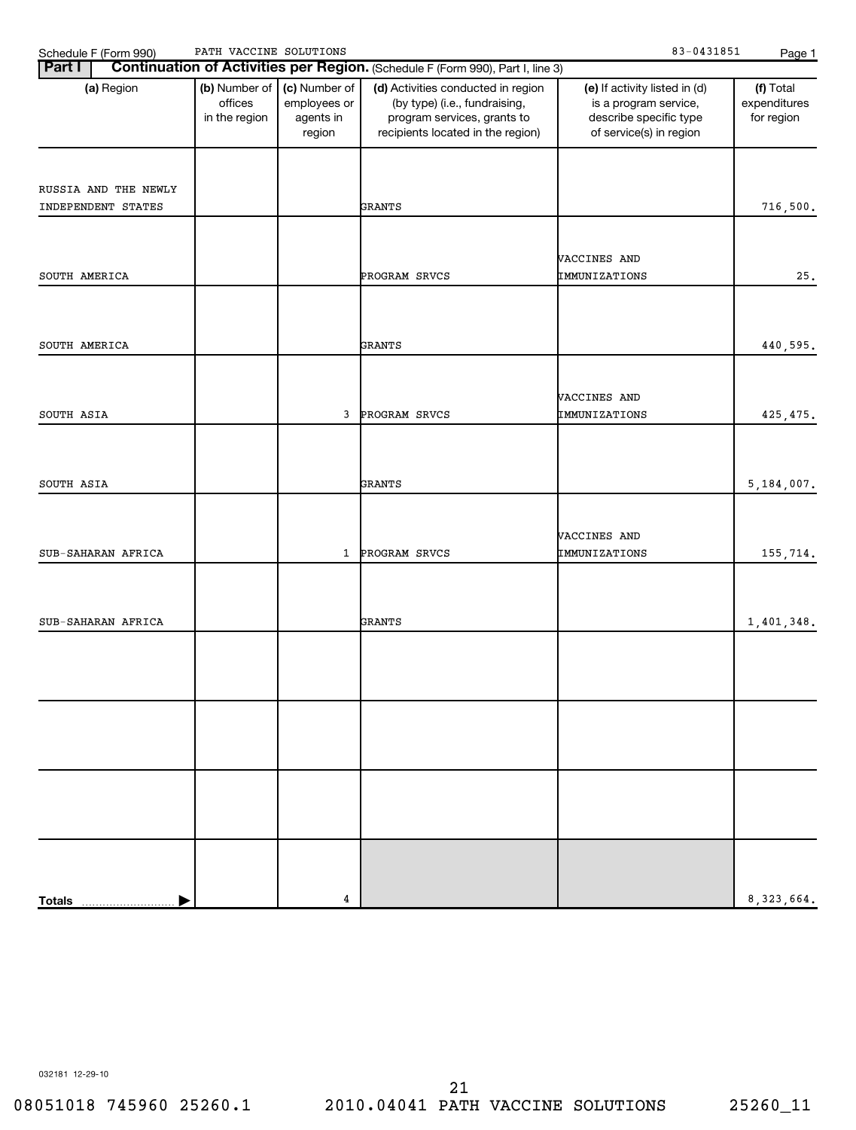| $-0431851$<br>SOLUTIONS<br>ACCINE<br>טחגם<br>$\sqrt{\Delta}C$<br><u>_</u><br>Schedule<br>(990 ا<br>∙orm<br>ບ.<br>. | Page |
|--------------------------------------------------------------------------------------------------------------------|------|
|--------------------------------------------------------------------------------------------------------------------|------|

| Part I               |                                           |                                                      | Continuation of Activities per Region. (Schedule F (Form 990), Part I, line 3)                                                          |                                                                                                             |                                         |
|----------------------|-------------------------------------------|------------------------------------------------------|-----------------------------------------------------------------------------------------------------------------------------------------|-------------------------------------------------------------------------------------------------------------|-----------------------------------------|
| (a) Region           | (b) Number of<br>offices<br>in the region | (c) Number of<br>employees or<br>agents in<br>region | (d) Activities conducted in region<br>(by type) (i.e., fundraising,<br>program services, grants to<br>recipients located in the region) | (e) If activity listed in (d)<br>is a program service,<br>describe specific type<br>of service(s) in region | (f) Total<br>expenditures<br>for region |
|                      |                                           |                                                      |                                                                                                                                         |                                                                                                             |                                         |
| RUSSIA AND THE NEWLY |                                           |                                                      |                                                                                                                                         |                                                                                                             |                                         |
| INDEPENDENT STATES   |                                           |                                                      | <b>GRANTS</b>                                                                                                                           |                                                                                                             | 716,500.                                |
|                      |                                           |                                                      |                                                                                                                                         |                                                                                                             |                                         |
| SOUTH AMERICA        |                                           |                                                      | PROGRAM SRVCS                                                                                                                           | VACCINES AND<br>IMMUNIZATIONS                                                                               | 25.                                     |
|                      |                                           |                                                      |                                                                                                                                         |                                                                                                             |                                         |
| SOUTH AMERICA        |                                           |                                                      | <b>GRANTS</b>                                                                                                                           |                                                                                                             | 440,595.                                |
|                      |                                           |                                                      |                                                                                                                                         |                                                                                                             |                                         |
|                      |                                           |                                                      |                                                                                                                                         | VACCINES AND                                                                                                |                                         |
| SOUTH ASIA           |                                           | 3                                                    | PROGRAM SRVCS                                                                                                                           | IMMUNIZATIONS                                                                                               | 425,475.                                |
|                      |                                           |                                                      |                                                                                                                                         |                                                                                                             |                                         |
| SOUTH ASIA           |                                           |                                                      | <b>GRANTS</b>                                                                                                                           |                                                                                                             | 5,184,007.                              |
|                      |                                           |                                                      |                                                                                                                                         |                                                                                                             |                                         |
|                      |                                           |                                                      |                                                                                                                                         | VACCINES AND                                                                                                |                                         |
| SUB-SAHARAN AFRICA   |                                           |                                                      | 1 PROGRAM SRVCS                                                                                                                         | IMMUNIZATIONS                                                                                               | 155,714.                                |
|                      |                                           |                                                      |                                                                                                                                         |                                                                                                             |                                         |
| SUB-SAHARAN AFRICA   |                                           |                                                      | <b>GRANTS</b>                                                                                                                           |                                                                                                             | 1,401,348.                              |
|                      |                                           |                                                      |                                                                                                                                         |                                                                                                             |                                         |
|                      |                                           |                                                      |                                                                                                                                         |                                                                                                             |                                         |
|                      |                                           |                                                      |                                                                                                                                         |                                                                                                             |                                         |
|                      |                                           |                                                      |                                                                                                                                         |                                                                                                             |                                         |
|                      |                                           |                                                      |                                                                                                                                         |                                                                                                             |                                         |
|                      |                                           |                                                      |                                                                                                                                         |                                                                                                             |                                         |
|                      |                                           |                                                      |                                                                                                                                         |                                                                                                             |                                         |
|                      |                                           |                                                      |                                                                                                                                         |                                                                                                             |                                         |
|                      |                                           |                                                      |                                                                                                                                         |                                                                                                             |                                         |
|                      |                                           | 4                                                    |                                                                                                                                         |                                                                                                             | 8, 323, 664.                            |
| <b>Totals</b>        |                                           |                                                      |                                                                                                                                         |                                                                                                             |                                         |

032181 12-29-10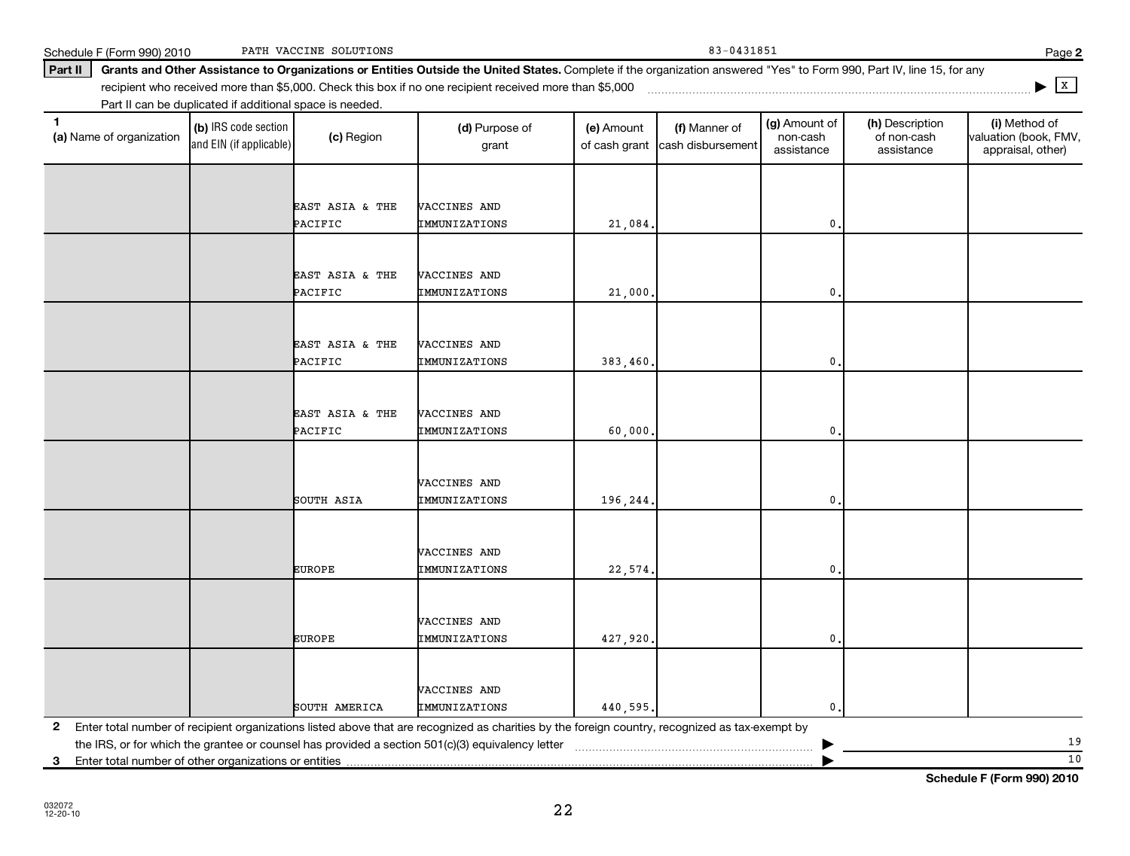**3**

Enter total number of other organizations or entities

| EAST ASIA & THE                                                                                                                                 | VACCINES AND         |          |                |  |
|-------------------------------------------------------------------------------------------------------------------------------------------------|----------------------|----------|----------------|--|
| PACIFIC                                                                                                                                         | IMMUNIZATIONS        | 383,460. | $\mathbf{0}$ . |  |
|                                                                                                                                                 |                      |          |                |  |
|                                                                                                                                                 |                      |          |                |  |
| EAST ASIA & THE                                                                                                                                 | VACCINES AND         |          |                |  |
| PACIFIC                                                                                                                                         | IMMUNIZATIONS        | 60,000.  | $\mathbf{0}$ . |  |
|                                                                                                                                                 |                      |          |                |  |
|                                                                                                                                                 |                      |          |                |  |
|                                                                                                                                                 | VACCINES AND         |          |                |  |
| SOUTH ASIA                                                                                                                                      | IMMUNIZATIONS        | 196,244. | $\mathbf{0}$ . |  |
|                                                                                                                                                 |                      |          |                |  |
|                                                                                                                                                 |                      |          |                |  |
|                                                                                                                                                 | VACCINES AND         |          |                |  |
| <b>EUROPE</b>                                                                                                                                   | IMMUNIZATIONS        | 22,574.  | $\mathbf{0}$ . |  |
|                                                                                                                                                 |                      |          |                |  |
|                                                                                                                                                 |                      |          |                |  |
|                                                                                                                                                 | VACCINES AND         |          |                |  |
| <b>EUROPE</b>                                                                                                                                   | IMMUNIZATIONS        | 427,920. | $\mathbf{0}$ . |  |
|                                                                                                                                                 |                      |          |                |  |
|                                                                                                                                                 | VACCINES AND         |          |                |  |
| SOUTH AMERICA                                                                                                                                   | <b>IMMUNIZATIONS</b> |          | $\mathbf{0}$ . |  |
| Enter total number of recipient organizations listed above that are recognized as charities by the foreign country, recognized as tax-exempt by |                      | 440,595. |                |  |

Part II can be duplicated if additional space is needed.

(b) IRS code section and EIN (if applicable)

Schedule F (Form 990) 2010 PATH VACCINE SOLUTIONS 2001 2010 12:00 2010 2010 2010 12:00 2010 PATH VACCINE SOLUTIONS

Part II | Grants and Other Assistance to Organizations or Entities Outside the United States. Complete if the organization answered "Yes" to Form 990, Part IV, line 15, for any

grant

**(a)** Name of organization (b) IRS code section (c) Region (c) Region (d) Purpose of (e) Amount (f) Manner of (g) Amount of (h) Description (i) (a) Name of organization (f) IRS code section (c) Region (d) Purpose of (d) Am

PACIFIC TMMUNIZATIONS | 21,084. 0.

PACIFIC IMMUNIZATIONS 21,000. 0.

(e) Amount of cash grant

recipient who received more than \$5,000. Check this box if no one recipient received more than \$5,000 ~~~~~~~~~~~~~~~~~~~~~~~~~~~~~~~~~~~~~

EAST ASIA & THE VACCINES AND

EAST ASIA & THE VACCINES AND

(c) Region (d) Purpose of

(a) Name of organization

**|** X

(i) Method of valuation (book, FMV, appraisal, other)

(g) Amount of non-cash assistance

(h) Description of non-cash assistance

(f) Manner of cash disbursement

**Schedule F (Form 990) 2010**

10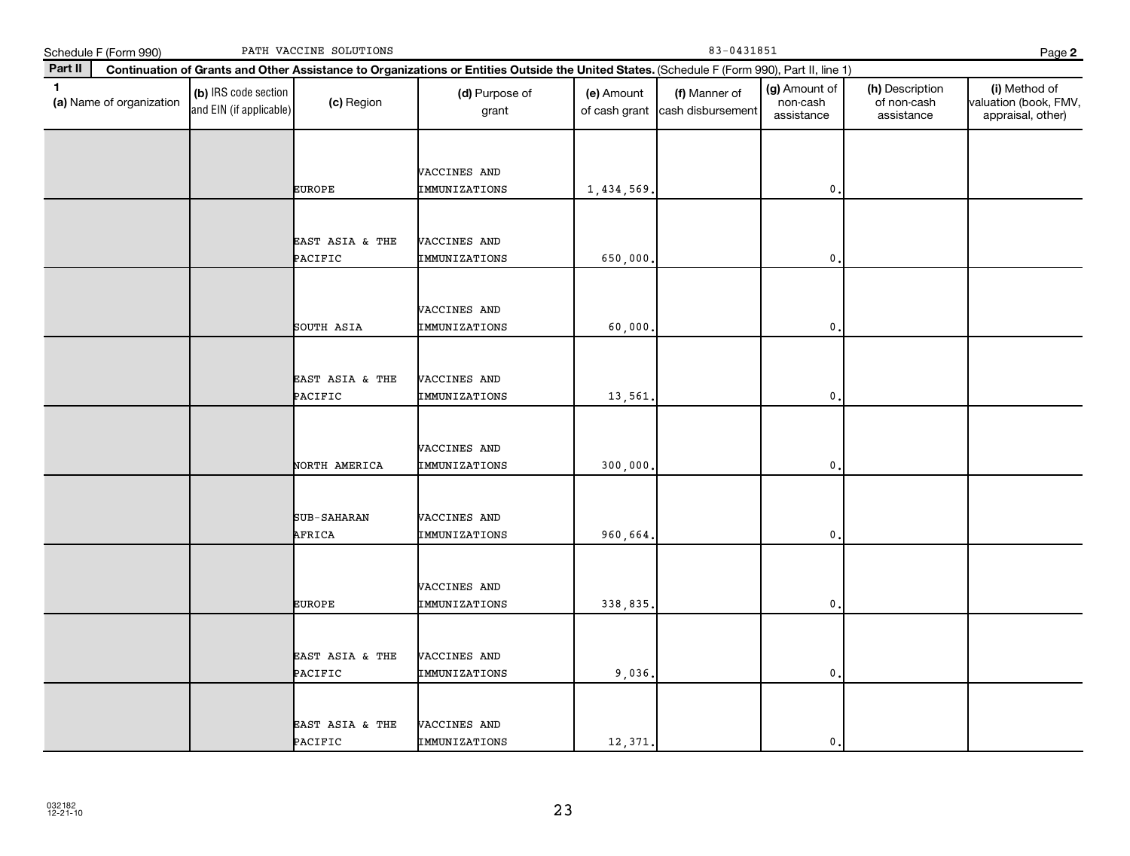|              | Schedule F (Form 990)    |                                                 | PATH VACCINE SOLUTIONS     |                                                                                                                                              |                             | Page 2                             |                                         |                                              |                                                             |
|--------------|--------------------------|-------------------------------------------------|----------------------------|----------------------------------------------------------------------------------------------------------------------------------------------|-----------------------------|------------------------------------|-----------------------------------------|----------------------------------------------|-------------------------------------------------------------|
| Part II      |                          |                                                 |                            | Continuation of Grants and Other Assistance to Organizations or Entities Outside the United States. (Schedule F (Form 990), Part II, line 1) |                             |                                    |                                         |                                              |                                                             |
| $\mathbf{1}$ | (a) Name of organization | (b) IRS code section<br>and EIN (if applicable) | (c) Region                 | (d) Purpose of<br>grant                                                                                                                      | (e) Amount<br>of cash grant | (f) Manner of<br>cash disbursement | (g) Amount of<br>non-cash<br>assistance | (h) Description<br>of non-cash<br>assistance | (i) Method of<br>valuation (book, FMV,<br>appraisal, other) |
|              |                          |                                                 | <b>EUROPE</b>              | VACCINES AND<br>IMMUNIZATIONS                                                                                                                | 1,434,569                   |                                    | 0                                       |                                              |                                                             |
|              |                          |                                                 | EAST ASIA & THE<br>PACIFIC | VACCINES AND<br>IMMUNIZATIONS                                                                                                                | 650,000                     |                                    | 0.                                      |                                              |                                                             |
|              |                          |                                                 | SOUTH ASIA                 | VACCINES AND<br>IMMUNIZATIONS                                                                                                                | 60,000                      |                                    | 0                                       |                                              |                                                             |
|              |                          |                                                 | EAST ASIA & THE<br>PACIFIC | VACCINES AND<br>IMMUNIZATIONS                                                                                                                | 13,561                      |                                    | 0.                                      |                                              |                                                             |
|              |                          |                                                 | NORTH AMERICA              | VACCINES AND<br>IMMUNIZATIONS                                                                                                                | 300,000                     |                                    | 0                                       |                                              |                                                             |
|              |                          |                                                 | SUB-SAHARAN<br>AFRICA      | VACCINES AND<br>IMMUNIZATIONS                                                                                                                | 960,664                     |                                    | $\mathbf{0}$                            |                                              |                                                             |
|              |                          |                                                 | <b>EUROPE</b>              | VACCINES AND<br>IMMUNIZATIONS                                                                                                                | 338,835                     |                                    | $\mathbf{0}$                            |                                              |                                                             |
|              |                          |                                                 | EAST ASIA & THE<br>PACIFIC | VACCINES AND<br>IMMUNIZATIONS                                                                                                                | 9,036.                      |                                    | $\mathbf{0}$                            |                                              |                                                             |
|              |                          |                                                 | EAST ASIA & THE<br>PACIFIC | VACCINES AND<br>IMMUNIZATIONS                                                                                                                | 12,371                      |                                    | $\mathbf{0}$                            |                                              |                                                             |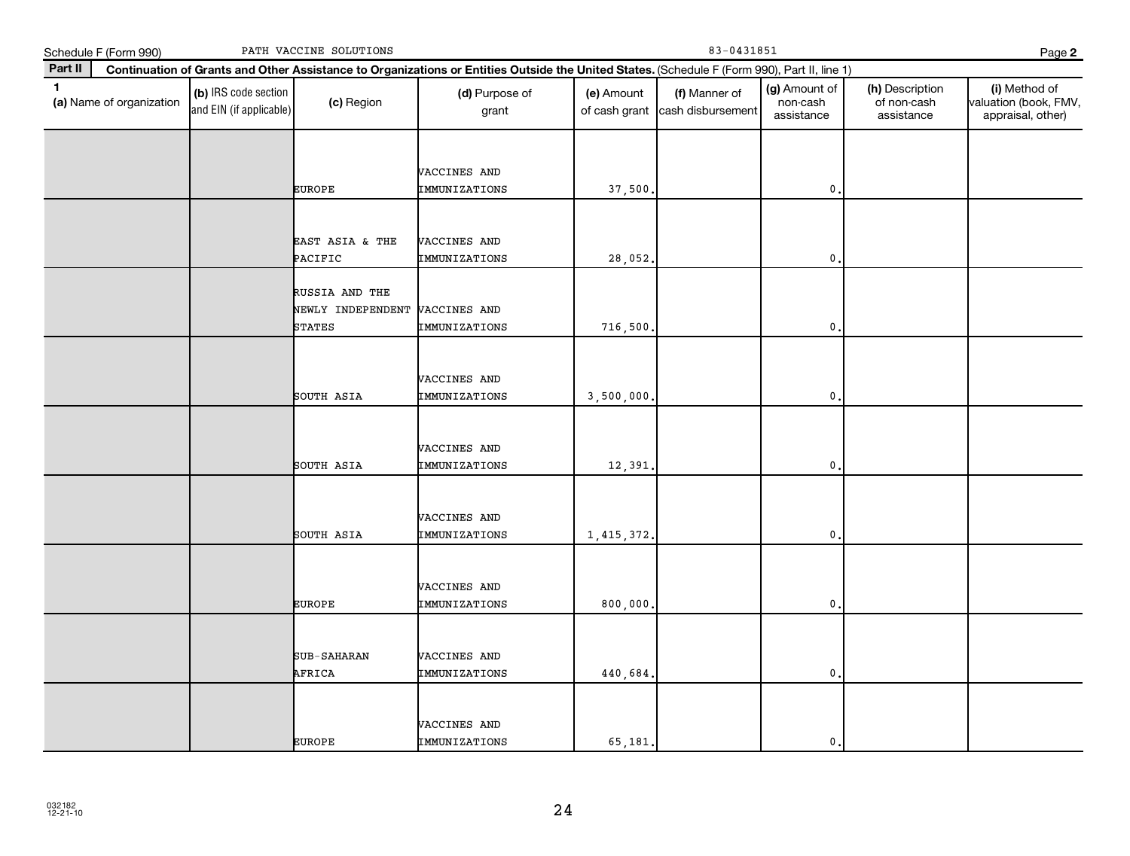|              | Schedule F (Form 990)    |                                                 | PATH VACCINE SOLUTIONS                               |                                                                                                                                              |                             | Page 2                             |                                         |                                              |                                                             |
|--------------|--------------------------|-------------------------------------------------|------------------------------------------------------|----------------------------------------------------------------------------------------------------------------------------------------------|-----------------------------|------------------------------------|-----------------------------------------|----------------------------------------------|-------------------------------------------------------------|
| Part II      |                          |                                                 |                                                      | Continuation of Grants and Other Assistance to Organizations or Entities Outside the United States. (Schedule F (Form 990), Part II, line 1) |                             |                                    |                                         |                                              |                                                             |
| $\mathbf{1}$ | (a) Name of organization | (b) IRS code section<br>and EIN (if applicable) | (c) Region                                           | (d) Purpose of<br>grant                                                                                                                      | (e) Amount<br>of cash grant | (f) Manner of<br>cash disbursement | (g) Amount of<br>non-cash<br>assistance | (h) Description<br>of non-cash<br>assistance | (i) Method of<br>valuation (book, FMV,<br>appraisal, other) |
|              |                          |                                                 | <b>EUROPE</b>                                        | VACCINES AND<br>IMMUNIZATIONS                                                                                                                | 37,500                      |                                    | $\mathbf{0}$                            |                                              |                                                             |
|              |                          |                                                 | EAST ASIA & THE<br>PACIFIC                           | VACCINES AND<br>IMMUNIZATIONS                                                                                                                | 28,052.                     |                                    | $\mathbf 0$ .                           |                                              |                                                             |
|              |                          |                                                 | RUSSIA AND THE<br>NEWLY INDEPENDENT<br><b>STATES</b> | VACCINES AND<br>IMMUNIZATIONS                                                                                                                | 716,500                     |                                    | 0                                       |                                              |                                                             |
|              |                          |                                                 | SOUTH ASIA                                           | VACCINES AND<br>IMMUNIZATIONS                                                                                                                | 3,500,000.                  |                                    | 0,                                      |                                              |                                                             |
|              |                          |                                                 | SOUTH ASIA                                           | VACCINES AND<br>IMMUNIZATIONS                                                                                                                | 12,391                      |                                    | $\mathbf{0}$                            |                                              |                                                             |
|              |                          |                                                 | SOUTH ASIA                                           | VACCINES AND<br>IMMUNIZATIONS                                                                                                                | 1,415,372.                  |                                    | $\mathbf{0}$                            |                                              |                                                             |
|              |                          |                                                 | <b>EUROPE</b>                                        | VACCINES AND<br>IMMUNIZATIONS                                                                                                                | 800,000                     |                                    | $\mathbf{0}$                            |                                              |                                                             |
|              |                          |                                                 | SUB-SAHARAN<br>AFRICA                                | VACCINES AND<br>IMMUNIZATIONS                                                                                                                | 440,684                     |                                    | $\mathbf{0}$ .                          |                                              |                                                             |
|              |                          |                                                 | <b>EUROPE</b>                                        | VACCINES AND<br>IMMUNIZATIONS                                                                                                                | 65,181                      |                                    | $\mathbf{0}$ .                          |                                              |                                                             |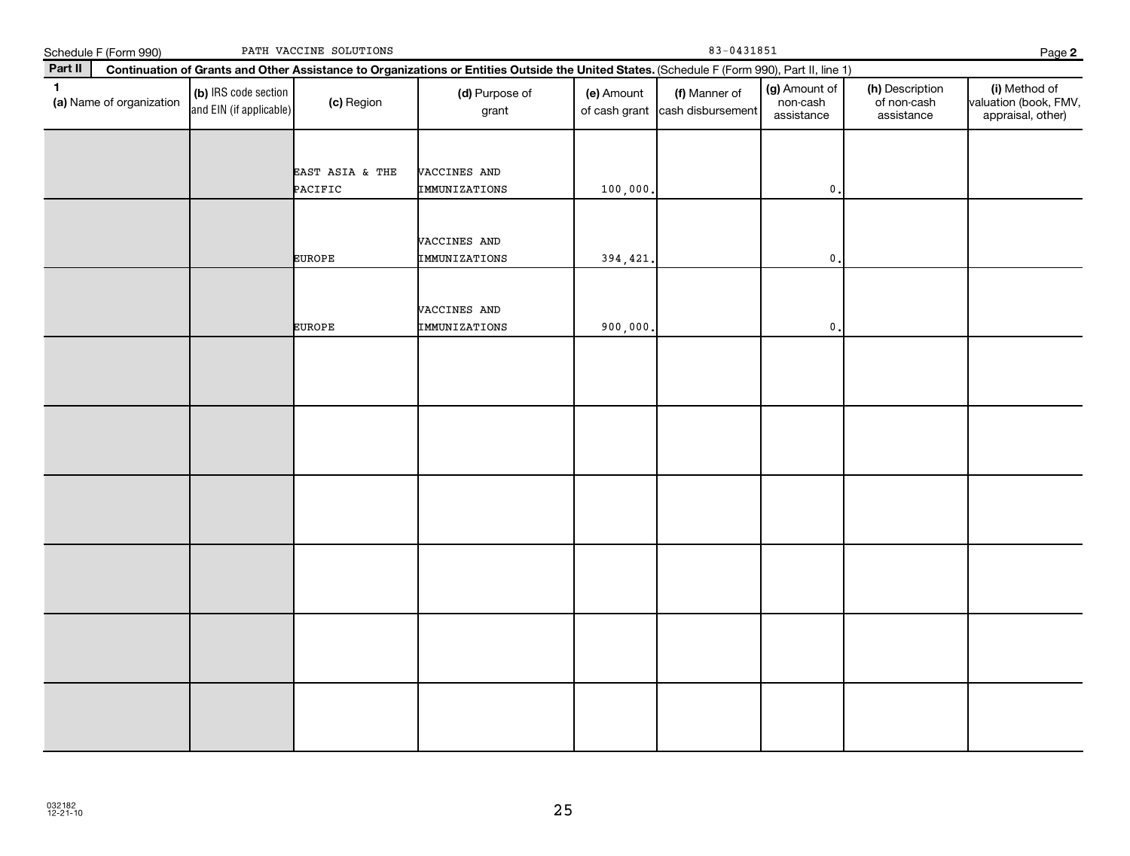|              | Schedule F (Form 990)    |                                                 | PATH VACCINE SOLUTIONS     |                                                                                                                                              |                             |                                    | Page 2                                  |                                              |                                                             |
|--------------|--------------------------|-------------------------------------------------|----------------------------|----------------------------------------------------------------------------------------------------------------------------------------------|-----------------------------|------------------------------------|-----------------------------------------|----------------------------------------------|-------------------------------------------------------------|
| Part II      |                          |                                                 |                            | Continuation of Grants and Other Assistance to Organizations or Entities Outside the United States. (Schedule F (Form 990), Part II, line 1) |                             |                                    |                                         |                                              |                                                             |
| $\mathbf{1}$ | (a) Name of organization | (b) IRS code section<br>and EIN (if applicable) | (c) Region                 | (d) Purpose of<br>grant                                                                                                                      | (e) Amount<br>of cash grant | (f) Manner of<br>cash disbursement | (g) Amount of<br>non-cash<br>assistance | (h) Description<br>of non-cash<br>assistance | (i) Method of<br>valuation (book, FMV,<br>appraisal, other) |
|              |                          |                                                 | EAST ASIA & THE<br>PACIFIC | VACCINES AND<br>IMMUNIZATIONS                                                                                                                | 100,000                     |                                    | $\mathsf{0}$ .                          |                                              |                                                             |
|              |                          |                                                 | <b>EUROPE</b>              | VACCINES AND<br>IMMUNIZATIONS                                                                                                                | 394,421                     |                                    | $\mathbf 0$ .                           |                                              |                                                             |
|              |                          |                                                 | <b>EUROPE</b>              | VACCINES AND<br>IMMUNIZATIONS                                                                                                                | 900,000                     |                                    | $\mathsf{0}$ .                          |                                              |                                                             |
|              |                          |                                                 |                            |                                                                                                                                              |                             |                                    |                                         |                                              |                                                             |
|              |                          |                                                 |                            |                                                                                                                                              |                             |                                    |                                         |                                              |                                                             |
|              |                          |                                                 |                            |                                                                                                                                              |                             |                                    |                                         |                                              |                                                             |
|              |                          |                                                 |                            |                                                                                                                                              |                             |                                    |                                         |                                              |                                                             |
|              |                          |                                                 |                            |                                                                                                                                              |                             |                                    |                                         |                                              |                                                             |
|              |                          |                                                 |                            |                                                                                                                                              |                             |                                    |                                         |                                              |                                                             |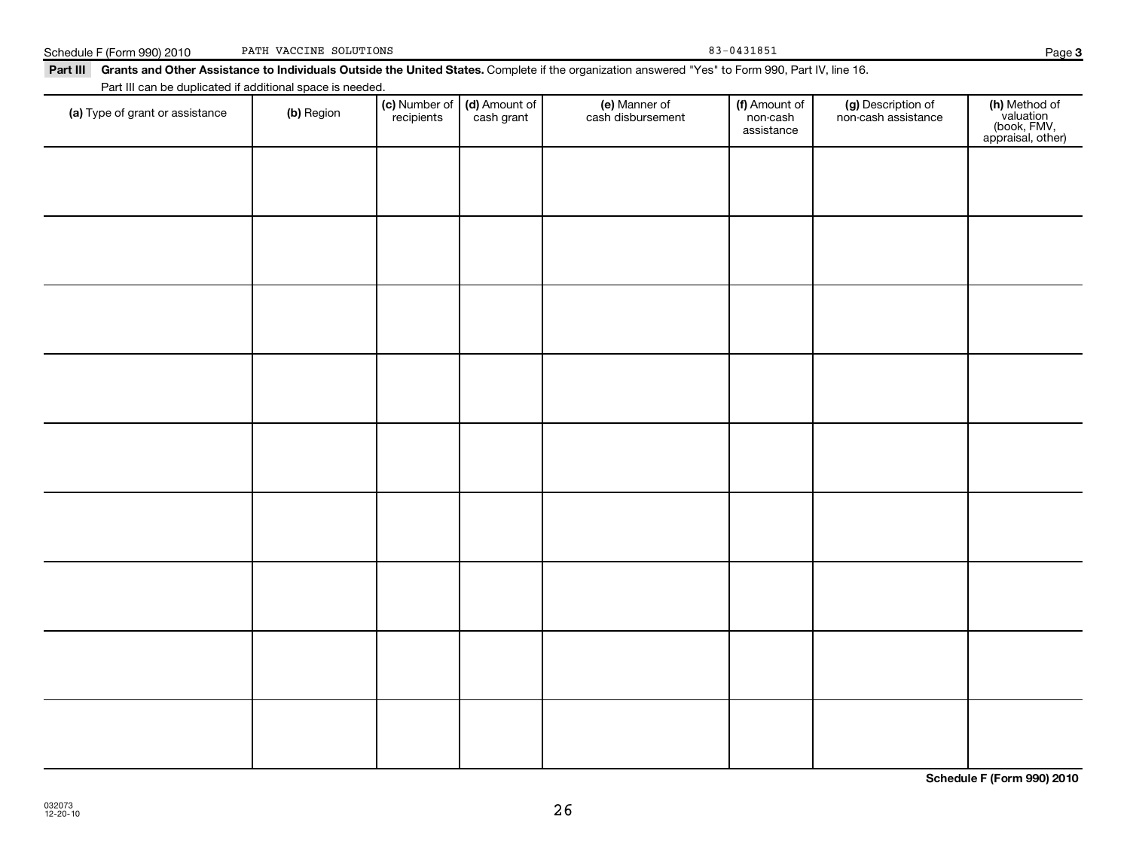| Part III can be duplicated if additional space is needed. |            |                             |                             |                                    |                                         |                                           |                                                                |
|-----------------------------------------------------------|------------|-----------------------------|-----------------------------|------------------------------------|-----------------------------------------|-------------------------------------------|----------------------------------------------------------------|
| (a) Type of grant or assistance                           | (b) Region | (c) Number of<br>recipients | (d) Amount of<br>cash grant | (e) Manner of<br>cash disbursement | (f) Amount of<br>non-cash<br>assistance | (g) Description of<br>non-cash assistance | (h) Method of<br>valuation<br>(book, FMV,<br>appraisal, other) |
|                                                           |            |                             |                             |                                    |                                         |                                           |                                                                |
|                                                           |            |                             |                             |                                    |                                         |                                           |                                                                |
|                                                           |            |                             |                             |                                    |                                         |                                           |                                                                |
|                                                           |            |                             |                             |                                    |                                         |                                           |                                                                |
|                                                           |            |                             |                             |                                    |                                         |                                           |                                                                |
|                                                           |            |                             |                             |                                    |                                         |                                           |                                                                |
|                                                           |            |                             |                             |                                    |                                         |                                           |                                                                |
|                                                           |            |                             |                             |                                    |                                         |                                           |                                                                |
|                                                           |            |                             |                             |                                    |                                         |                                           |                                                                |
|                                                           |            |                             |                             |                                    |                                         |                                           |                                                                |

**Schedule F (Form 990) 2010**

Schedule F (Form 990) 2010 PATH VACCINE SOLUTIONS 83-0431851 PATH VACCINE SOLUTIONS

## Part III Grants and Other Assistance to Individuals Outside the United States. Complete if the organization answered "Yes" to Form 990, Part IV, line 16.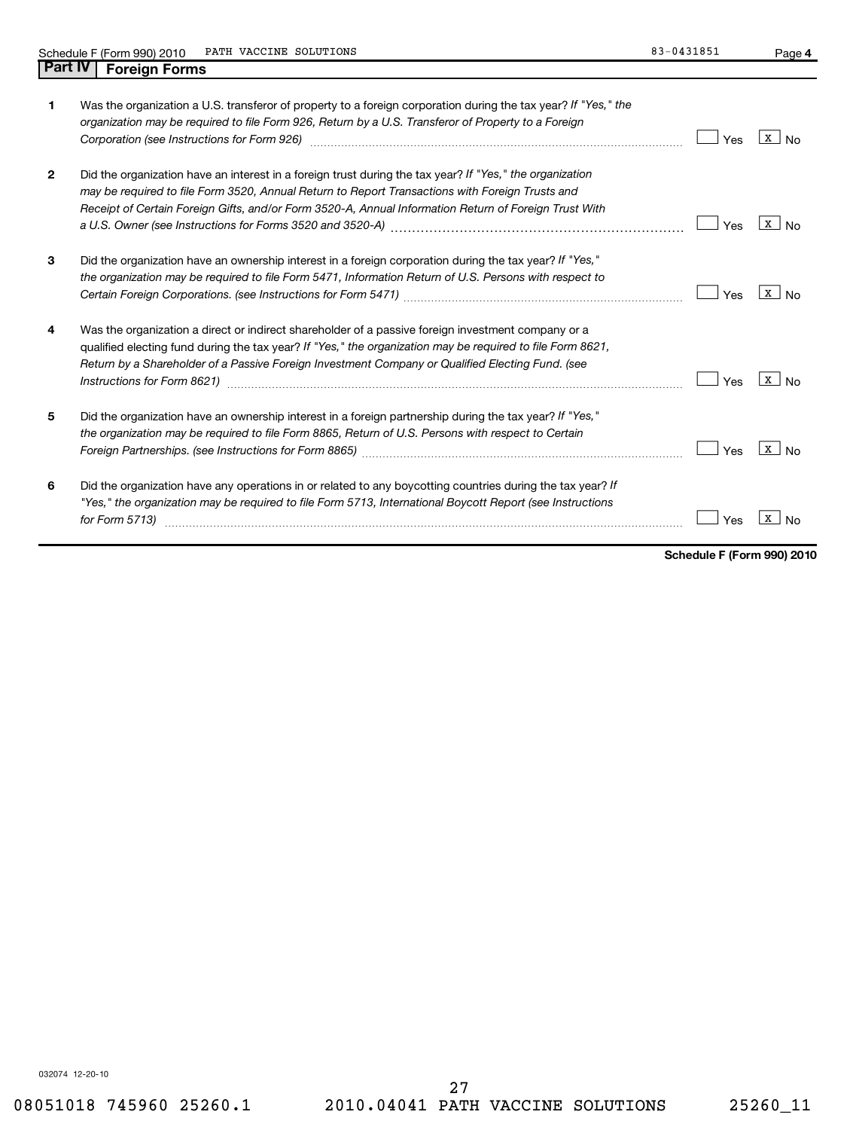**4**

| 1            | Was the organization a U.S. transferor of property to a foreign corporation during the tax year? If "Yes," the<br>organization may be required to file Form 926, Return by a U.S. Transferor of Property to a Foreign<br>Corporation (see Instructions for Form 926) [11] Corporation (see Instructions for Form 926) [11] Corporation ( | Yes | X  <br>No                      |
|--------------|------------------------------------------------------------------------------------------------------------------------------------------------------------------------------------------------------------------------------------------------------------------------------------------------------------------------------------------|-----|--------------------------------|
| $\mathbf{2}$ | Did the organization have an interest in a foreign trust during the tax year? If "Yes," the organization<br>may be required to file Form 3520, Annual Return to Report Transactions with Foreign Trusts and<br>Receipt of Certain Foreign Gifts, and/or Form 3520-A, Annual Information Return of Foreign Trust With                     | Yes | $\mathbf{x}$<br>N <sub>0</sub> |
| 3            | Did the organization have an ownership interest in a foreign corporation during the tax year? If "Yes,"<br>the organization may be required to file Form 5471, Information Return of U.S. Persons with respect to                                                                                                                        | Yes | x  <br>No                      |
| 4            | Was the organization a direct or indirect shareholder of a passive foreign investment company or a<br>qualified electing fund during the tax year? If "Yes," the organization may be required to file Form 8621,<br>Return by a Shareholder of a Passive Foreign Investment Company or Qualified Electing Fund. (see                     | Yes | $\mathbf{X}$                   |
| 5            | Did the organization have an ownership interest in a foreign partnership during the tax year? If "Yes,"<br>the organization may be required to file Form 8865, Return of U.S. Persons with respect to Certain                                                                                                                            | Yes | X<br>N <sub>0</sub>            |
| 6            | Did the organization have any operations in or related to any boycotting countries during the tax year? If<br>"Yes," the organization may be required to file Form 5713, International Boycott Report (see Instructions<br>for Form 5713)                                                                                                | Yes | x                              |

**Schedule F (Form 990) 2010**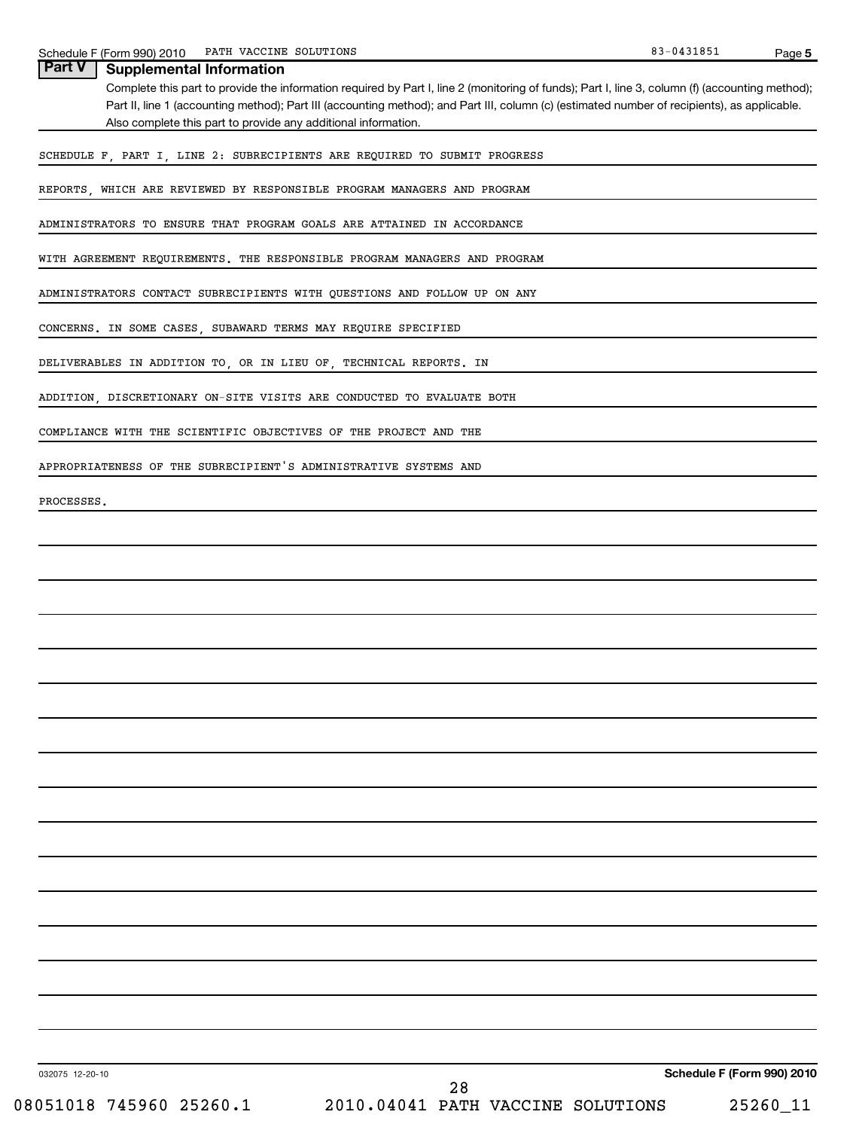| PATH VACCINE SOLUTIONS<br>Schedule F (Form 990) 2010                                                                                            | 83-0431851 | Page 5 |
|-------------------------------------------------------------------------------------------------------------------------------------------------|------------|--------|
| <b>Part V</b><br><b>Supplemental Information</b>                                                                                                |            |        |
| Complete this part to provide the information required by Part I, line 2 (monitoring of funds); Part I, line 3, column (f) (accounting method); |            |        |
| Part II, line 1 (accounting method); Part III (accounting method); and Part III, column (c) (estimated number of recipients), as applicable.    |            |        |
|                                                                                                                                                 |            |        |
| Also complete this part to provide any additional information.                                                                                  |            |        |
|                                                                                                                                                 |            |        |
| SCHEDULE F, PART I, LINE 2: SUBRECIPIENTS ARE REQUIRED TO SUBMIT PROGRESS                                                                       |            |        |
|                                                                                                                                                 |            |        |
| REPORTS, WHICH ARE REVIEWED BY RESPONSIBLE PROGRAM MANAGERS AND PROGRAM                                                                         |            |        |
| ADMINISTRATORS TO ENSURE THAT PROGRAM GOALS ARE ATTAINED IN ACCORDANCE                                                                          |            |        |
|                                                                                                                                                 |            |        |
| WITH AGREEMENT REQUIREMENTS. THE RESPONSIBLE PROGRAM MANAGERS AND PROGRAM                                                                       |            |        |
|                                                                                                                                                 |            |        |
| ADMINISTRATORS CONTACT SUBRECIPIENTS WITH QUESTIONS AND FOLLOW UP ON ANY                                                                        |            |        |
|                                                                                                                                                 |            |        |
| CONCERNS. IN SOME CASES, SUBAWARD TERMS MAY REQUIRE SPECIFIED                                                                                   |            |        |
|                                                                                                                                                 |            |        |
| DELIVERABLES IN ADDITION TO, OR IN LIEU OF, TECHNICAL REPORTS. IN                                                                               |            |        |
|                                                                                                                                                 |            |        |
| ADDITION, DISCRETIONARY ON-SITE VISITS ARE CONDUCTED TO EVALUATE BOTH                                                                           |            |        |
|                                                                                                                                                 |            |        |
| COMPLIANCE WITH THE SCIENTIFIC OBJECTIVES OF THE PROJECT AND THE                                                                                |            |        |
|                                                                                                                                                 |            |        |
| APPROPRIATENESS OF THE SUBRECIPIENT'S ADMINISTRATIVE SYSTEMS AND                                                                                |            |        |
|                                                                                                                                                 |            |        |
|                                                                                                                                                 |            |        |
| PROCESSES.                                                                                                                                      |            |        |
|                                                                                                                                                 |            |        |
|                                                                                                                                                 |            |        |
|                                                                                                                                                 |            |        |
|                                                                                                                                                 |            |        |
|                                                                                                                                                 |            |        |
|                                                                                                                                                 |            |        |
|                                                                                                                                                 |            |        |
|                                                                                                                                                 |            |        |
|                                                                                                                                                 |            |        |
|                                                                                                                                                 |            |        |
|                                                                                                                                                 |            |        |
|                                                                                                                                                 |            |        |
|                                                                                                                                                 |            |        |
|                                                                                                                                                 |            |        |
|                                                                                                                                                 |            |        |
|                                                                                                                                                 |            |        |
|                                                                                                                                                 |            |        |
|                                                                                                                                                 |            |        |
|                                                                                                                                                 |            |        |
|                                                                                                                                                 |            |        |
|                                                                                                                                                 |            |        |
|                                                                                                                                                 |            |        |
|                                                                                                                                                 |            |        |
|                                                                                                                                                 |            |        |
|                                                                                                                                                 |            |        |
|                                                                                                                                                 |            |        |
|                                                                                                                                                 |            |        |
|                                                                                                                                                 |            |        |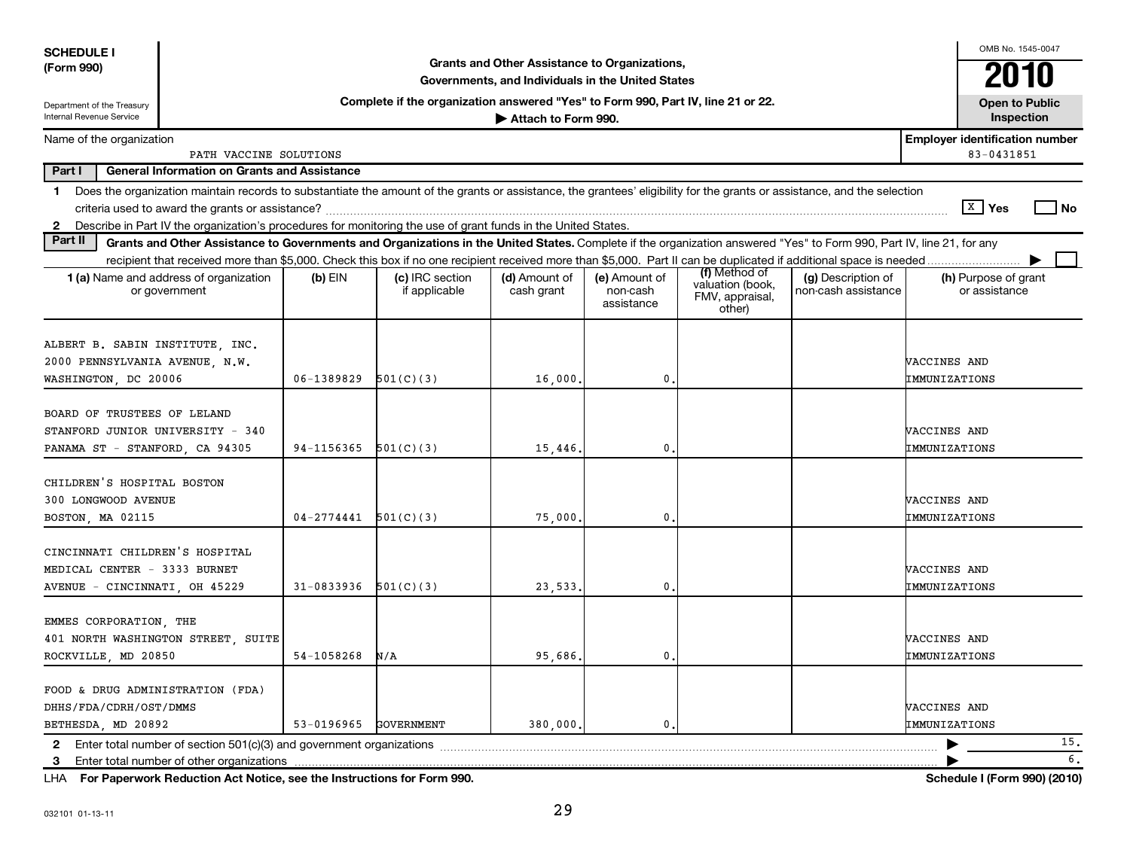| <b>SCHEDULE I</b>                                                                                 |                                                         |                |                                                                                                                                                                          |                                                                                                    |                                         |                                               |                                           |                               | OMB No. 1545-0047                                   |                      |
|---------------------------------------------------------------------------------------------------|---------------------------------------------------------|----------------|--------------------------------------------------------------------------------------------------------------------------------------------------------------------------|----------------------------------------------------------------------------------------------------|-----------------------------------------|-----------------------------------------------|-------------------------------------------|-------------------------------|-----------------------------------------------------|----------------------|
| (Form 990)                                                                                        |                                                         |                |                                                                                                                                                                          | Grants and Other Assistance to Organizations,<br>Governments, and Individuals in the United States |                                         |                                               |                                           |                               | 2010                                                |                      |
| Department of the Treasury<br>Internal Revenue Service                                            |                                                         |                | Complete if the organization answered "Yes" to Form 990, Part IV, line 21 or 22.                                                                                         | Attach to Form 990.                                                                                |                                         |                                               |                                           |                               | <b>Open to Public</b><br>Inspection                 |                      |
| Name of the organization                                                                          | PATH VACCINE SOLUTIONS                                  |                |                                                                                                                                                                          |                                                                                                    |                                         |                                               |                                           |                               | <b>Employer identification number</b><br>83-0431851 |                      |
| Part I                                                                                            | <b>General Information on Grants and Assistance</b>     |                |                                                                                                                                                                          |                                                                                                    |                                         |                                               |                                           |                               |                                                     |                      |
| $\mathbf 1$                                                                                       |                                                         |                | Does the organization maintain records to substantiate the amount of the grants or assistance, the grantees' eligibility for the grants or assistance, and the selection |                                                                                                    |                                         |                                               |                                           |                               |                                                     |                      |
|                                                                                                   |                                                         |                |                                                                                                                                                                          |                                                                                                    |                                         |                                               |                                           |                               | $\sqrt{X}$ Yes                                      | l No                 |
|                                                                                                   |                                                         |                | 2 Describe in Part IV the organization's procedures for monitoring the use of grant funds in the United States.                                                          |                                                                                                    |                                         |                                               |                                           |                               |                                                     |                      |
| Part II                                                                                           |                                                         |                | Grants and Other Assistance to Governments and Organizations in the United States. Complete if the organization answered "Yes" to Form 990, Part IV, line 21, for any    |                                                                                                    |                                         |                                               |                                           |                               |                                                     |                      |
|                                                                                                   |                                                         |                |                                                                                                                                                                          |                                                                                                    |                                         | (f) Method of                                 |                                           |                               |                                                     |                      |
|                                                                                                   | 1 (a) Name and address of organization<br>or government | $(b)$ EIN      | (c) IRC section<br>if applicable                                                                                                                                         | (d) Amount of<br>cash grant                                                                        | (e) Amount of<br>non-cash<br>assistance | valuation (book,<br>FMV, appraisal,<br>other) | (g) Description of<br>non-cash assistance |                               | (h) Purpose of grant<br>or assistance               |                      |
| ALBERT B. SABIN INSTITUTE, INC.<br>2000 PENNSYLVANIA AVENUE, N.W.<br>WASHINGTON, DC 20006         |                                                         | 06-1389829     | 501(C)(3)                                                                                                                                                                | 16,000                                                                                             | $\mathbf 0$ .                           |                                               |                                           | VACCINES AND<br>IMMUNIZATIONS |                                                     |                      |
| BOARD OF TRUSTEES OF LELAND<br>STANFORD JUNIOR UNIVERSITY - 340<br>PANAMA ST - STANFORD, CA 94305 |                                                         | 94-1156365     | 501(C)(3)                                                                                                                                                                | 15,446                                                                                             | 0.                                      |                                               |                                           | VACCINES AND<br>IMMUNIZATIONS |                                                     |                      |
| CHILDREN'S HOSPITAL BOSTON<br>300 LONGWOOD AVENUE<br>BOSTON, MA 02115                             |                                                         | $04 - 2774441$ | 501(C)(3)                                                                                                                                                                | 75,000                                                                                             | $\mathbf{0}$ .                          |                                               |                                           | VACCINES AND<br>IMMUNIZATIONS |                                                     |                      |
| CINCINNATI CHILDREN'S HOSPITAL<br>MEDICAL CENTER - 3333 BURNET<br>AVENUE - CINCINNATI, OH 45229   |                                                         | 31-0833936     | 501(C)(3)                                                                                                                                                                | 23,533                                                                                             | 0.                                      |                                               |                                           | VACCINES AND<br>IMMUNIZATIONS |                                                     |                      |
| EMMES CORPORATION, THE<br>401 NORTH WASHINGTON STREET, SUITE<br>ROCKVILLE, MD 20850               |                                                         | 54-1058268     | N/A                                                                                                                                                                      | 95,686                                                                                             | $\mathbf{0}$ .                          |                                               |                                           | VACCINES AND<br>IMMUNIZATIONS |                                                     |                      |
| FOOD & DRUG ADMINISTRATION (FDA)<br>DHHS/FDA/CDRH/OST/DMMS<br>BETHESDA, MD 20892                  |                                                         | 53-0196965     | <b>GOVERNMENT</b>                                                                                                                                                        | 380,000,                                                                                           | $\mathbf{0}$ .                          |                                               |                                           | VACCINES AND<br>IMMUNIZATIONS |                                                     |                      |
|                                                                                                   |                                                         |                |                                                                                                                                                                          |                                                                                                    |                                         |                                               |                                           |                               |                                                     | 15.                  |
| $ -$                                                                                              | <b><i>CONTRACTORS AND ALCOHOL</i></b>                   |                | $\cdots$ $\cdots$ $\cdots$ $\cdots$ $\cdots$ $\cdots$ $\cdots$ $\cdots$                                                                                                  |                                                                                                    |                                         |                                               |                                           |                               |                                                     | 6.<br>$\overline{a}$ |

**For Paperwork Reduction Act Notice, see the Instructions for Form 990. Schedule I (Form 990) (2010)** LHA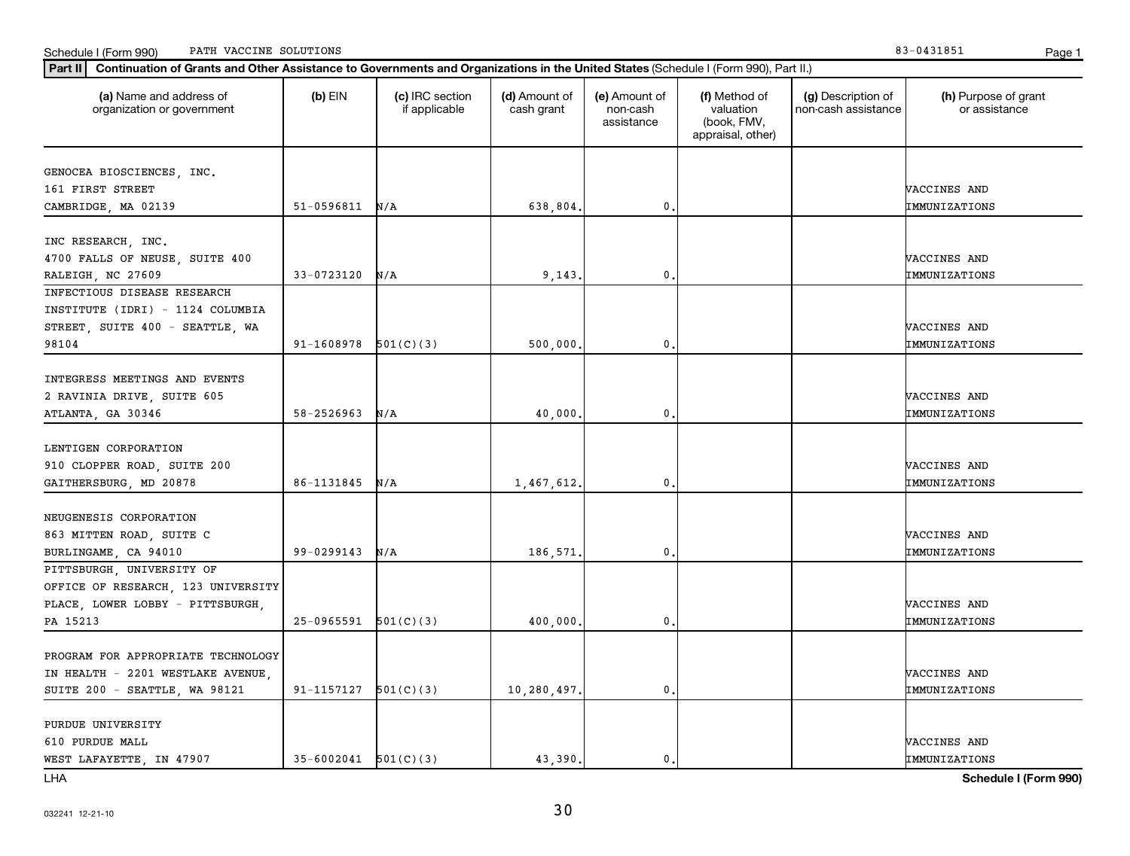LHA

|                                    |                          |             |                | appraisal, other) |               |
|------------------------------------|--------------------------|-------------|----------------|-------------------|---------------|
| GENOCEA BIOSCIENCES, INC.          |                          |             |                |                   |               |
| 161 FIRST STREET                   |                          |             |                |                   | VACCINES AND  |
| CAMBRIDGE, MA 02139                | $51-0596811$ N/A         | 638,804.    | 0              |                   | IMMUNIZATIONS |
|                                    |                          |             |                |                   |               |
| INC RESEARCH, INC.                 |                          |             |                |                   |               |
| 4700 FALLS OF NEUSE, SUITE 400     |                          |             |                |                   | VACCINES AND  |
| RALEIGH, NC 27609                  | $33 - 0723120$ N/A       | 9,143.      | 0              |                   | IMMUNIZATIONS |
| INFECTIOUS DISEASE RESEARCH        |                          |             |                |                   |               |
| INSTITUTE (IDRI) - 1124 COLUMBIA   |                          |             |                |                   |               |
| STREET, SUITE 400 - SEATTLE, WA    |                          |             |                |                   | VACCINES AND  |
| 98104                              | $91-1608978$ $501(C)(3)$ | 500,000.    | 0              |                   | IMMUNIZATIONS |
|                                    |                          |             |                |                   |               |
| INTEGRESS MEETINGS AND EVENTS      |                          |             |                |                   |               |
| 2 RAVINIA DRIVE, SUITE 605         |                          |             |                |                   | VACCINES AND  |
| ATLANTA, GA 30346                  | $58 - 2526963$ N/A       | 40,000      | 0.             |                   | IMMUNIZATIONS |
|                                    |                          |             |                |                   |               |
| LENTIGEN CORPORATION               |                          |             |                |                   |               |
| 910 CLOPPER ROAD, SUITE 200        |                          |             |                |                   | VACCINES AND  |
| GAITHERSBURG, MD 20878             | $86 - 1131845$ N/A       | 1,467,612.  | $\mathbf{0}$   |                   | IMMUNIZATIONS |
|                                    |                          |             |                |                   |               |
| NEUGENESIS CORPORATION             |                          |             |                |                   |               |
| 863 MITTEN ROAD, SUITE C           |                          |             |                |                   | VACCINES AND  |
| BURLINGAME, CA 94010               | $99 - 0299143$ N/A       | 186,571.    | 0              |                   | IMMUNIZATIONS |
| PITTSBURGH, UNIVERSITY OF          |                          |             |                |                   |               |
| OFFICE OF RESEARCH, 123 UNIVERSITY |                          |             |                |                   |               |
| PLACE, LOWER LOBBY - PITTSBURGH,   |                          |             |                |                   | VACCINES AND  |
| PA 15213                           | $25-0965591$ $501(C)(3)$ | 400,000.    | $\mathbf{0}$   |                   | IMMUNIZATIONS |
| PROGRAM FOR APPROPRIATE TECHNOLOGY |                          |             |                |                   |               |
| IN HEALTH - 2201 WESTLAKE AVENUE,  |                          |             |                |                   | VACCINES AND  |
| SUITE 200 - SEATTLE, WA 98121      | $91-1157127$ $501(C)(3)$ | 10,280,497. | $\mathbf{0}$   |                   | IMMUNIZATIONS |
|                                    |                          |             |                |                   |               |
| PURDUE UNIVERSITY                  |                          |             |                |                   |               |
| 610 PURDUE MALL                    |                          |             |                |                   | VACCINES AND  |
| WEST LAFAYETTE, IN 47907           | $35-6002041$ $501(C)(3)$ | 43,390.     | $\mathbf{0}$ . |                   | IMMUNIZATIONS |

Part II | Continuation of Grants and Other Assistance to Governments and Organizations in the United States (Schedule I (Form 990), Part II.)

if applicable

 $(b)$  EIN  $(c)$  IRC section

**(a) (b) (c) (d) (e) (f) (g) (h)** Name and address of

(d) Amount of cash grant

(e) Amount of non-cash assistance

(f) Method of valuation (book, FMV,

(g) Description of non-cash assistance

organization or government

**Schedule I (Form 990)**

(h) Purpose of grant or assistance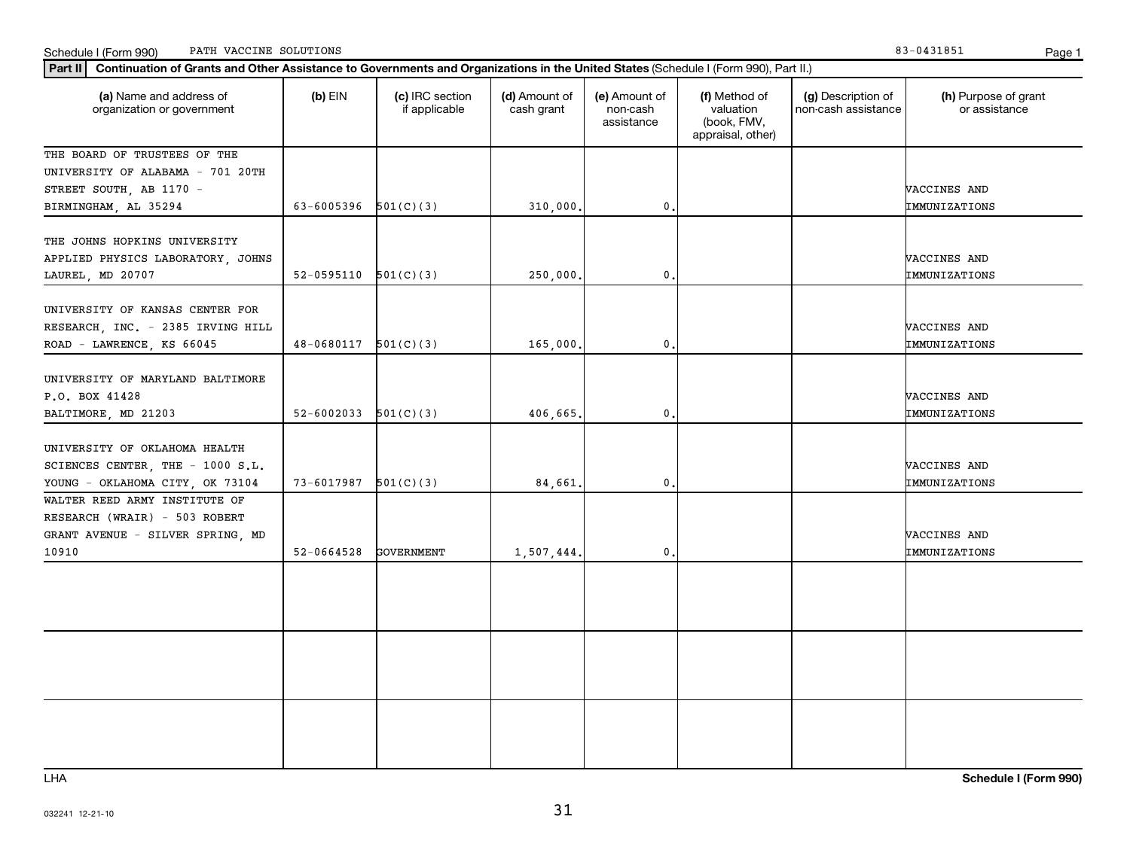Schedule I (Form 990) PATH VACCINE SOLUTIONS Page 1

| Part II   Continuation of Grants and Other Assistance to Governments and Organizations in the United States (Schedule I (Form 990), Part II.) |                            |                                  |                             |                                         |                                                                |                                           |                                       |
|-----------------------------------------------------------------------------------------------------------------------------------------------|----------------------------|----------------------------------|-----------------------------|-----------------------------------------|----------------------------------------------------------------|-------------------------------------------|---------------------------------------|
| (a) Name and address of<br>organization or government                                                                                         | $(b)$ EIN                  | (c) IRC section<br>if applicable | (d) Amount of<br>cash grant | (e) Amount of<br>non-cash<br>assistance | (f) Method of<br>valuation<br>(book, FMV,<br>appraisal, other) | (g) Description of<br>non-cash assistance | (h) Purpose of grant<br>or assistance |
| THE BOARD OF TRUSTEES OF THE                                                                                                                  |                            |                                  |                             |                                         |                                                                |                                           |                                       |
| UNIVERSITY OF ALABAMA - 701 20TH                                                                                                              |                            |                                  |                             |                                         |                                                                |                                           |                                       |
| STREET SOUTH, AB 1170 -                                                                                                                       |                            |                                  |                             |                                         |                                                                |                                           | VACCINES AND                          |
| BIRMINGHAM, AL 35294                                                                                                                          | 63-6005396                 | 501(C)(3)                        | 310,000.                    | $\mathbf 0$ .                           |                                                                |                                           | IMMUNIZATIONS                         |
| THE JOHNS HOPKINS UNIVERSITY<br>APPLIED PHYSICS LABORATORY, JOHNS<br>LAUREL, MD 20707                                                         | 52-0595110                 | 501(C)(3)                        | 250,000.                    | 0.                                      |                                                                |                                           | VACCINES AND<br>IMMUNIZATIONS         |
|                                                                                                                                               |                            |                                  |                             |                                         |                                                                |                                           |                                       |
| UNIVERSITY OF KANSAS CENTER FOR<br>RESEARCH, INC. - 2385 IRVING HILL<br>ROAD - LAWRENCE, KS 66045                                             | 48-0680117                 | 501(C)(3)                        | 165,000.                    | $\mathbf 0$ .                           |                                                                |                                           | VACCINES AND<br>IMMUNIZATIONS         |
|                                                                                                                                               |                            |                                  |                             |                                         |                                                                |                                           |                                       |
| UNIVERSITY OF MARYLAND BALTIMORE                                                                                                              |                            |                                  |                             |                                         |                                                                |                                           |                                       |
| P.O. BOX 41428                                                                                                                                |                            |                                  |                             |                                         |                                                                |                                           | VACCINES AND                          |
| BALTIMORE, MD 21203                                                                                                                           | 52-6002033 $501(C)(3)$     |                                  | 406,665.                    | $\mathbf{0}$                            |                                                                |                                           | IMMUNIZATIONS                         |
| UNIVERSITY OF OKLAHOMA HEALTH<br>SCIENCES CENTER, THE - 1000 S.L.                                                                             |                            |                                  |                             |                                         |                                                                |                                           | VACCINES AND                          |
| YOUNG - OKLAHOMA CITY, OK 73104                                                                                                               | $73 - 6017987$ $501(C)(3)$ |                                  | 84,661.                     | $\mathbf{0}$                            |                                                                |                                           | IMMUNIZATIONS                         |
| WALTER REED ARMY INSTITUTE OF                                                                                                                 |                            |                                  |                             |                                         |                                                                |                                           |                                       |
| RESEARCH (WRAIR) - 503 ROBERT                                                                                                                 |                            |                                  |                             |                                         |                                                                |                                           |                                       |
| GRANT AVENUE - SILVER SPRING, MD                                                                                                              |                            |                                  |                             |                                         |                                                                |                                           | VACCINES AND                          |
| 10910                                                                                                                                         | 52-0664528                 | GOVERNMENT                       | 1,507,444.                  | 0.                                      |                                                                |                                           | IMMUNIZATIONS                         |
|                                                                                                                                               |                            |                                  |                             |                                         |                                                                |                                           |                                       |
|                                                                                                                                               |                            |                                  |                             |                                         |                                                                |                                           |                                       |
|                                                                                                                                               |                            |                                  |                             |                                         |                                                                |                                           |                                       |
|                                                                                                                                               |                            |                                  |                             |                                         |                                                                |                                           |                                       |
|                                                                                                                                               |                            |                                  |                             |                                         |                                                                |                                           |                                       |

LHA

**Schedule I (Form 990)**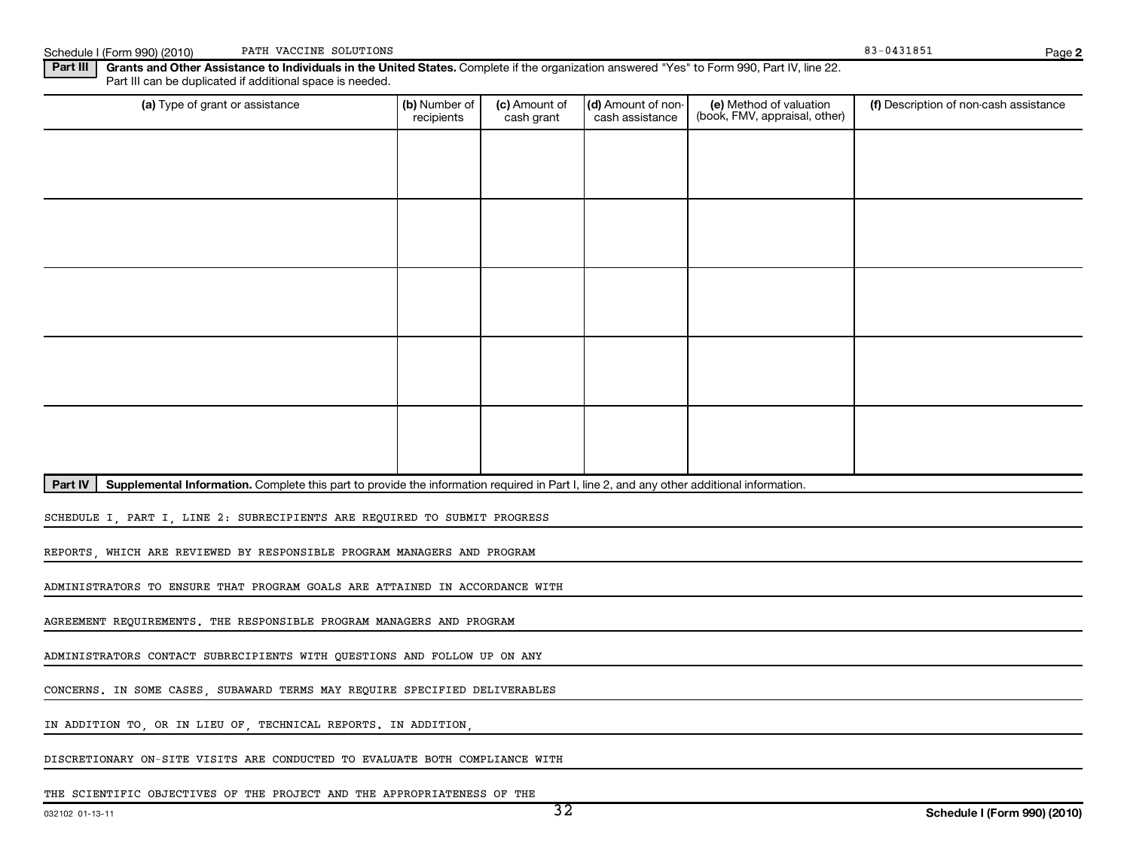| PATH VACCINE SOLUTIONS<br>Schedule I (Form 990) (2010)                                                                                                                                                               |                                      |                             |                                               |                                                          | 83-0431851                             | Page |  |  |  |  |  |
|----------------------------------------------------------------------------------------------------------------------------------------------------------------------------------------------------------------------|--------------------------------------|-----------------------------|-----------------------------------------------|----------------------------------------------------------|----------------------------------------|------|--|--|--|--|--|
| Part III<br>Grants and Other Assistance to Individuals in the United States. Complete if the organization answered "Yes" to Form 990, Part IV, line 22.<br>Part III can be duplicated if additional space is needed. |                                      |                             |                                               |                                                          |                                        |      |  |  |  |  |  |
| (a) Type of grant or assistance                                                                                                                                                                                      | <b>l (b)</b> Number of<br>recipients | (c) Amount of<br>cash grant | $\vert$ (d) Amount of non-<br>cash assistance | (e) Method of valuation<br>(book, FMV, appraisal, other) | (f) Description of non-cash assistance |      |  |  |  |  |  |
|                                                                                                                                                                                                                      |                                      |                             |                                               |                                                          |                                        |      |  |  |  |  |  |

Part IV | Supplemental Information. Complete this part to provide the information required in Part I, line 2, and any other additional information.

SCHEDULE I, PART I, LINE 2: SUBRECIPIENTS ARE REQUIRED TO SUBMIT PROGRESS

REPORTS, WHICH ARE REVIEWED BY RESPONSIBLE PROGRAM MANAGERS AND PROGRAM

ADMINISTRATORS TO ENSURE THAT PROGRAM GOALS ARE ATTAINED IN ACCORDANCE WITH

AGREEMENT REQUIREMENTS. THE RESPONSIBLE PROGRAM MANAGERS AND PROGRAM

ADMINISTRATORS CONTACT SUBRECIPIENTS WITH QUESTIONS AND FOLLOW UP ON ANY

CONCERNS. IN SOME CASES, SUBAWARD TERMS MAY REQUIRE SPECIFIED DELIVERABLES

IN ADDITION TO, OR IN LIEU OF, TECHNICAL REPORTS. IN ADDITION,

DISCRETIONARY ON-SITE VISITS ARE CONDUCTED TO EVALUATE BOTH COMPLIANCE WITH

THE SCIENTIFIC OBJECTIVES OF THE PROJECT AND THE APPROPRIATENESS OF THE

**2**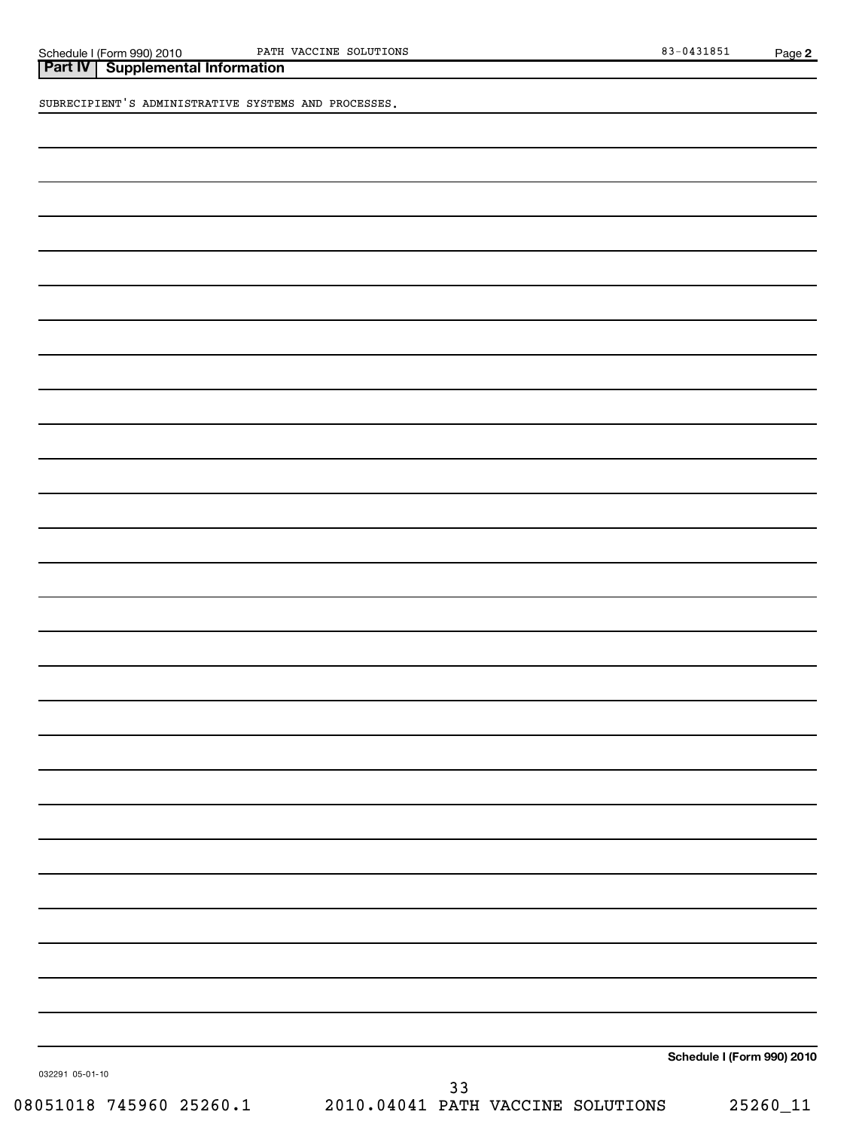**Part IV Supplemental Information**

SUBRECIPIENT'S ADMINISTRATIVE SYSTEMS AND PROCESSES.

**Schedule I (Form 990) 2010**

032291 05-01-10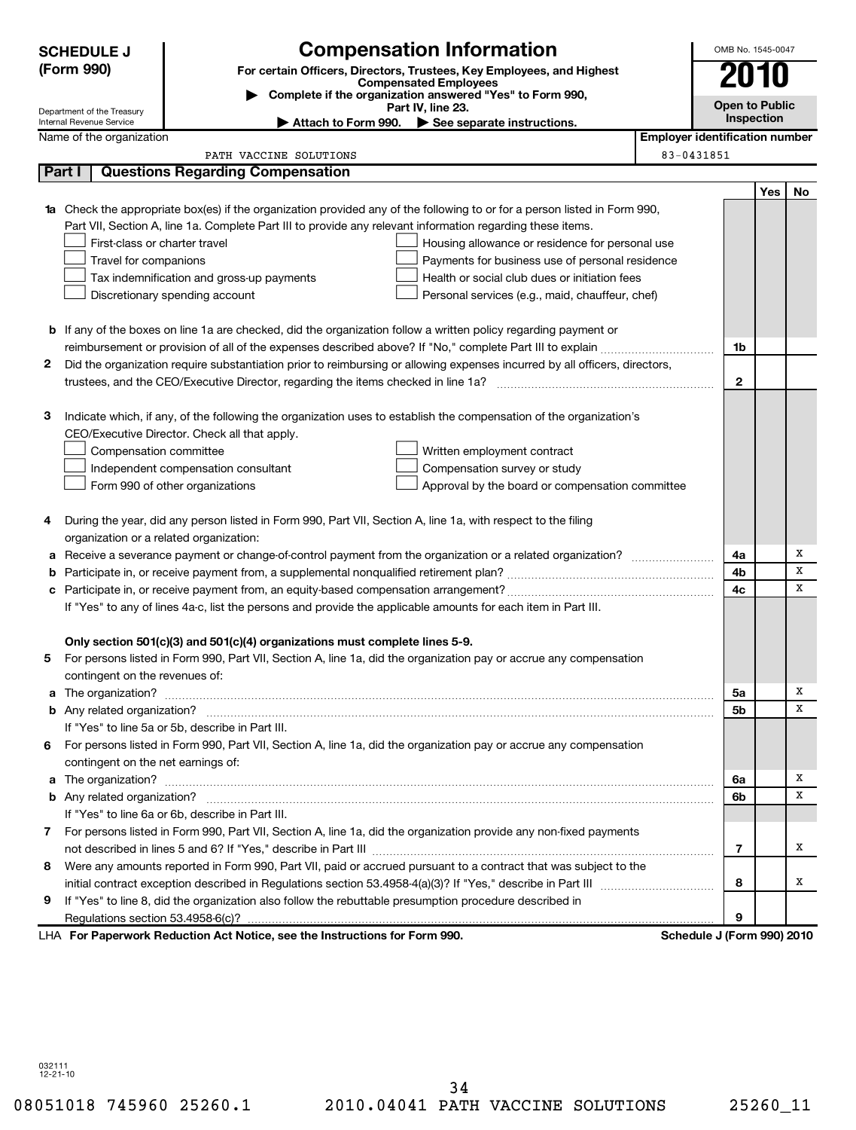| <b>Compensation Information</b><br><b>SCHEDULE J</b> |                                                                                            | OMB No. 1545-0047                                                           |                                                                                                                                  |                                       |     |    |
|------------------------------------------------------|--------------------------------------------------------------------------------------------|-----------------------------------------------------------------------------|----------------------------------------------------------------------------------------------------------------------------------|---------------------------------------|-----|----|
|                                                      | (Form 990)                                                                                 |                                                                             | For certain Officers, Directors, Trustees, Key Employees, and Highest                                                            |                                       |     |    |
|                                                      |                                                                                            |                                                                             | <b>Compensated Employees</b><br>Complete if the organization answered "Yes" to Form 990,                                         |                                       |     |    |
|                                                      | Department of the Treasury                                                                 | <b>Open to Public</b>                                                       | Inspection                                                                                                                       |                                       |     |    |
|                                                      | Internal Revenue Service<br>Name of the organization                                       |                                                                             | Attach to Form 990. See separate instructions.                                                                                   | <b>Employer identification number</b> |     |    |
|                                                      |                                                                                            | PATH VACCINE SOLUTIONS                                                      |                                                                                                                                  | 83-0431851                            |     |    |
|                                                      | Part I                                                                                     | <b>Questions Regarding Compensation</b>                                     |                                                                                                                                  |                                       |     |    |
|                                                      |                                                                                            |                                                                             |                                                                                                                                  |                                       | Yes | No |
|                                                      |                                                                                            |                                                                             | <b>1a</b> Check the appropriate box(es) if the organization provided any of the following to or for a person listed in Form 990, |                                       |     |    |
|                                                      |                                                                                            |                                                                             | Part VII, Section A, line 1a. Complete Part III to provide any relevant information regarding these items.                       |                                       |     |    |
|                                                      | First-class or charter travel                                                              |                                                                             | Housing allowance or residence for personal use                                                                                  |                                       |     |    |
|                                                      | Payments for business use of personal residence<br>Travel for companions                   |                                                                             |                                                                                                                                  |                                       |     |    |
|                                                      | Health or social club dues or initiation fees<br>Tax indemnification and gross-up payments |                                                                             |                                                                                                                                  |                                       |     |    |
|                                                      |                                                                                            | Discretionary spending account                                              | Personal services (e.g., maid, chauffeur, chef)                                                                                  |                                       |     |    |
|                                                      |                                                                                            |                                                                             |                                                                                                                                  |                                       |     |    |
|                                                      |                                                                                            |                                                                             | <b>b</b> If any of the boxes on line 1a are checked, did the organization follow a written policy regarding payment or           |                                       |     |    |
|                                                      |                                                                                            |                                                                             |                                                                                                                                  | 1b                                    |     |    |
| 2                                                    |                                                                                            |                                                                             | Did the organization require substantiation prior to reimbursing or allowing expenses incurred by all officers, directors,       |                                       |     |    |
|                                                      |                                                                                            |                                                                             |                                                                                                                                  | $\mathbf{2}$                          |     |    |
|                                                      |                                                                                            |                                                                             |                                                                                                                                  |                                       |     |    |
| з                                                    |                                                                                            |                                                                             | Indicate which, if any, of the following the organization uses to establish the compensation of the organization's               |                                       |     |    |
|                                                      |                                                                                            | CEO/Executive Director. Check all that apply.                               |                                                                                                                                  |                                       |     |    |
|                                                      | Compensation committee                                                                     |                                                                             | Written employment contract                                                                                                      |                                       |     |    |
|                                                      |                                                                                            | Independent compensation consultant                                         | Compensation survey or study                                                                                                     |                                       |     |    |
|                                                      |                                                                                            | Form 990 of other organizations                                             | Approval by the board or compensation committee                                                                                  |                                       |     |    |
|                                                      |                                                                                            |                                                                             |                                                                                                                                  |                                       |     |    |
| 4                                                    |                                                                                            |                                                                             | During the year, did any person listed in Form 990, Part VII, Section A, line 1a, with respect to the filing                     |                                       |     |    |
|                                                      | organization or a related organization:                                                    |                                                                             |                                                                                                                                  |                                       |     |    |
|                                                      |                                                                                            |                                                                             | a Receive a severance payment or change of control payment from the organization or a related organization?                      | 4a                                    |     | Х  |
| b                                                    |                                                                                            |                                                                             |                                                                                                                                  | 4b                                    |     | х  |
|                                                      |                                                                                            |                                                                             |                                                                                                                                  | 4c                                    |     | X  |
|                                                      |                                                                                            |                                                                             | If "Yes" to any of lines 4a-c, list the persons and provide the applicable amounts for each item in Part III.                    |                                       |     |    |
|                                                      |                                                                                            |                                                                             |                                                                                                                                  |                                       |     |    |
|                                                      |                                                                                            | Only section 501(c)(3) and 501(c)(4) organizations must complete lines 5-9. |                                                                                                                                  |                                       |     |    |
| 5                                                    |                                                                                            |                                                                             | For persons listed in Form 990, Part VII, Section A, line 1a, did the organization pay or accrue any compensation                |                                       |     |    |
|                                                      | contingent on the revenues of:                                                             |                                                                             |                                                                                                                                  | 5a                                    |     | Х  |
|                                                      |                                                                                            |                                                                             |                                                                                                                                  | 5b                                    |     | х  |
|                                                      |                                                                                            | If "Yes" to line 5a or 5b, describe in Part III.                            |                                                                                                                                  |                                       |     |    |
| 6                                                    |                                                                                            |                                                                             | For persons listed in Form 990, Part VII, Section A, line 1a, did the organization pay or accrue any compensation                |                                       |     |    |
|                                                      | contingent on the net earnings of:                                                         |                                                                             |                                                                                                                                  |                                       |     |    |
|                                                      |                                                                                            |                                                                             |                                                                                                                                  | 6a                                    |     | х  |
|                                                      |                                                                                            |                                                                             |                                                                                                                                  | 6b                                    |     | х  |
|                                                      |                                                                                            | If "Yes" to line 6a or 6b, describe in Part III.                            |                                                                                                                                  |                                       |     |    |
|                                                      |                                                                                            |                                                                             | 7 For persons listed in Form 990, Part VII, Section A, line 1a, did the organization provide any non-fixed payments              |                                       |     |    |
|                                                      |                                                                                            |                                                                             |                                                                                                                                  | 7                                     |     | x  |
| 8                                                    |                                                                                            |                                                                             | Were any amounts reported in Form 990, Part VII, paid or accrued pursuant to a contract that was subject to the                  |                                       |     |    |
|                                                      |                                                                                            |                                                                             |                                                                                                                                  | 8                                     |     | x  |
| 9                                                    |                                                                                            |                                                                             | If "Yes" to line 8, did the organization also follow the rebuttable presumption procedure described in                           |                                       |     |    |
|                                                      |                                                                                            |                                                                             |                                                                                                                                  | 9                                     |     |    |
|                                                      |                                                                                            | LHA For Paperwork Reduction Act Notice, see the Instructions for Form 990.  |                                                                                                                                  | Schedule J (Form 990) 2010            |     |    |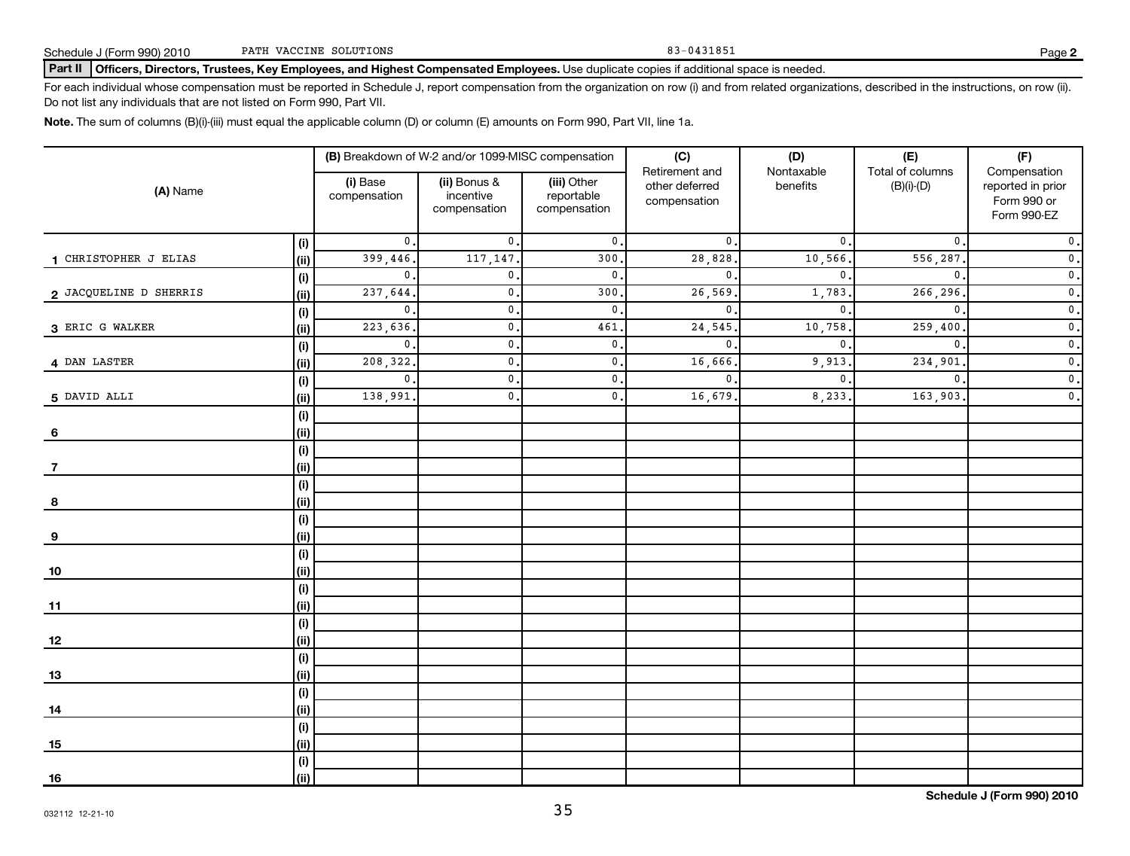Part II | Officers, Directors, Trustees, Key Employees, and Highest Compensated Employees. Use duplicate copies if additional space is needed.

For each individual whose compensation must be reported in Schedule J, report compensation from the organization on row (i) and from related organizations, described in the instructions, on row (ii). Do not list any individuals that are not listed on Form 990, Part VII.

**Note.**  The sum of columns (B)(i)-(iii) must equal the applicable column (D) or column (E) amounts on Form 990, Part VII, line 1a.

| (A) Name               |                                      | (B) Breakdown of W-2 and/or 1099-MISC compensation |                                           | (C)                                       | (D)                                              | (E)                    | (F)                              |                                                                 |
|------------------------|--------------------------------------|----------------------------------------------------|-------------------------------------------|-------------------------------------------|--------------------------------------------------|------------------------|----------------------------------|-----------------------------------------------------------------|
|                        |                                      | (i) Base<br>compensation                           | (ii) Bonus &<br>incentive<br>compensation | (iii) Other<br>reportable<br>compensation | Retirement and<br>other deferred<br>compensation | Nontaxable<br>benefits | Total of columns<br>$(B)(i)-(D)$ | Compensation<br>reported in prior<br>Form 990 or<br>Form 990-EZ |
|                        | (i)                                  | $\mathbf 0$ .                                      | $\mathbf{0}$ .                            | $\mathbf 0$ .                             | $\mathbf{0}$                                     | 0.                     | $\mathbf 0$                      | $\mathfrak o$ .                                                 |
| 1 CHRISTOPHER J ELIAS  | (ii)                                 | 399,446.                                           | 117,147.                                  | 300                                       | $\overline{28}$ , 828                            | 10,566.                | $\overline{556}$ , 287           | $\overline{\mathbf{0}}$ .                                       |
|                        | (i)                                  | $\mathbf{0}$ .                                     | $\mathbf{0}$ .                            | $\mathbf{0}$ .                            | $\mathbf{0}$                                     | $\mathbf{0}$ .         | $\mathbf{0}$                     | $\overline{\mathbf{0}}$ .                                       |
| 2 JACQUELINE D SHERRIS | (ii)                                 | 237,644.                                           | $\mathbf{0}$ .                            | 300.                                      | 26,569                                           | 1,783.                 | 266,296                          | $\overline{\mathbf{0}}$ .                                       |
|                        | (i)                                  | $\mathbf 0$ .                                      | $\mathbf{0}$ .                            | $\mathsf{0}\,.$                           | $\mathbf{0}$                                     | $\mathbf{0}$ .         | $\mathbf{0}$                     | $\overline{\mathbf{0}}$ .                                       |
| 3 ERIC G WALKER        | (ii)                                 | 223,636.                                           | $\mathbf{0}$ .                            | 461.                                      | 24,545                                           | 10,758.                | 259,400                          | $\overline{\mathbf{0}}$ .                                       |
|                        | (i)                                  | $\mathbf{0}$ .                                     | $\mathbf{0}$ .                            | $\mathfrak o$ .                           | $\mathbf{0}$                                     | $\mathbf{0}$ .         | $\mathbf{0}$                     | $\overline{\mathbf{0}}$ .                                       |
| 4 DAN LASTER           | (ii)                                 | 208, 322.                                          | $\mathbf{0}$ .                            | $\mathfrak o$ .                           | 16,666                                           | 9,913                  | 234,901                          | $\mathfrak o$ .                                                 |
|                        | (i)                                  | $\mathbf{0}$ .                                     | $\mathbf{0}$ .                            | $\mathsf{0}$ .                            | $\mathbf 0$                                      | $\mathbf{0}$ .         | $\mathbf{0}$                     | $\overline{\mathbf{0}}$ .                                       |
| 5 DAVID ALLI           | (ii)                                 | 138,991                                            | $\mathbf{0}$ .                            | $\mathbf{0}$ .                            | 16,679                                           | 8,233.                 | 163,903                          | $\overline{\mathbf{0}}$ .                                       |
|                        | (i)                                  |                                                    |                                           |                                           |                                                  |                        |                                  |                                                                 |
| 6                      | (ii)                                 |                                                    |                                           |                                           |                                                  |                        |                                  |                                                                 |
|                        | $\qquad \qquad \textbf{(i)}$         |                                                    |                                           |                                           |                                                  |                        |                                  |                                                                 |
| 7                      | (ii)                                 |                                                    |                                           |                                           |                                                  |                        |                                  |                                                                 |
|                        | (i)                                  |                                                    |                                           |                                           |                                                  |                        |                                  |                                                                 |
| 8                      | (ii)                                 |                                                    |                                           |                                           |                                                  |                        |                                  |                                                                 |
|                        | (i)                                  |                                                    |                                           |                                           |                                                  |                        |                                  |                                                                 |
| 9                      | (ii)                                 |                                                    |                                           |                                           |                                                  |                        |                                  |                                                                 |
|                        | $\qquad \qquad \textbf{(i)}$<br>(ii) |                                                    |                                           |                                           |                                                  |                        |                                  |                                                                 |
| <u>10</u>              |                                      |                                                    |                                           |                                           |                                                  |                        |                                  |                                                                 |
| $11$                   | (i)<br>(ii)                          |                                                    |                                           |                                           |                                                  |                        |                                  |                                                                 |
|                        | (i)                                  |                                                    |                                           |                                           |                                                  |                        |                                  |                                                                 |
| <u>12</u>              | (ii)                                 |                                                    |                                           |                                           |                                                  |                        |                                  |                                                                 |
|                        | (i)                                  |                                                    |                                           |                                           |                                                  |                        |                                  |                                                                 |
| <u>13</u>              | (ii)                                 |                                                    |                                           |                                           |                                                  |                        |                                  |                                                                 |
|                        | (i)                                  |                                                    |                                           |                                           |                                                  |                        |                                  |                                                                 |
| 14                     | (ii)                                 |                                                    |                                           |                                           |                                                  |                        |                                  |                                                                 |
|                        | (i)                                  |                                                    |                                           |                                           |                                                  |                        |                                  |                                                                 |
| 15                     | (ii)                                 |                                                    |                                           |                                           |                                                  |                        |                                  |                                                                 |
|                        | (i)                                  |                                                    |                                           |                                           |                                                  |                        |                                  |                                                                 |
| <u>16</u>              | (i)                                  |                                                    |                                           |                                           |                                                  |                        |                                  |                                                                 |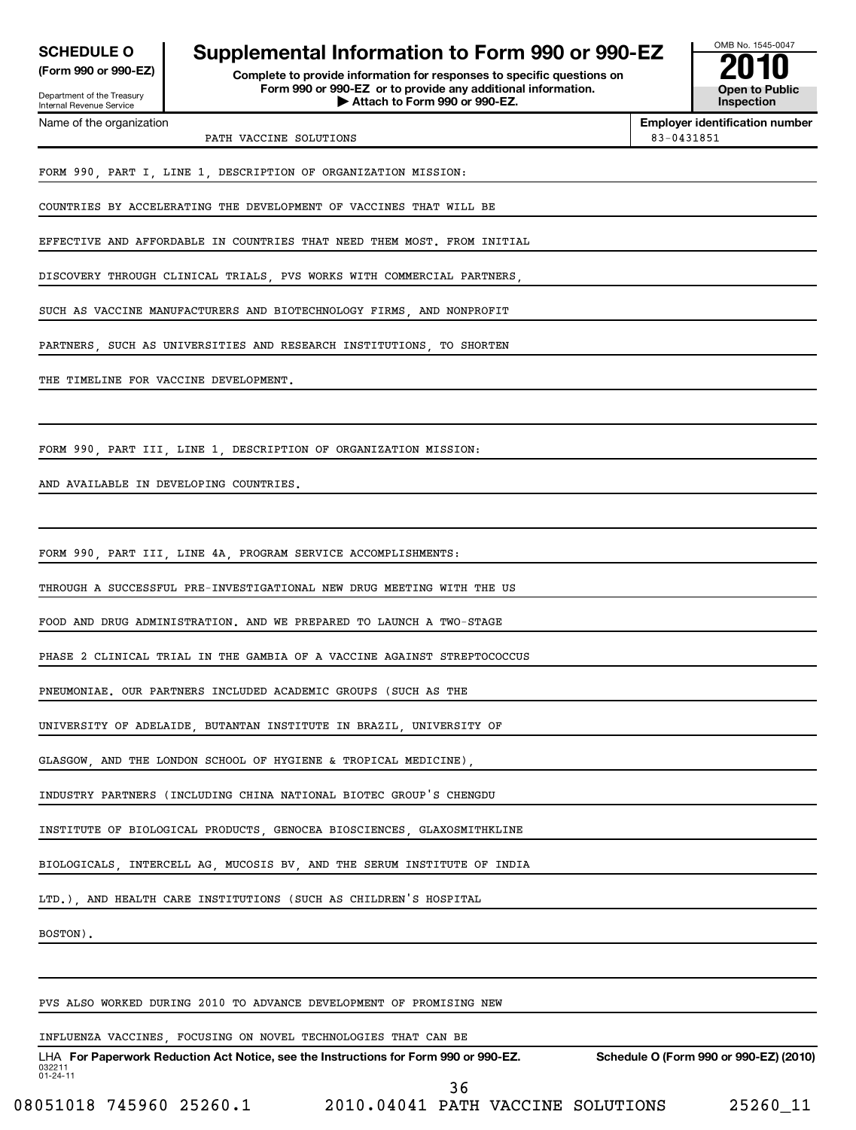| <b>EDULE O</b>  | <b>Supp</b> |
|-----------------|-------------|
| .000 < r.000 E7 |             |

Department of the Treasury Internal Revenue Service Name of the organization

**(Form 990 or 990-EZ) Complete to provide information for responses to specific questions on Form 990 or 990-EZ or to provide any additional information. | Attach to Form 990 or 990-EZ. Open to Public SCHEDULE O Supplemental Information to Form 990 or 990-EZ**<br> **Supplemental Information for responses to specific questions on**<br> **Examplemental Supplemental Supplemental Supplemental Supplemental Supplemental Supplemental** 



**Employer identification number** PATH VACCINE SOLUTIONS 83-0431851

FORM 990, PART I, LINE 1, DESCRIPTION OF ORGANIZATION MISSION:

COUNTRIES BY ACCELERATING THE DEVELOPMENT OF VACCINES THAT WILL BE

EFFECTIVE AND AFFORDABLE IN COUNTRIES THAT NEED THEM MOST. FROM INITIAL

DISCOVERY THROUGH CLINICAL TRIALS, PVS WORKS WITH COMMERCIAL PARTNERS,

SUCH AS VACCINE MANUFACTURERS AND BIOTECHNOLOGY FIRMS, AND NONPROFIT

PARTNERS, SUCH AS UNIVERSITIES AND RESEARCH INSTITUTIONS, TO SHORTEN

THE TIMELINE FOR VACCINE DEVELOPMENT.

FORM 990, PART III, LINE 1, DESCRIPTION OF ORGANIZATION MISSION:

AND AVAILABLE IN DEVELOPING COUNTRIES.

FORM 990, PART III, LINE 4A, PROGRAM SERVICE ACCOMPLISHMENTS:

THROUGH A SUCCESSFUL PRE-INVESTIGATIONAL NEW DRUG MEETING WITH THE US

FOOD AND DRUG ADMINISTRATION. AND WE PREPARED TO LAUNCH A TWO-STAGE

PHASE 2 CLINICAL TRIAL IN THE GAMBIA OF A VACCINE AGAINST STREPTOCOCCUS

PNEUMONIAE. OUR PARTNERS INCLUDED ACADEMIC GROUPS (SUCH AS THE

UNIVERSITY OF ADELAIDE, BUTANTAN INSTITUTE IN BRAZIL, UNIVERSITY OF

GLASGOW, AND THE LONDON SCHOOL OF HYGIENE & TROPICAL MEDICINE),

INDUSTRY PARTNERS (INCLUDING CHINA NATIONAL BIOTEC GROUP'S CHENGDU

INSTITUTE OF BIOLOGICAL PRODUCTS, GENOCEA BIOSCIENCES, GLAXOSMITHKLINE

BIOLOGICALS, INTERCELL AG, MUCOSIS BV, AND THE SERUM INSTITUTE OF INDIA

LTD.), AND HEALTH CARE INSTITUTIONS (SUCH AS CHILDREN'S HOSPITAL

BOSTON).

PVS ALSO WORKED DURING 2010 TO ADVANCE DEVELOPMENT OF PROMISING NEW

## INFLUENZA VACCINES, FOCUSING ON NOVEL TECHNOLOGIES THAT CAN BE

032211 01-24-11 LHA For Paperwork Reduction Act Notice, see the Instructions for Form 990 or 990-EZ. Schedule O (Form 990 or 990-EZ) (2010) 36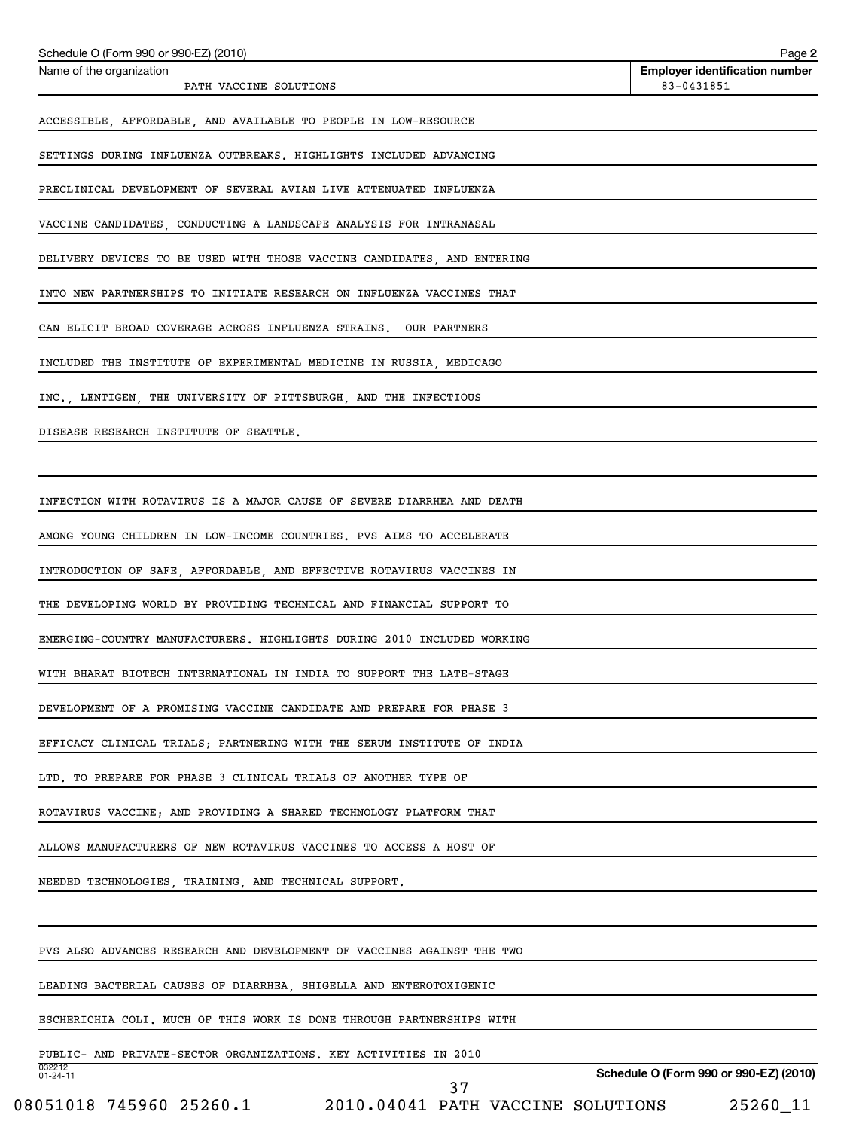| Schedule O (Form 990 or 990-EZ) (2010)                                  | Page 2                                              |
|-------------------------------------------------------------------------|-----------------------------------------------------|
| Name of the organization<br>PATH VACCINE SOLUTIONS                      | <b>Employer identification number</b><br>83-0431851 |
| ACCESSIBLE, AFFORDABLE, AND AVAILABLE TO PEOPLE IN LOW-RESOURCE         |                                                     |
| SETTINGS DURING INFLUENZA OUTBREAKS. HIGHLIGHTS INCLUDED ADVANCING      |                                                     |
| PRECLINICAL DEVELOPMENT OF SEVERAL AVIAN LIVE ATTENUATED INFLUENZA      |                                                     |
| VACCINE CANDIDATES, CONDUCTING A LANDSCAPE ANALYSIS FOR INTRANASAL      |                                                     |
| DELIVERY DEVICES TO BE USED WITH THOSE VACCINE CANDIDATES, AND ENTERING |                                                     |
| INTO NEW PARTNERSHIPS TO INITIATE RESEARCH ON INFLUENZA VACCINES THAT   |                                                     |
| CAN ELICIT BROAD COVERAGE ACROSS INFLUENZA STRAINS. OUR PARTNERS        |                                                     |
| INCLUDED THE INSTITUTE OF EXPERIMENTAL MEDICINE IN RUSSIA, MEDICAGO     |                                                     |
| INC., LENTIGEN, THE UNIVERSITY OF PITTSBURGH, AND THE INFECTIOUS        |                                                     |
| DISEASE RESEARCH INSTITUTE OF SEATTLE.                                  |                                                     |
|                                                                         |                                                     |
| INFECTION WITH ROTAVIRUS IS A MAJOR CAUSE OF SEVERE DIARRHEA AND DEATH  |                                                     |
| AMONG YOUNG CHILDREN IN LOW-INCOME COUNTRIES. PVS AIMS TO ACCELERATE    |                                                     |
| INTRODUCTION OF SAFE, AFFORDABLE, AND EFFECTIVE ROTAVIRUS VACCINES IN   |                                                     |
| THE DEVELOPING WORLD BY PROVIDING TECHNICAL AND FINANCIAL SUPPORT TO    |                                                     |
| EMERGING-COUNTRY MANUFACTURERS. HIGHLIGHTS DURING 2010 INCLUDED WORKING |                                                     |
| WITH BHARAT BIOTECH INTERNATIONAL IN INDIA TO SUPPORT THE LATE-STAGE    |                                                     |
| DEVELOPMENT OF A PROMISING VACCINE CANDIDATE AND PREPARE FOR PHASE 3    |                                                     |
| EFFICACY CLINICAL TRIALS; PARTNERING WITH THE SERUM INSTITUTE OF INDIA  |                                                     |
| LTD. TO PREPARE FOR PHASE 3 CLINICAL TRIALS OF ANOTHER TYPE OF          |                                                     |
| ROTAVIRUS VACCINE; AND PROVIDING A SHARED TECHNOLOGY PLATFORM THAT      |                                                     |
| ALLOWS MANUFACTURERS OF NEW ROTAVIRUS VACCINES TO ACCESS A HOST OF      |                                                     |
| NEEDED TECHNOLOGIES, TRAINING, AND TECHNICAL SUPPORT.                   |                                                     |
|                                                                         |                                                     |
| PVS ALSO ADVANCES RESEARCH AND DEVELOPMENT OF VACCINES AGAINST THE TWO  |                                                     |
| LEADING BACTERIAL CAUSES OF DIARRHEA, SHIGELLA AND ENTEROTOXIGENIC      |                                                     |
| ESCHERICHIA COLI. MUCH OF THIS WORK IS DONE THROUGH PARTNERSHIPS WITH   |                                                     |
| PUBLIC- AND PRIVATE-SECTOR ORGANIZATIONS. KEY ACTIVITIES IN 2010        |                                                     |
| 032212<br>$01 - 24 - 11$<br>37                                          | Schedule O (Form 990 or 990-EZ) (2010)              |

<sup>08051018 745960 25260.1 2010.04041</sup> PATH VACCINE SOLUTIONS 25260\_11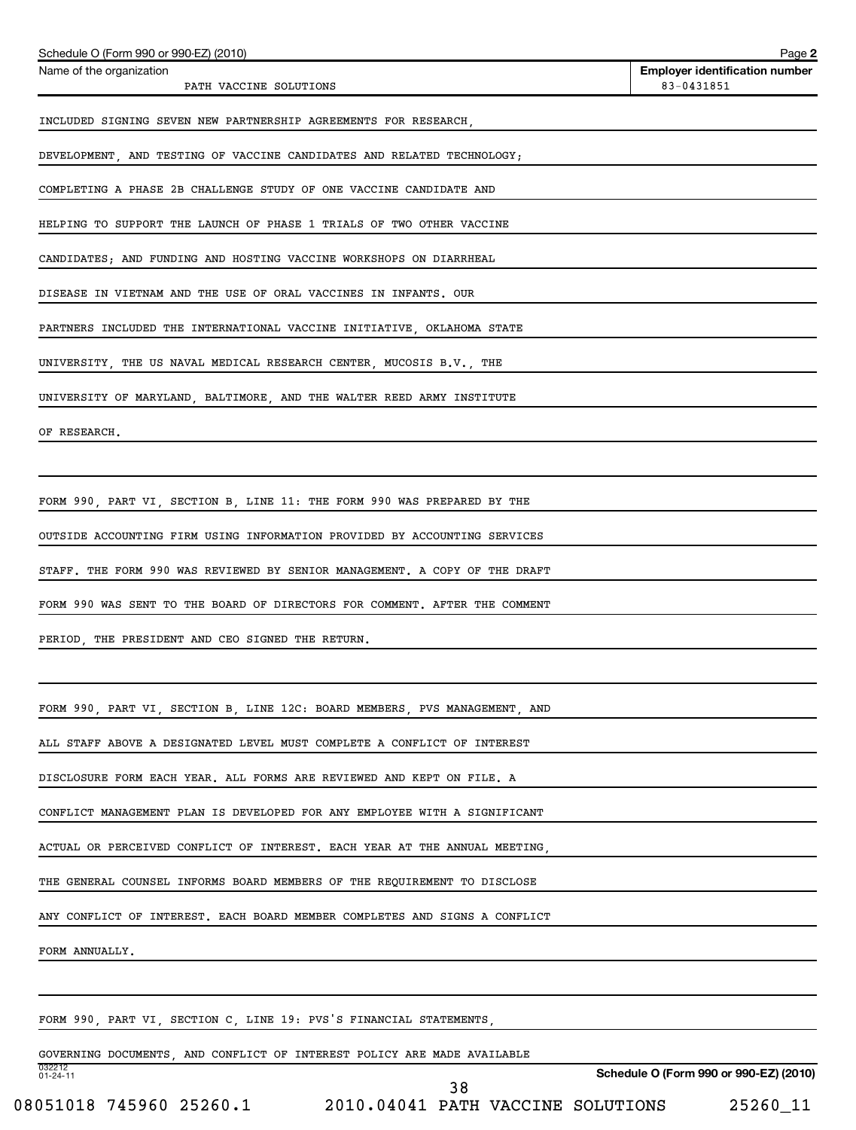| Schedule O (Form 990 or 990-EZ) (2010)                                     | Page 2                                              |
|----------------------------------------------------------------------------|-----------------------------------------------------|
| Name of the organization<br>PATH VACCINE SOLUTIONS                         | <b>Employer identification number</b><br>83-0431851 |
| INCLUDED SIGNING SEVEN NEW PARTNERSHIP AGREEMENTS FOR RESEARCH,            |                                                     |
| DEVELOPMENT, AND TESTING OF VACCINE CANDIDATES AND RELATED TECHNOLOGY;     |                                                     |
| COMPLETING A PHASE 2B CHALLENGE STUDY OF ONE VACCINE CANDIDATE AND         |                                                     |
| HELPING TO SUPPORT THE LAUNCH OF PHASE 1 TRIALS OF TWO OTHER VACCINE       |                                                     |
| CANDIDATES; AND FUNDING AND HOSTING VACCINE WORKSHOPS ON DIARRHEAL         |                                                     |
| DISEASE IN VIETNAM AND THE USE OF ORAL VACCINES IN INFANTS. OUR            |                                                     |
| PARTNERS INCLUDED THE INTERNATIONAL VACCINE INITIATIVE, OKLAHOMA STATE     |                                                     |
| UNIVERSITY, THE US NAVAL MEDICAL RESEARCH CENTER, MUCOSIS B.V., THE        |                                                     |
| UNIVERSITY OF MARYLAND, BALTIMORE, AND THE WALTER REED ARMY INSTITUTE      |                                                     |
| OF RESEARCH.                                                               |                                                     |
|                                                                            |                                                     |
| FORM 990, PART VI, SECTION B, LINE 11: THE FORM 990 WAS PREPARED BY THE    |                                                     |
| OUTSIDE ACCOUNTING FIRM USING INFORMATION PROVIDED BY ACCOUNTING SERVICES  |                                                     |
| STAFF. THE FORM 990 WAS REVIEWED BY SENIOR MANAGEMENT. A COPY OF THE DRAFT |                                                     |
| FORM 990 WAS SENT TO THE BOARD OF DIRECTORS FOR COMMENT. AFTER THE COMMENT |                                                     |
| PERIOD, THE PRESIDENT AND CEO SIGNED THE RETURN.                           |                                                     |
|                                                                            |                                                     |
| FORM 990, PART VI, SECTION B, LINE 12C: BOARD MEMBERS, PVS MANAGEMENT, AND |                                                     |
| ALL STAFF ABOVE A DESIGNATED LEVEL MUST COMPLETE A CONFLICT OF INTEREST    |                                                     |
| DISCLOSURE FORM EACH YEAR. ALL FORMS ARE REVIEWED AND KEPT ON FILE. A      |                                                     |
| CONFLICT MANAGEMENT PLAN IS DEVELOPED FOR ANY EMPLOYEE WITH A SIGNIFICANT  |                                                     |
| ACTUAL OR PERCEIVED CONFLICT OF INTEREST. EACH YEAR AT THE ANNUAL MEETING, |                                                     |
| THE GENERAL COUNSEL INFORMS BOARD MEMBERS OF THE REQUIREMENT TO DISCLOSE   |                                                     |
| ANY CONFLICT OF INTEREST. EACH BOARD MEMBER COMPLETES AND SIGNS A CONFLICT |                                                     |
| FORM ANNUALLY.                                                             |                                                     |
|                                                                            |                                                     |
| FORM 990, PART VI, SECTION C, LINE 19: PVS'S FINANCIAL STATEMENTS,         |                                                     |
| GOVERNING DOCUMENTS, AND CONFLICT OF INTEREST POLICY ARE MADE AVAILABLE    |                                                     |
| 032212<br>01-24-11<br>38                                                   | Schedule O (Form 990 or 990-EZ) (2010)              |

<sup>08051018 745960 25260.1 2010.04041</sup> PATH VACCINE SOLUTIONS 25260\_11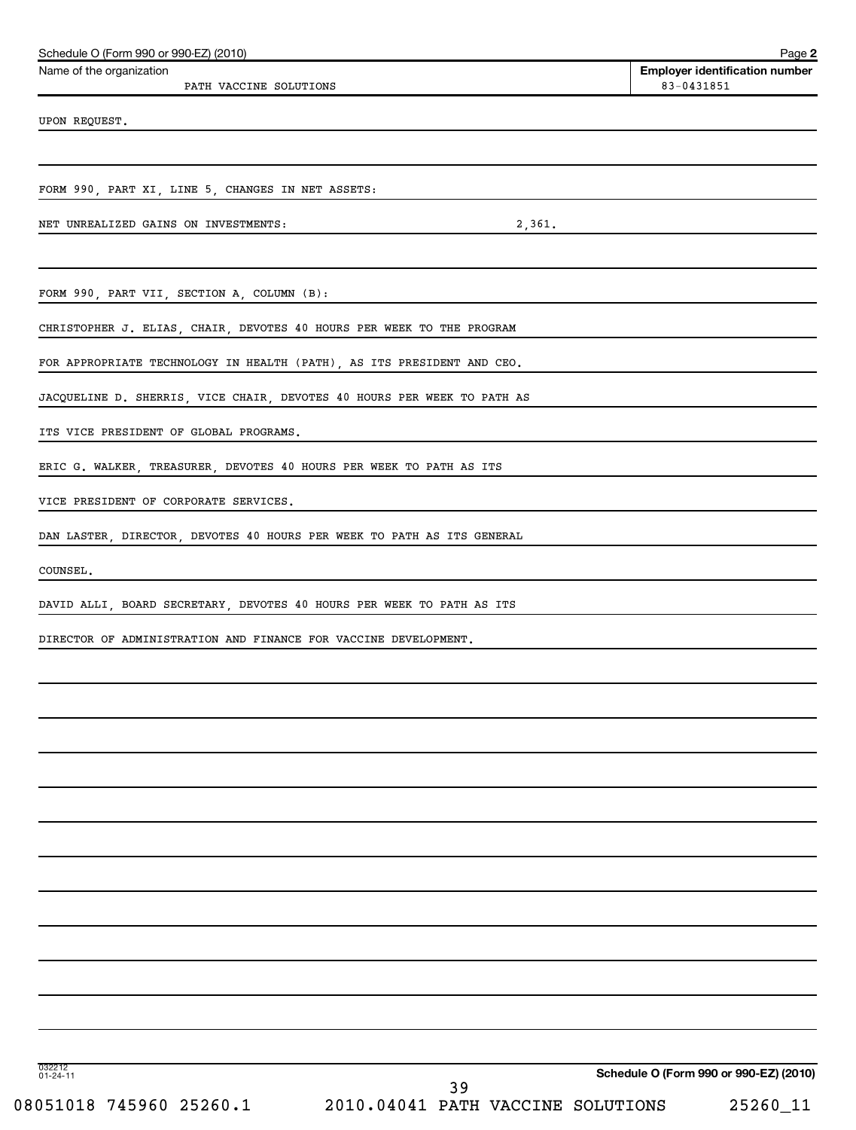| Schedule O (Form 990 or 990-EZ) (2010)<br>Name of the organization      | Page 2<br><b>Employer identification number</b> |
|-------------------------------------------------------------------------|-------------------------------------------------|
| PATH VACCINE SOLUTIONS                                                  | 83-0431851                                      |
| UPON REQUEST.                                                           |                                                 |
|                                                                         |                                                 |
| FORM 990, PART XI, LINE 5, CHANGES IN NET ASSETS:                       |                                                 |
| NET UNREALIZED GAINS ON INVESTMENTS:<br>2,361.                          |                                                 |
|                                                                         |                                                 |
| FORM 990, PART VII, SECTION A, COLUMN (B):                              |                                                 |
| CHRISTOPHER J. ELIAS, CHAIR, DEVOTES 40 HOURS PER WEEK TO THE PROGRAM   |                                                 |
| FOR APPROPRIATE TECHNOLOGY IN HEALTH (PATH), AS ITS PRESIDENT AND CEO.  |                                                 |
| JACQUELINE D. SHERRIS, VICE CHAIR, DEVOTES 40 HOURS PER WEEK TO PATH AS |                                                 |
| ITS VICE PRESIDENT OF GLOBAL PROGRAMS.                                  |                                                 |
| ERIC G. WALKER, TREASURER, DEVOTES 40 HOURS PER WEEK TO PATH AS ITS     |                                                 |
| VICE PRESIDENT OF CORPORATE SERVICES.                                   |                                                 |
| DAN LASTER, DIRECTOR, DEVOTES 40 HOURS PER WEEK TO PATH AS ITS GENERAL  |                                                 |
| COUNSEL.                                                                |                                                 |
| DAVID ALLI, BOARD SECRETARY, DEVOTES 40 HOURS PER WEEK TO PATH AS ITS   |                                                 |
| DIRECTOR OF ADMINISTRATION AND FINANCE FOR VACCINE DEVELOPMENT.         |                                                 |
|                                                                         |                                                 |
|                                                                         |                                                 |
|                                                                         |                                                 |
|                                                                         |                                                 |
|                                                                         |                                                 |
|                                                                         |                                                 |
|                                                                         |                                                 |
|                                                                         |                                                 |
|                                                                         |                                                 |
|                                                                         |                                                 |
|                                                                         |                                                 |
| 032212<br>01-24-11                                                      | Schedule O (Form 990 or 990-EZ) (2010)          |
| 39<br>08051018 745960 25260.1<br>2010.04041 PATH VACCINE SOLUTIONS      | 25260_11                                        |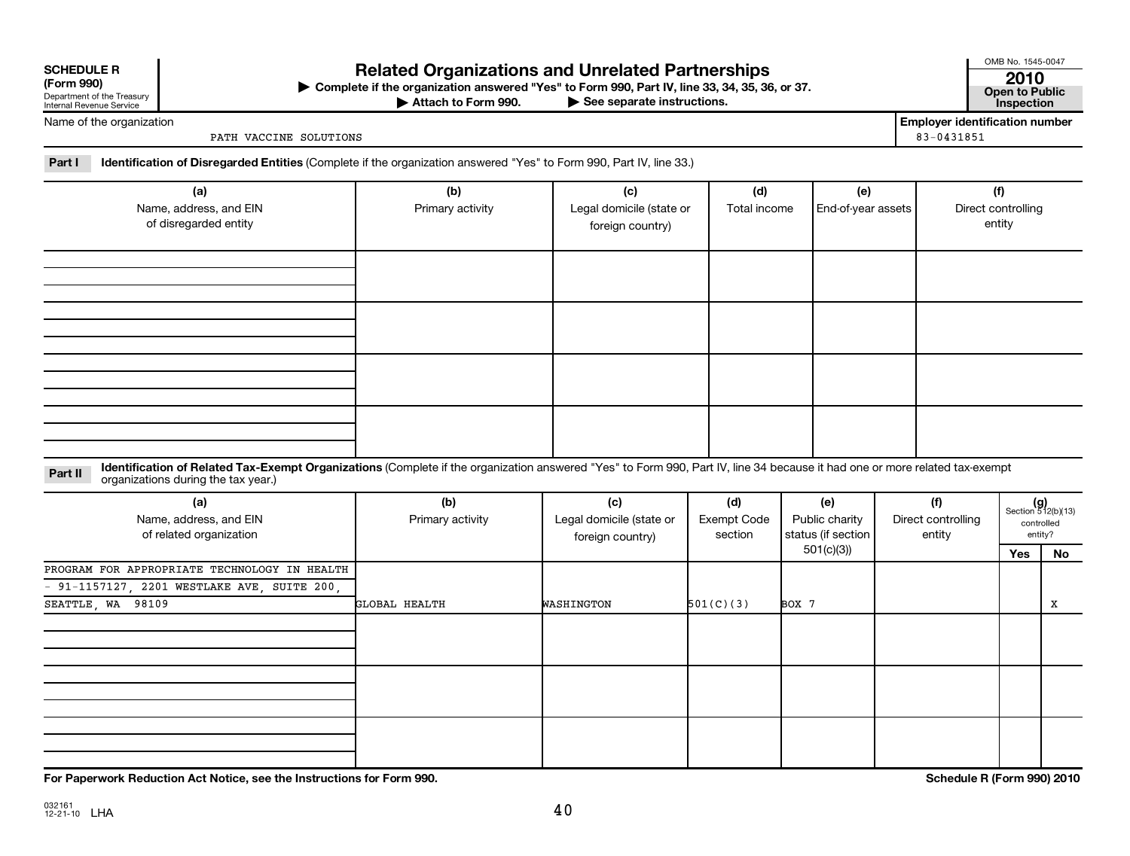| <b>SCHEDULE R</b> |  |  |
|-------------------|--|--|

| (LOLIII 220)               |
|----------------------------|
| Department of the Treasury |
| Internal Revenue Service   |

## Related Organizations and Unrelated Partnerships **2010**

**(Form 990) Complete if the organization answered "Yes" to Form 990, Part IV, line 33, 34, 35, 36, or 37. Open to Public** | **At to Form 990. Part IV, line 33, 34, 35, 36, or 37.**<br>
<del>• See</del> separate instructions. Inspection

Attach to Form 990.

OMB No. 1545-0047

Name of the organization

PATH VACCINE SOLUTIONS 83-0431851

**Employer identification number**

Part I lentification of Disregarded Entities (Complete if the organization answered "Yes" to Form 990, Part IV, line 33.)

| (a)<br>Name, address, and EIN<br>of disregarded entity | (b)<br>Primary activity | (c)<br>Legal domicile (state or<br>foreign country) | (d)<br>Total income | (e)<br>End-of-year assets | (f)<br>Direct controlling<br>entity |
|--------------------------------------------------------|-------------------------|-----------------------------------------------------|---------------------|---------------------------|-------------------------------------|
|                                                        |                         |                                                     |                     |                           |                                     |
|                                                        |                         |                                                     |                     |                           |                                     |
|                                                        |                         |                                                     |                     |                           |                                     |
|                                                        |                         |                                                     |                     |                           |                                     |

Part II ldentification of Related Tax-Exempt Organizations (Complete if the organization answered "Yes" to Form 990, Part IV, line 34 because it had one or more related tax-exempt<br>example: croanizations during the tax veas organizations during the tax year.)

| (a)<br>Name, address, and EIN<br>of related organization | (b)<br>Primary activity | (c)<br>Legal domicile (state or<br>foreign country) | (d)<br>Exempt Code<br>section | (e)<br>Public charity<br>status (if section | (f)<br>Direct controlling<br>entity | $(g)$<br>Section 512(b)(13)<br>controlled<br>entity? |    |
|----------------------------------------------------------|-------------------------|-----------------------------------------------------|-------------------------------|---------------------------------------------|-------------------------------------|------------------------------------------------------|----|
|                                                          |                         |                                                     |                               | 501(c)(3)                                   |                                     | Yes                                                  | No |
| PROGRAM FOR APPROPRIATE TECHNOLOGY IN HEALTH             |                         |                                                     |                               |                                             |                                     |                                                      |    |
| - 91-1157127, 2201 WESTLAKE AVE, SUITE 200,              |                         |                                                     |                               |                                             |                                     |                                                      |    |
| SEATTLE, WA 98109                                        | GLOBAL HEALTH           | WASHINGTON                                          | 501(C)(3)                     | BOX 7                                       |                                     |                                                      | x  |
|                                                          |                         |                                                     |                               |                                             |                                     |                                                      |    |
|                                                          |                         |                                                     |                               |                                             |                                     |                                                      |    |
|                                                          |                         |                                                     |                               |                                             |                                     |                                                      |    |

**For Paperwork Reduction Act Notice, see the Instructions for Form 990. Schedule R (Form 990) 2010**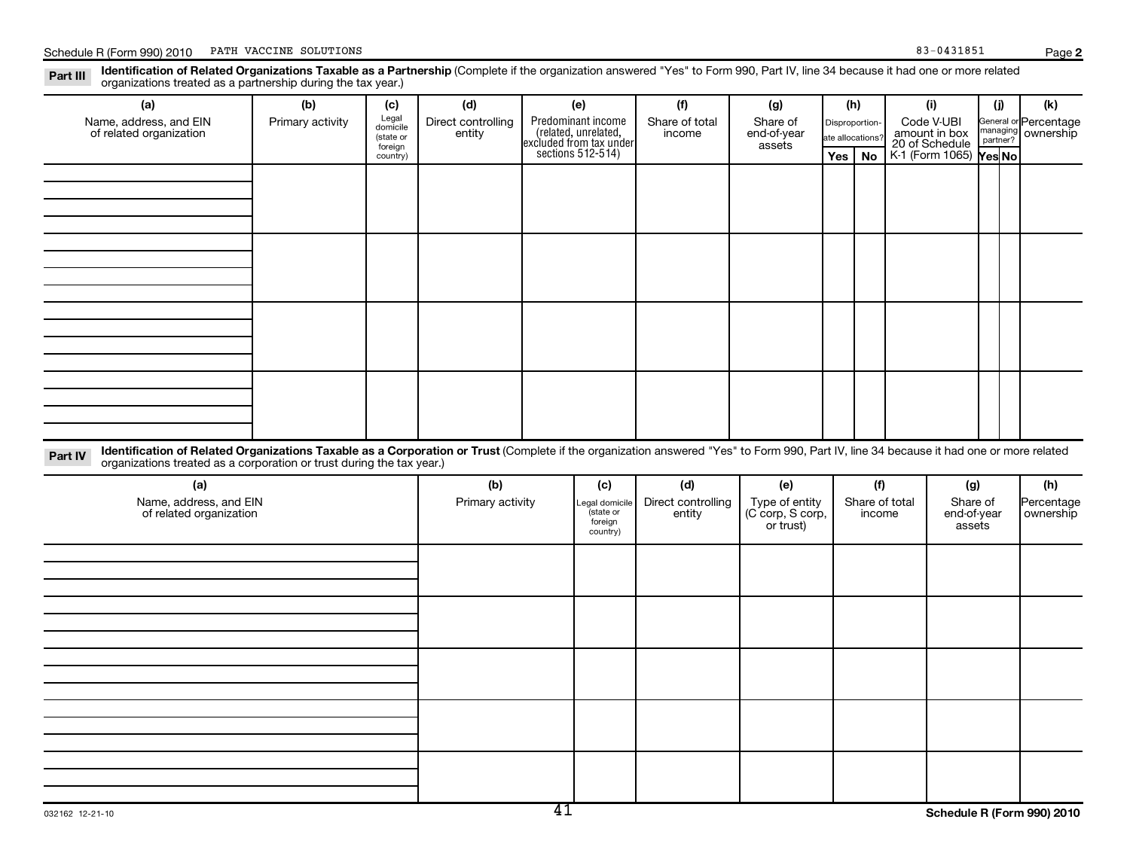**2**

| Part III | Identification of Related Organizations Taxable as a Partnership (Complete if the organization answered "Yes" to Form 990, Part IV, line 34 because it had one or more related<br>organizations treated as a partnership during the tax year.) |
|----------|------------------------------------------------------------------------------------------------------------------------------------------------------------------------------------------------------------------------------------------------|
|          |                                                                                                                                                                                                                                                |

| (a)                                                                                                                                                                                                                                                                         | (b)              | (c)                                                   | (d)                          |                                                                                            | (e)                                              | (f)                          | (g)                                             | (h)                                            |        | (i)                                                                     |                                   | (i)                                                        | (k)                     |
|-----------------------------------------------------------------------------------------------------------------------------------------------------------------------------------------------------------------------------------------------------------------------------|------------------|-------------------------------------------------------|------------------------------|--------------------------------------------------------------------------------------------|--------------------------------------------------|------------------------------|-------------------------------------------------|------------------------------------------------|--------|-------------------------------------------------------------------------|-----------------------------------|------------------------------------------------------------|-------------------------|
| Name, address, and EIN<br>of related organization                                                                                                                                                                                                                           | Primary activity | Legal<br>domicile<br>(state or<br>foreign<br>country) | Direct controlling<br>entity | Predominant income<br>(related, unrelated,<br>excluded from tax under<br>sections 512-514) |                                                  | Share of total<br>income     | Share of<br>end-of-year<br>assets               | Disproportion-<br>ate allocations?<br>Yes   No |        | Code V-UBI<br>amount in box<br>20 of Schedule<br>K-1 (Form 1065) Yes No |                                   | General or Percentage<br>nanaging<br>ownership<br>partner? |                         |
|                                                                                                                                                                                                                                                                             |                  |                                                       |                              |                                                                                            |                                                  |                              |                                                 |                                                |        |                                                                         |                                   |                                                            |                         |
|                                                                                                                                                                                                                                                                             |                  |                                                       |                              |                                                                                            |                                                  |                              |                                                 |                                                |        |                                                                         |                                   |                                                            |                         |
|                                                                                                                                                                                                                                                                             |                  |                                                       |                              |                                                                                            |                                                  |                              |                                                 |                                                |        |                                                                         |                                   |                                                            |                         |
|                                                                                                                                                                                                                                                                             |                  |                                                       |                              |                                                                                            |                                                  |                              |                                                 |                                                |        |                                                                         |                                   |                                                            |                         |
|                                                                                                                                                                                                                                                                             |                  |                                                       |                              |                                                                                            |                                                  |                              |                                                 |                                                |        |                                                                         |                                   |                                                            |                         |
|                                                                                                                                                                                                                                                                             |                  |                                                       |                              |                                                                                            |                                                  |                              |                                                 |                                                |        |                                                                         |                                   |                                                            |                         |
|                                                                                                                                                                                                                                                                             |                  |                                                       |                              |                                                                                            |                                                  |                              |                                                 |                                                |        |                                                                         |                                   |                                                            |                         |
|                                                                                                                                                                                                                                                                             |                  |                                                       |                              |                                                                                            |                                                  |                              |                                                 |                                                |        |                                                                         |                                   |                                                            |                         |
|                                                                                                                                                                                                                                                                             |                  |                                                       |                              |                                                                                            |                                                  |                              |                                                 |                                                |        |                                                                         |                                   |                                                            |                         |
|                                                                                                                                                                                                                                                                             |                  |                                                       |                              |                                                                                            |                                                  |                              |                                                 |                                                |        |                                                                         |                                   |                                                            |                         |
|                                                                                                                                                                                                                                                                             |                  |                                                       |                              |                                                                                            |                                                  |                              |                                                 |                                                |        |                                                                         |                                   |                                                            |                         |
| Identification of Related Organizations Taxable as a Corporation or Trust (Complete if the organization answered "Yes" to Form 990, Part IV, line 34 because it had one or more related<br>Part IV<br>organizations treated as a corporation or trust during the tax year.) |                  |                                                       |                              |                                                                                            |                                                  |                              |                                                 |                                                |        |                                                                         |                                   |                                                            |                         |
| (a)                                                                                                                                                                                                                                                                         |                  |                                                       | (b)                          |                                                                                            | (c)                                              | (d)                          | (e)                                             |                                                | (f)    |                                                                         | (g)                               |                                                            | (h)                     |
| Name, address, and EIN<br>of related organization                                                                                                                                                                                                                           |                  |                                                       | Primary activity             |                                                                                            | egal domicile<br>state or<br>foreign<br>country) | Direct controlling<br>entity | Type of entity<br>(C corp, S corp,<br>or trust) |                                                | income | Share of total                                                          | Share of<br>end-of-year<br>assets |                                                            | Percentage<br>ownership |
|                                                                                                                                                                                                                                                                             |                  |                                                       |                              |                                                                                            |                                                  |                              |                                                 |                                                |        |                                                                         |                                   |                                                            |                         |
|                                                                                                                                                                                                                                                                             |                  |                                                       |                              |                                                                                            |                                                  |                              |                                                 |                                                |        |                                                                         |                                   |                                                            |                         |
|                                                                                                                                                                                                                                                                             |                  |                                                       |                              |                                                                                            |                                                  |                              |                                                 |                                                |        |                                                                         |                                   |                                                            |                         |
|                                                                                                                                                                                                                                                                             |                  |                                                       |                              |                                                                                            |                                                  |                              |                                                 |                                                |        |                                                                         |                                   |                                                            |                         |
|                                                                                                                                                                                                                                                                             |                  |                                                       |                              |                                                                                            |                                                  |                              |                                                 |                                                |        |                                                                         |                                   |                                                            |                         |
|                                                                                                                                                                                                                                                                             |                  |                                                       |                              |                                                                                            |                                                  |                              |                                                 |                                                |        |                                                                         |                                   |                                                            |                         |
|                                                                                                                                                                                                                                                                             |                  |                                                       |                              |                                                                                            |                                                  |                              |                                                 |                                                |        |                                                                         |                                   |                                                            |                         |
|                                                                                                                                                                                                                                                                             |                  |                                                       |                              |                                                                                            |                                                  |                              |                                                 |                                                |        |                                                                         |                                   |                                                            |                         |
|                                                                                                                                                                                                                                                                             |                  |                                                       |                              |                                                                                            |                                                  |                              |                                                 |                                                |        |                                                                         |                                   |                                                            |                         |
|                                                                                                                                                                                                                                                                             |                  |                                                       |                              |                                                                                            |                                                  |                              |                                                 |                                                |        |                                                                         |                                   |                                                            |                         |
|                                                                                                                                                                                                                                                                             |                  |                                                       |                              |                                                                                            |                                                  |                              |                                                 |                                                |        |                                                                         |                                   |                                                            |                         |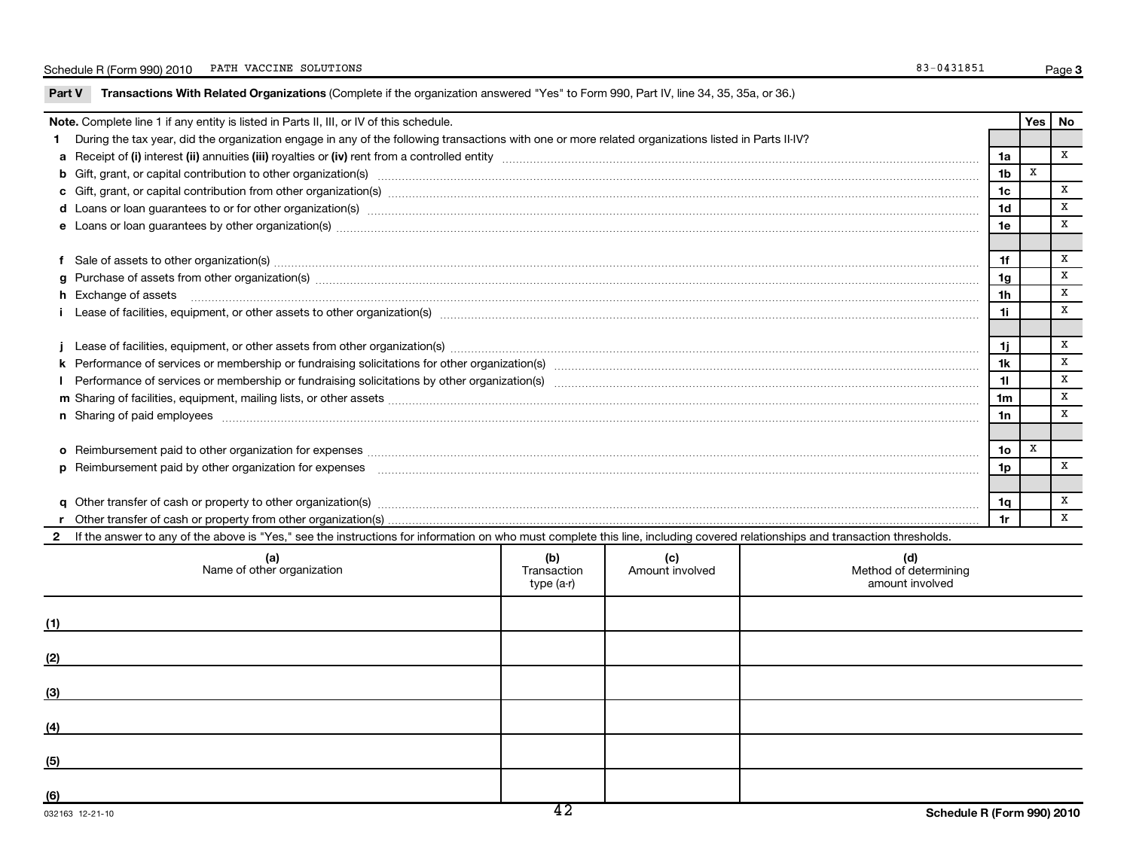| Part V       | Transactions With Related Organizations (Complete if the organization answered "Yes" to Form 990, Part IV, line 34, 35, 35a, or 36.)                                                                                                 |                                   |                        |                                                 |                |          |   |
|--------------|--------------------------------------------------------------------------------------------------------------------------------------------------------------------------------------------------------------------------------------|-----------------------------------|------------------------|-------------------------------------------------|----------------|----------|---|
|              | Note. Complete line 1 if any entity is listed in Parts II, III, or IV of this schedule.                                                                                                                                              |                                   |                        |                                                 |                | Yes   No |   |
|              | 1 During the tax year, did the organization engage in any of the following transactions with one or more related organizations listed in Parts II-IV?                                                                                |                                   |                        |                                                 |                |          |   |
|              |                                                                                                                                                                                                                                      |                                   |                        |                                                 | 1a             |          | X |
|              | b Gift, grant, or capital contribution to other organization(s) encourance contains an example and contribution to other organization(s) encourance contains and contribution to other organization(s) encourance contains and       |                                   |                        |                                                 | 1 <sub>b</sub> | X        |   |
|              |                                                                                                                                                                                                                                      |                                   |                        |                                                 | 1c             |          | x |
|              |                                                                                                                                                                                                                                      |                                   |                        |                                                 | 1d             |          | X |
|              | e Loans or loan guarantees by other organization(s) manufaction contraction and anti-                                                                                                                                                |                                   |                        |                                                 | 1e             |          | x |
|              |                                                                                                                                                                                                                                      |                                   |                        |                                                 |                |          |   |
|              | f Sale of assets to other organization(s) www.assettion.com/www.assettion.com/www.assettion.com/www.assettion.com/www.assettion.com/www.assettion.com/www.assettion.com/www.assettion.com/www.assettion.com/www.assettion.com/       |                                   |                        |                                                 | 1f             |          | x |
|              | g Purchase of assets from other organization(s) material contents and content to the content of the content of the content of the content of the content of the content of the content of the content of the content of the co       |                                   |                        |                                                 | 1g             |          | X |
|              | <b>h</b> Exchange of assets                                                                                                                                                                                                          |                                   |                        |                                                 | 1h             |          | x |
|              |                                                                                                                                                                                                                                      |                                   |                        |                                                 | 1i.            |          | x |
|              |                                                                                                                                                                                                                                      |                                   |                        |                                                 |                |          |   |
|              |                                                                                                                                                                                                                                      |                                   |                        |                                                 | 1i.            |          | X |
|              |                                                                                                                                                                                                                                      |                                   |                        |                                                 | 1k             |          | X |
|              |                                                                                                                                                                                                                                      |                                   |                        |                                                 | 11             |          | X |
|              |                                                                                                                                                                                                                                      |                                   |                        |                                                 | 1m             |          | X |
|              | n Sharing of paid employees <b>www.areas and an architecture and architecture and architecture and architecture and architecture and architecture and architecture and architecture and architecture and architecture and archit</b> |                                   |                        |                                                 | 1n             |          | X |
|              |                                                                                                                                                                                                                                      |                                   |                        |                                                 |                |          |   |
|              |                                                                                                                                                                                                                                      |                                   |                        |                                                 | 1o             | X        |   |
|              |                                                                                                                                                                                                                                      |                                   |                        |                                                 | 1p             |          | x |
|              |                                                                                                                                                                                                                                      |                                   |                        |                                                 |                |          |   |
|              |                                                                                                                                                                                                                                      |                                   |                        |                                                 | 1q             |          | x |
|              |                                                                                                                                                                                                                                      |                                   |                        |                                                 | 1r             |          | x |
| $\mathbf{2}$ | If the answer to any of the above is "Yes," see the instructions for information on who must complete this line, including covered relationships and transaction thresholds.                                                         |                                   |                        |                                                 |                |          |   |
|              | (a)<br>Name of other organization                                                                                                                                                                                                    | (b)<br>Transaction<br>$type(a-r)$ | (c)<br>Amount involved | (d)<br>Method of determining<br>amount involved |                |          |   |
| (1)          |                                                                                                                                                                                                                                      |                                   |                        |                                                 |                |          |   |
| <u>(2)</u>   |                                                                                                                                                                                                                                      |                                   |                        |                                                 |                |          |   |
| (3)          |                                                                                                                                                                                                                                      |                                   |                        |                                                 |                |          |   |
| (4)          |                                                                                                                                                                                                                                      |                                   |                        |                                                 |                |          |   |
| (5)          |                                                                                                                                                                                                                                      |                                   |                        |                                                 |                |          |   |
|              |                                                                                                                                                                                                                                      |                                   |                        |                                                 |                |          |   |

**(6)**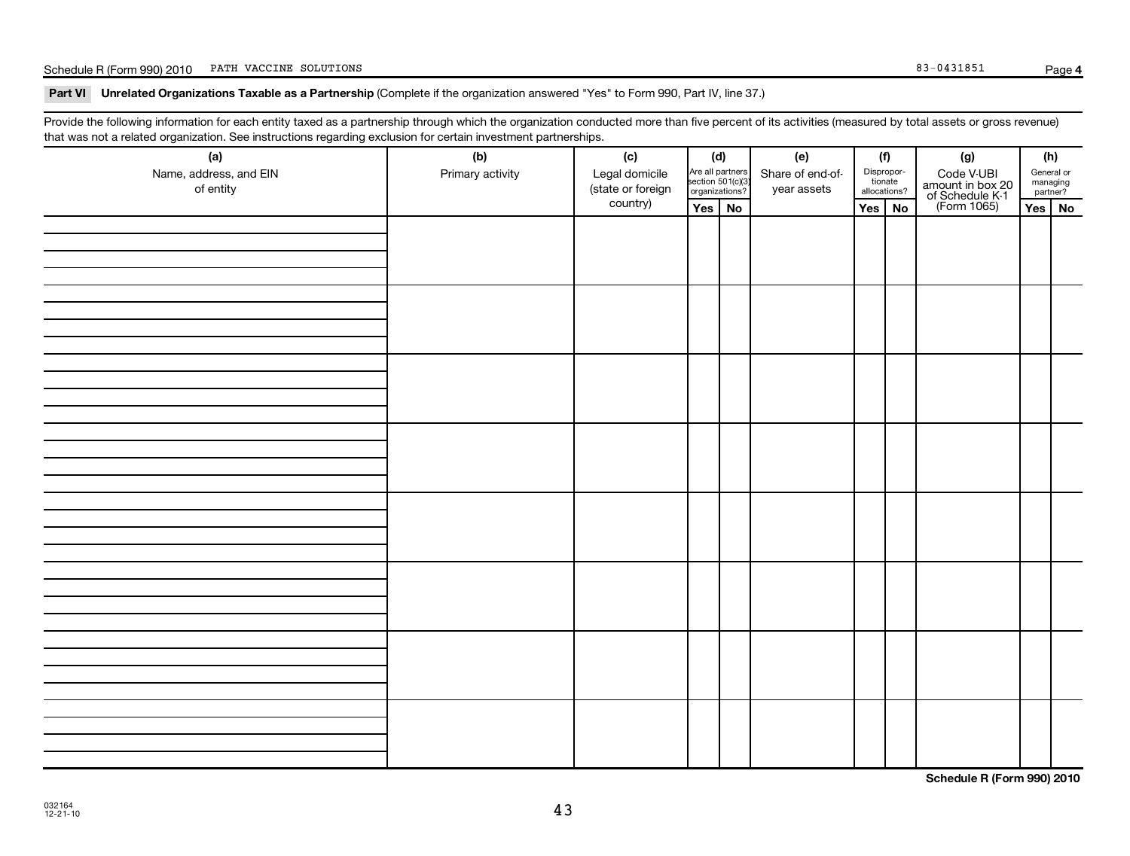## Schedule R (Form 990) 2010 PATH VACCINE SOLUTIONS Page (Separate Separate Separate Separate Separate Separate S

### Part VI Unrelated Organizations Taxable as a Partnership (Complete if the organization answered "Yes" to Form 990, Part IV, line 37.)

Provide the following information for each entity taxed as a partnership through which the organization conducted more than five percent of its activities (measured by total assets or gross revenue) that was not a related organization. See instructions regarding exclusion for certain investment partnerships.

| (a)<br>Name, address, and EIN<br>of entity | (b)<br>Primary activity | (c)<br>Legal domicile<br>(state or foreign | (d)<br>Are all partners<br>section 501(c)(3)<br>organizations? |    | (e)<br>Share of end-of-<br>year assets | (f)<br>Dispropor-<br>tionate<br>allocations? |  | (g)<br>Code V-UBI<br>amount in box 20<br>of Schedule K-1<br>(Form 1065) |          | (h)<br>General or<br>managing<br>partner? |
|--------------------------------------------|-------------------------|--------------------------------------------|----------------------------------------------------------------|----|----------------------------------------|----------------------------------------------|--|-------------------------------------------------------------------------|----------|-------------------------------------------|
|                                            |                         | country)                                   | Yes                                                            | No |                                        | Yes<br>No                                    |  |                                                                         | Yes   No |                                           |
|                                            |                         |                                            |                                                                |    |                                        |                                              |  |                                                                         |          |                                           |
|                                            |                         |                                            |                                                                |    |                                        |                                              |  |                                                                         |          |                                           |
|                                            |                         |                                            |                                                                |    |                                        |                                              |  |                                                                         |          |                                           |
|                                            |                         |                                            |                                                                |    |                                        |                                              |  |                                                                         |          |                                           |
|                                            |                         |                                            |                                                                |    |                                        |                                              |  |                                                                         |          |                                           |
|                                            |                         |                                            |                                                                |    |                                        |                                              |  |                                                                         |          |                                           |
|                                            |                         |                                            |                                                                |    |                                        |                                              |  |                                                                         |          |                                           |
|                                            |                         |                                            |                                                                |    |                                        |                                              |  |                                                                         |          |                                           |

**Schedule R (Form 990) 2010**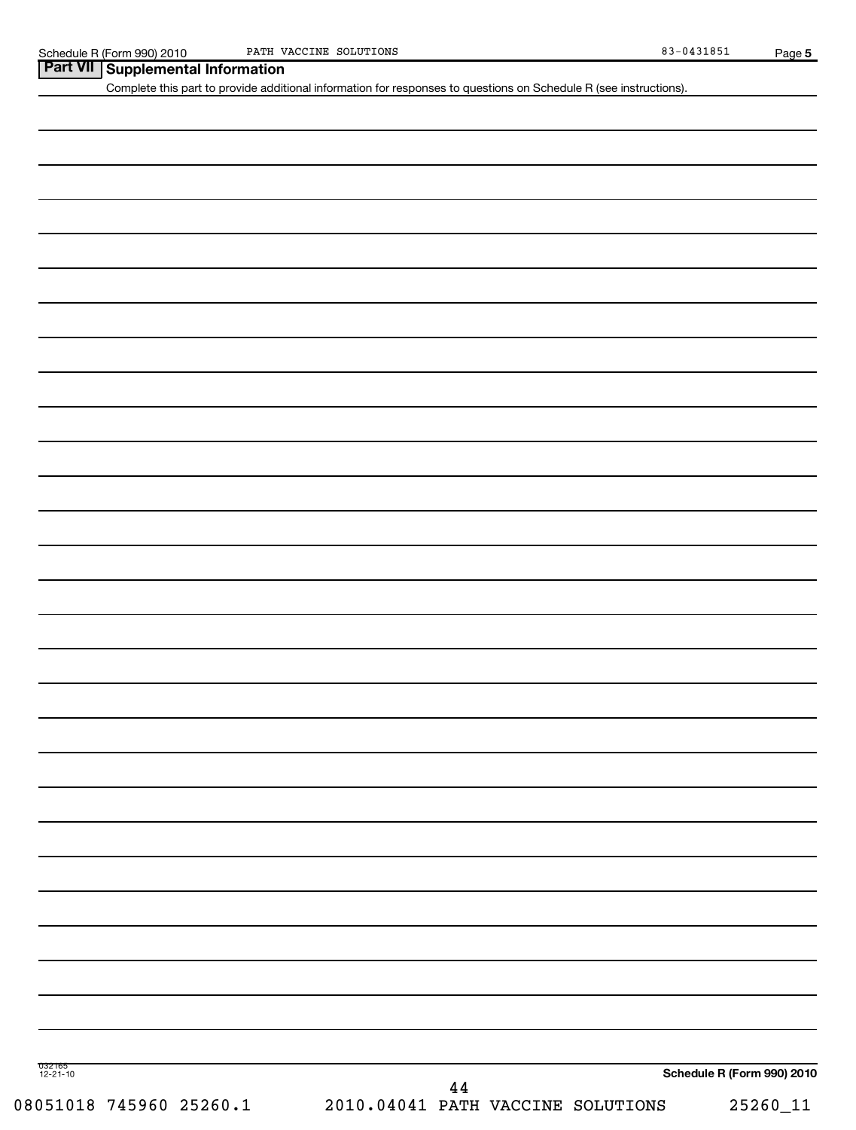|  | Part VII Supplemental Information |
|--|-----------------------------------|
|--|-----------------------------------|

Complete this part to provide additional information for responses to questions on Schedule R (see instructions).

| г. |
|----|
|    |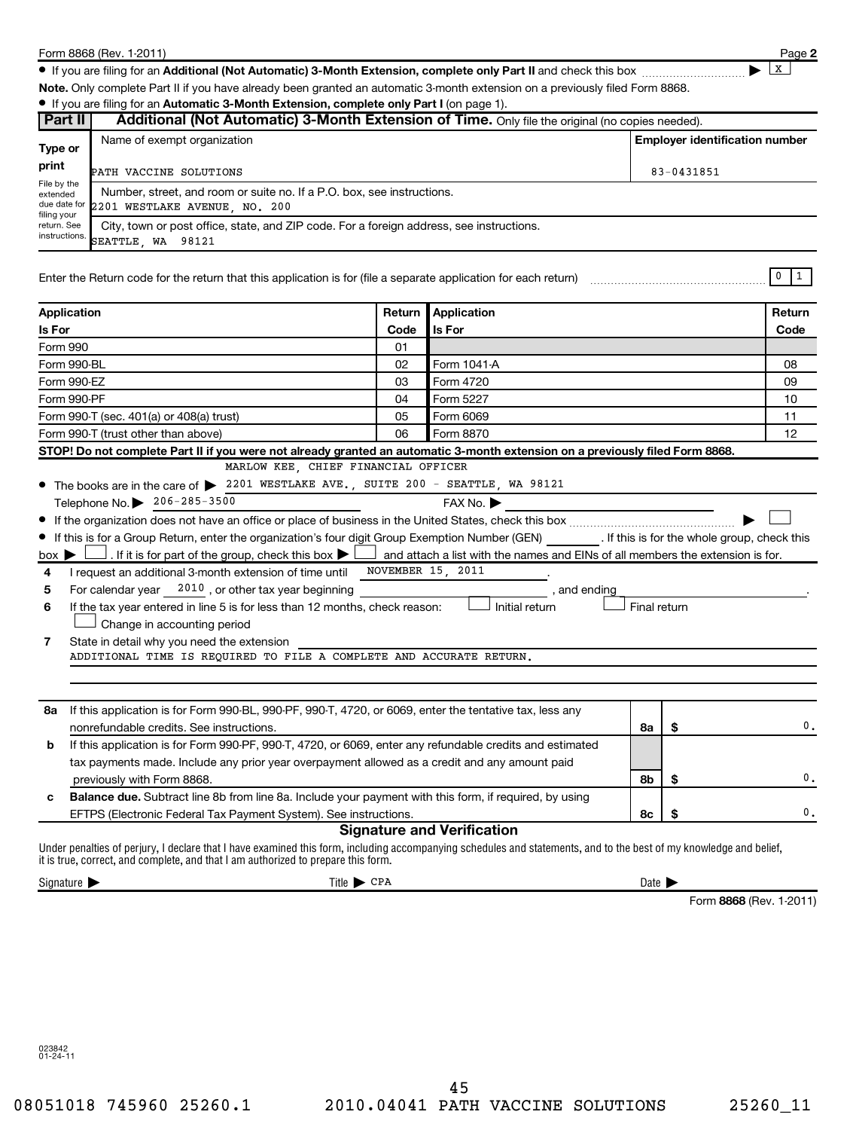|                                 | Form 8868 (Rev. 1-2011)                                                                                                                                                                                                                                 |                                       |                                                                                |                            |    | Page 2                      |  |  |  |
|---------------------------------|---------------------------------------------------------------------------------------------------------------------------------------------------------------------------------------------------------------------------------------------------------|---------------------------------------|--------------------------------------------------------------------------------|----------------------------|----|-----------------------------|--|--|--|
|                                 |                                                                                                                                                                                                                                                         |                                       |                                                                                |                            |    | x                           |  |  |  |
|                                 | Note. Only complete Part II if you have already been granted an automatic 3-month extension on a previously filed Form 8868.                                                                                                                            |                                       |                                                                                |                            |    |                             |  |  |  |
|                                 | • If you are filing for an Automatic 3-Month Extension, complete only Part I (on page 1).                                                                                                                                                               |                                       |                                                                                |                            |    |                             |  |  |  |
| Part II                         | Additional (Not Automatic) 3-Month Extension of Time. Only file the original (no copies needed).                                                                                                                                                        |                                       |                                                                                |                            |    |                             |  |  |  |
| Type or                         | Name of exempt organization                                                                                                                                                                                                                             | <b>Employer identification number</b> |                                                                                |                            |    |                             |  |  |  |
| print                           | PATH VACCINE SOLUTIONS<br>83-0431851                                                                                                                                                                                                                    |                                       |                                                                                |                            |    |                             |  |  |  |
| File by the<br>extended         | Number, street, and room or suite no. If a P.O. box, see instructions.                                                                                                                                                                                  |                                       |                                                                                |                            |    |                             |  |  |  |
|                                 | due date for<br>2201 WESTLAKE AVENUE NO. 200                                                                                                                                                                                                            |                                       |                                                                                |                            |    |                             |  |  |  |
| filing your                     | return. See<br>City, town or post office, state, and ZIP code. For a foreign address, see instructions.                                                                                                                                                 |                                       |                                                                                |                            |    |                             |  |  |  |
| instructions.                   | SEATTLE WA 98121                                                                                                                                                                                                                                        |                                       |                                                                                |                            |    |                             |  |  |  |
|                                 | Enter the Return code for the return that this application is for (file a separate application for each return)                                                                                                                                         |                                       |                                                                                |                            |    | 0 <sup>1</sup><br>$\vert$ 1 |  |  |  |
| Application                     |                                                                                                                                                                                                                                                         | Return                                | Application                                                                    |                            |    | Return                      |  |  |  |
| Is For                          |                                                                                                                                                                                                                                                         | Code                                  | Is For                                                                         |                            |    | Code                        |  |  |  |
| Form 990                        |                                                                                                                                                                                                                                                         | 01                                    |                                                                                |                            |    |                             |  |  |  |
| Form 990-BL                     |                                                                                                                                                                                                                                                         | 02                                    | Form 1041-A                                                                    |                            |    | 08                          |  |  |  |
| Form 990-EZ                     |                                                                                                                                                                                                                                                         | 03                                    | Form 4720                                                                      |                            |    | 09                          |  |  |  |
| Form 990-PF                     |                                                                                                                                                                                                                                                         | 04                                    | Form 5227                                                                      |                            |    | 10                          |  |  |  |
|                                 | Form 990-T (sec. 401(a) or 408(a) trust)                                                                                                                                                                                                                | 05                                    | Form 6069                                                                      |                            |    | 11                          |  |  |  |
|                                 | Form 990-T (trust other than above)                                                                                                                                                                                                                     | 06                                    | Form 8870                                                                      |                            |    | 12                          |  |  |  |
|                                 | STOP! Do not complete Part II if you were not already granted an automatic 3-month extension on a previously filed Form 8868.                                                                                                                           |                                       |                                                                                |                            |    |                             |  |  |  |
|                                 |                                                                                                                                                                                                                                                         | MARLOW KEE, CHIEF FINANCIAL OFFICER   |                                                                                |                            |    |                             |  |  |  |
|                                 | • The books are in the care of > 2201 WESTLAKE AVE., SUITE 200 - SEATTLE, WA 98121                                                                                                                                                                      |                                       |                                                                                |                            |    |                             |  |  |  |
|                                 | Telephone No. 206-285-3500                                                                                                                                                                                                                              |                                       | FAX No.                                                                        |                            |    |                             |  |  |  |
|                                 |                                                                                                                                                                                                                                                         |                                       |                                                                                |                            |    |                             |  |  |  |
|                                 | If this is for a Group Return, enter the organization's four digit Group Exemption Number (GEN) [If this is for the whole group, check this                                                                                                             |                                       |                                                                                |                            |    |                             |  |  |  |
| box                             | . If it is for part of the group, check this box $\blacktriangleright$ [                                                                                                                                                                                |                                       | and attach a list with the names and EINs of all members the extension is for. |                            |    |                             |  |  |  |
| 4                               | I request an additional 3-month extension of time until                                                                                                                                                                                                 |                                       | NOVEMBER 15, 2011                                                              |                            |    |                             |  |  |  |
| 5                               | For calendar year $12010$ , or other tax year beginning                                                                                                                                                                                                 |                                       | , and ending                                                                   |                            |    |                             |  |  |  |
| 6                               | If the tax year entered in line 5 is for less than 12 months, check reason:                                                                                                                                                                             |                                       | Initial return                                                                 | Final return               |    |                             |  |  |  |
|                                 | Change in accounting period                                                                                                                                                                                                                             |                                       |                                                                                |                            |    |                             |  |  |  |
| 7                               | State in detail why you need the extension                                                                                                                                                                                                              |                                       |                                                                                |                            |    |                             |  |  |  |
|                                 | ADDITIONAL TIME IS REQUIRED TO FILE A COMPLETE AND ACCURATE RETURN.                                                                                                                                                                                     |                                       |                                                                                |                            |    |                             |  |  |  |
|                                 |                                                                                                                                                                                                                                                         |                                       |                                                                                |                            |    |                             |  |  |  |
|                                 |                                                                                                                                                                                                                                                         |                                       |                                                                                |                            |    |                             |  |  |  |
| 8a                              | If this application is for Form 990-BL, 990-PF, 990-T, 4720, or 6069, enter the tentative tax, less any                                                                                                                                                 |                                       |                                                                                |                            |    |                             |  |  |  |
|                                 | nonrefundable credits. See instructions.                                                                                                                                                                                                                |                                       |                                                                                | 8a                         | \$ | 0.                          |  |  |  |
| b                               | If this application is for Form 990-PF, 990-T, 4720, or 6069, enter any refundable credits and estimated                                                                                                                                                |                                       |                                                                                |                            |    |                             |  |  |  |
|                                 | tax payments made. Include any prior year overpayment allowed as a credit and any amount paid                                                                                                                                                           |                                       |                                                                                |                            |    |                             |  |  |  |
|                                 | previously with Form 8868.                                                                                                                                                                                                                              |                                       |                                                                                | 8b                         | \$ | $\mathbf{0}$ .              |  |  |  |
| с                               | Balance due. Subtract line 8b from line 8a. Include your payment with this form, if required, by using                                                                                                                                                  |                                       |                                                                                |                            |    |                             |  |  |  |
|                                 | EFTPS (Electronic Federal Tax Payment System). See instructions.                                                                                                                                                                                        |                                       |                                                                                | 8c                         | \$ | $\mathbf{0}$ .              |  |  |  |
|                                 |                                                                                                                                                                                                                                                         |                                       | <b>Signature and Verification</b>                                              |                            |    |                             |  |  |  |
|                                 | Under penalties of perjury, I declare that I have examined this form, including accompanying schedules and statements, and to the best of my knowledge and belief,<br>it is true, correct, and complete, and that I am authorized to prepare this form. |                                       |                                                                                |                            |    |                             |  |  |  |
|                                 |                                                                                                                                                                                                                                                         |                                       |                                                                                |                            |    |                             |  |  |  |
| Signature $\blacktriangleright$ |                                                                                                                                                                                                                                                         | $Title \triangleright CPA$            |                                                                                | Date $\blacktriangleright$ |    |                             |  |  |  |

Form 8868 (Rev. 1-2011)

023842 01-24-11